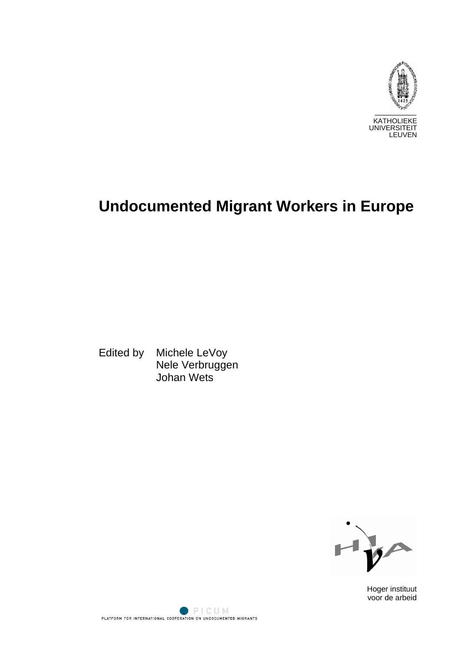

# **Undocumented Migrant Workers in Europe**

Edited by Michele LeVoy Nele Verbruggen Johan Wets



Hoger instituut voor de arbeid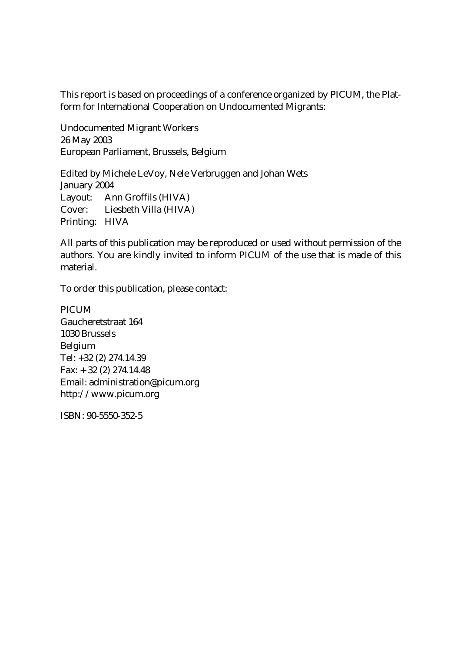This report is based on proceedings of a conference organized by PICUM, the Platform for International Cooperation on Undocumented Migrants:

Undocumented Migrant Workers 26 May 2003 European Parliament, Brussels, Belgium

Edited by Michele LeVoy, Nele Verbruggen and Johan Wets January 2004 Layout: Ann Groffils (HIVA) Cover: Liesbeth Villa (HIVA) Printing: HIVA

All parts of this publication may be reproduced or used without permission of the authors. You are kindly invited to inform PICUM of the use that is made of this material.

To order this publication, please contact:

**PICUM** Gaucheretstraat 164 1030 Brussels Belgium Tel: +32 (2) 274.14.39 Fax: + 32 (2) 274.14.48 Email: administration@picum.org http://www.picum.org

ISBN: 90-5550-352-5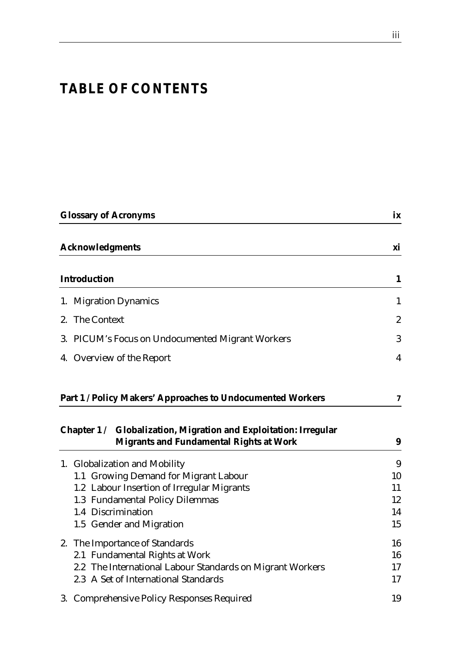# *TABLE OF CONTENTS*

| <b>Glossary of Acronyms</b>                                                                                | ix               |
|------------------------------------------------------------------------------------------------------------|------------------|
| Acknowledgments                                                                                            | xi               |
| Introduction                                                                                               | $\mathbf{1}$     |
| 1. Migration Dynamics                                                                                      | $\mathbf{1}$     |
| 2. The Context                                                                                             | $\boldsymbol{2}$ |
| 3. PICUM's Focus on Undocumented Migrant Workers                                                           | 3                |
| 4. Overview of the Report                                                                                  | 4                |
| Part 1 / Policy Makers' Approaches to Undocumented Workers                                                 | 7                |
| Chapter 1/ Globalization, Migration and Exploitation: Irregular<br>Migrants and Fundamental Rights at Work | 9                |
| 1. Globalization and Mobility                                                                              | 9                |
| 1.1 Growing Demand for Migrant Labour                                                                      | 10               |
| 1.2 Labour Insertion of Irregular Migrants<br>1.3 Fundamental Policy Dilemmas                              | 11<br>12         |
| 1.4 Discrimination                                                                                         | 14               |
| 1.5 Gender and Migration                                                                                   | 15               |
| 2. The Importance of Standards                                                                             | 16               |
| 2.1 Fundamental Rights at Work                                                                             | 16               |
| 2.2 The International Labour Standards on Migrant Workers                                                  | 17               |
| 2.3 A Set of International Standards                                                                       | 17               |
| 3. Comprehensive Policy Responses Required                                                                 | 19               |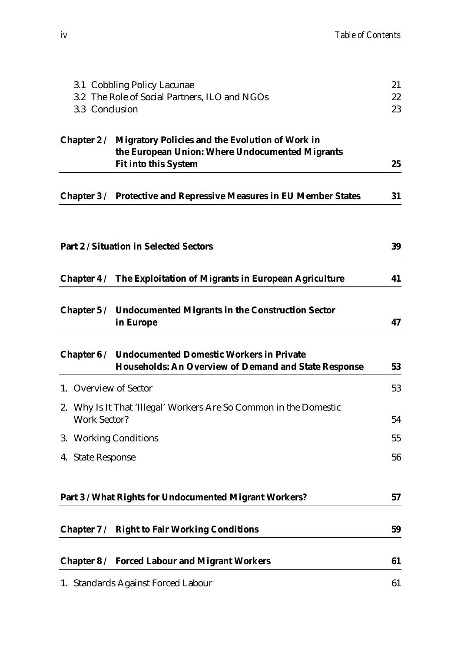|                                               | 3.1 Cobbling Policy Lacunae                                        | 21 |
|-----------------------------------------------|--------------------------------------------------------------------|----|
| 3.2 The Role of Social Partners, ILO and NGOs |                                                                    | 22 |
| 3.3 Conclusion                                |                                                                    | 23 |
| Chapter $2/$                                  | Migratory Policies and the Evolution of Work in                    |    |
|                                               | the European Union: Where Undocumented Migrants                    |    |
|                                               | Fit into this System                                               | 25 |
|                                               | Chapter 3 / Protective and Repressive Measures in EU Member States | 31 |
|                                               |                                                                    |    |
|                                               | Part 2 / Situation in Selected Sectors                             | 39 |
|                                               |                                                                    |    |
|                                               | Chapter 4 / The Exploitation of Migrants in European Agriculture   | 41 |
|                                               | Chapter 5 / Undocumented Migrants in the Construction Sector       |    |
|                                               | in Europe                                                          | 47 |
| Chapter $6/$                                  | Undocumented Domestic Workers in Private                           |    |
|                                               | Households: An Overview of Demand and State Response               | 53 |
| 1. Overview of Sector                         |                                                                    | 53 |
|                                               | 2. Why Is It That 'Illegal' Workers Are So Common in the Domestic  |    |
| <b>Work Sector?</b>                           |                                                                    | 54 |
| 3. Working Conditions                         |                                                                    | 55 |
| 4. State Response                             |                                                                    | 56 |
|                                               | Part 3 / What Rights for Undocumented Migrant Workers?             | 57 |
| Chapter $7/$                                  | <b>Right to Fair Working Conditions</b>                            | 59 |
|                                               |                                                                    |    |
|                                               | Chapter 8 / Forced Labour and Migrant Workers                      | 61 |
|                                               | 1. Standards Against Forced Labour                                 | 61 |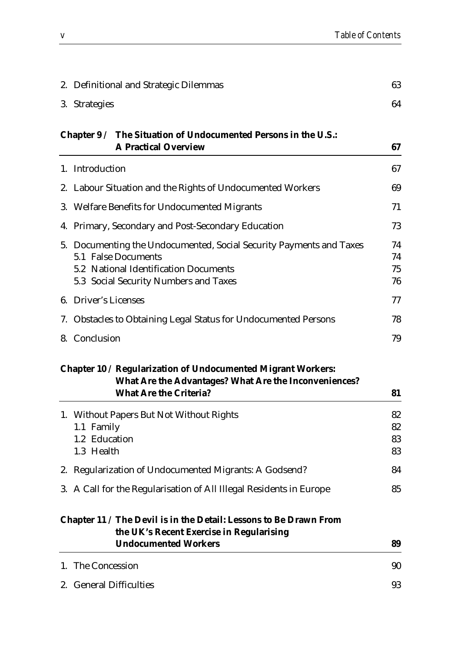|    | 2. Definitional and Strategic Dilemmas                                                                                                                                       | 63                   |
|----|------------------------------------------------------------------------------------------------------------------------------------------------------------------------------|----------------------|
|    | 3. Strategies                                                                                                                                                                | 64                   |
|    | The Situation of Undocumented Persons in the U.S.:<br>Chapter $9/$<br><b>A Practical Overview</b>                                                                            | 67                   |
|    | 1. Introduction                                                                                                                                                              | 67                   |
|    | 2. Labour Situation and the Rights of Undocumented Workers                                                                                                                   | 69                   |
| 3. | <b>Welfare Benefits for Undocumented Migrants</b>                                                                                                                            | 71                   |
|    | 4. Primary, Secondary and Post-Secondary Education                                                                                                                           | 73                   |
|    | 5. Documenting the Undocumented, Social Security Payments and Taxes<br>5.1 False Documents<br>5.2 National Identification Documents<br>5.3 Social Security Numbers and Taxes | 74<br>74<br>75<br>76 |
|    | 6. Driver's Licenses                                                                                                                                                         | 77                   |
|    | 7. Obstacles to Obtaining Legal Status for Undocumented Persons                                                                                                              | 78                   |
|    | 8. Conclusion                                                                                                                                                                | 79                   |
|    | Chapter 10 / Regularization of Undocumented Migrant Workers:<br>What Are the Advantages? What Are the Inconveniences?<br><b>What Are the Criteria?</b>                       | 81                   |
|    | 1. Without Papers But Not Without Rights<br>1.1 Family<br>1.2 Education<br>1.3 Health                                                                                        | 82<br>82<br>83<br>83 |
|    | 2. Regularization of Undocumented Migrants: A Godsend?                                                                                                                       | 84                   |
|    | 3. A Call for the Regularisation of All Illegal Residents in Europe                                                                                                          | 85                   |
|    | Chapter 11 / The Devil is in the Detail: Lessons to Be Drawn From<br>the UK's Recent Exercise in Regularising<br><b>Undocumented Workers</b>                                 | 89                   |
|    | 1. The Concession                                                                                                                                                            | 90                   |
|    | 2. General Difficulties                                                                                                                                                      | 93                   |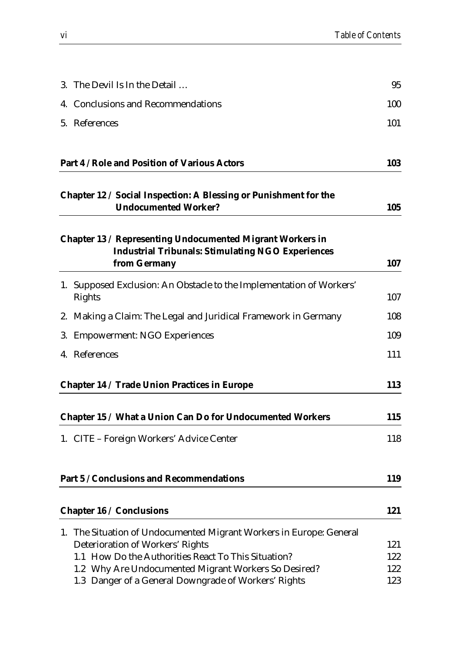| 3. The Devil Is In the Detail                                                                                                                                  | 95         |
|----------------------------------------------------------------------------------------------------------------------------------------------------------------|------------|
| 4. Conclusions and Recommendations                                                                                                                             | 100        |
| 5. References                                                                                                                                                  | 101        |
| Part 4 / Role and Position of Various Actors                                                                                                                   | 103        |
| Chapter 12 / Social Inspection: A Blessing or Punishment for the<br><b>Undocumented Worker?</b>                                                                | 105        |
| Chapter 13 / Representing Undocumented Migrant Workers in<br><b>Industrial Tribunals: Stimulating NGO Experiences</b><br>from Germany                          | 107        |
| 1. Supposed Exclusion: An Obstacle to the Implementation of Workers'<br>Rights                                                                                 | 107        |
| 2. Making a Claim: The Legal and Juridical Framework in Germany                                                                                                | 108        |
| 3. Empowerment: NGO Experiences                                                                                                                                | 109        |
| 4. References                                                                                                                                                  | 111        |
| Chapter 14 / Trade Union Practices in Europe                                                                                                                   | 113        |
| Chapter 15 / What a Union Can Do for Undocumented Workers                                                                                                      | 115        |
| 1. CITE – Foreign Workers' Advice Center                                                                                                                       | 118        |
| Part 5 / Conclusions and Recommendations                                                                                                                       | 119        |
| Chapter 16 / Conclusions                                                                                                                                       | 121        |
| 1. The Situation of Undocumented Migrant Workers in Europe: General<br>Deterioration of Workers' Rights<br>1.1 How Do the Authorities React To This Situation? | 121<br>122 |
| 1.2 Why Are Undocumented Migrant Workers So Desired?                                                                                                           | 122        |
| 1.3 Danger of a General Downgrade of Workers' Rights                                                                                                           | 123        |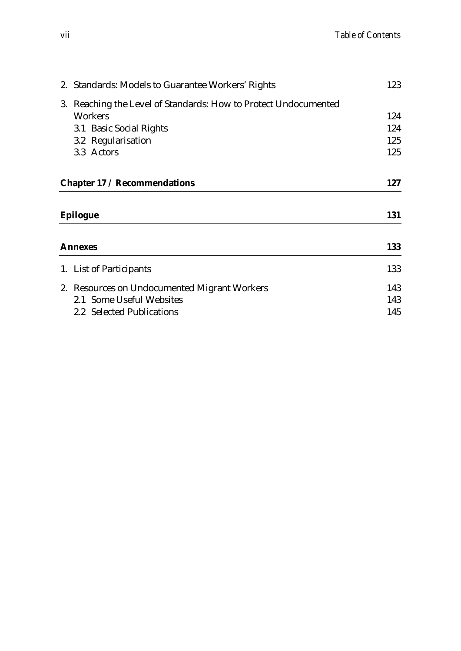| 2. Standards: Models to Guarantee Workers' Rights               | 123 |
|-----------------------------------------------------------------|-----|
| 3. Reaching the Level of Standards: How to Protect Undocumented |     |
| Workers                                                         | 124 |
| 3.1 Basic Social Rights                                         | 124 |
| 3.2 Regularisation                                              | 125 |
| 3.3 Actors                                                      | 125 |
| Chapter 17 / Recommendations                                    | 127 |
| Epilogue                                                        | 131 |
| Annexes                                                         | 133 |
| 1. List of Participants                                         | 133 |
| 2. Resources on Undocumented Migrant Workers                    | 143 |
| 2.1 Some Useful Websites                                        | 143 |
| 2.2 Selected Publications                                       | 145 |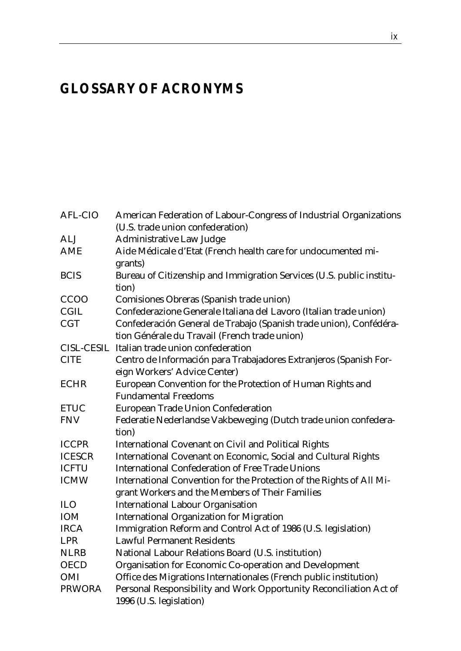# *GLOSSARY OF ACRONYMS*

| <b>AFL-CIO</b>    | American Federation of Labour-Congress of Industrial Organizations                            |  |
|-------------------|-----------------------------------------------------------------------------------------------|--|
|                   | (U.S. trade union confederation)                                                              |  |
| <b>ALJ</b>        | <b>Administrative Law Judge</b>                                                               |  |
| <b>AME</b>        | Aide Médicale d'Etat (French health care for undocumented mi-                                 |  |
|                   | grants)                                                                                       |  |
| <b>BCIS</b>       | Bureau of Citizenship and Immigration Services (U.S. public institu-                          |  |
|                   | tion)                                                                                         |  |
| CCOO              | Comisiones Obreras (Spanish trade union)                                                      |  |
| <b>CGIL</b>       | Confederazione Generale Italiana del Lavoro (Italian trade union)                             |  |
| <b>CGT</b>        | Confederación General de Trabajo (Spanish trade union), Confédéra-                            |  |
|                   | tion Générale du Travail (French trade union)                                                 |  |
| <b>CISL-CESIL</b> | Italian trade union confederation                                                             |  |
| <b>CITE</b>       | Centro de Información para Trabajadores Extranjeros (Spanish For-                             |  |
|                   | eign Workers' Advice Center)                                                                  |  |
| <b>ECHR</b>       | European Convention for the Protection of Human Rights and                                    |  |
|                   | <b>Fundamental Freedoms</b>                                                                   |  |
| <b>ETUC</b>       | <b>European Trade Union Confederation</b>                                                     |  |
| <b>FNV</b>        | Federatie Nederlandse Vakbeweging (Dutch trade union confedera-                               |  |
|                   | tion)                                                                                         |  |
| <b>ICCPR</b>      | <b>International Covenant on Civil and Political Rights</b>                                   |  |
| <b>ICESCR</b>     | International Covenant on Economic, Social and Cultural Rights                                |  |
| <b>ICFTU</b>      | <b>International Confederation of Free Trade Unions</b>                                       |  |
| <b>ICMW</b>       | International Convention for the Protection of the Rights of All Mi-                          |  |
|                   | grant Workers and the Members of Their Families                                               |  |
| <b>ILO</b>        | <b>International Labour Organisation</b>                                                      |  |
| IOM               | <b>International Organization for Migration</b>                                               |  |
| <b>IRCA</b>       | Immigration Reform and Control Act of 1986 (U.S. legislation)                                 |  |
| <b>LPR</b>        | <b>Lawful Permanent Residents</b>                                                             |  |
| <b>NLRB</b>       | National Labour Relations Board (U.S. institution)                                            |  |
| <b>OECD</b>       | Organisation for Economic Co-operation and Development                                        |  |
| OMI               | Office des Migrations Internationales (French public institution)                             |  |
| <b>PRWORA</b>     | Personal Responsibility and Work Opportunity Reconciliation Act of<br>1996 (U.S. legislation) |  |
|                   |                                                                                               |  |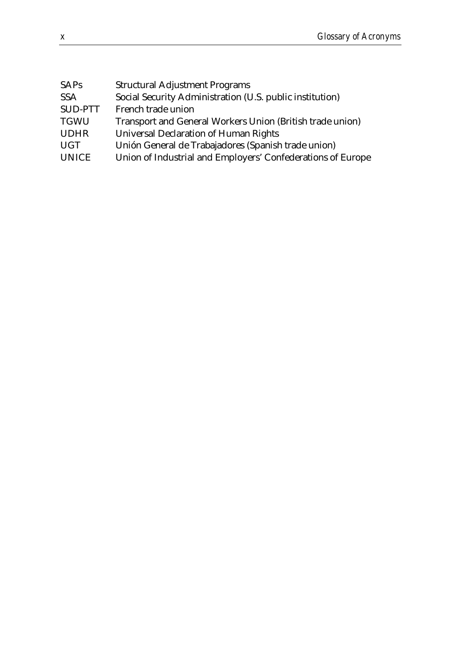| <b>SAPs</b>    | <b>Structural Adjustment Programs</b>                       |
|----------------|-------------------------------------------------------------|
| <b>SSA</b>     | Social Security Administration (U.S. public institution)    |
| <b>SUD-PTT</b> | French trade union                                          |
| <b>TGWU</b>    | Transport and General Workers Union (British trade union)   |
| <b>UDHR</b>    | <b>Universal Declaration of Human Rights</b>                |
| <b>UGT</b>     | Unión General de Trabajadores (Spanish trade union)         |
| <b>UNICE</b>   | Union of Industrial and Employers' Confederations of Europe |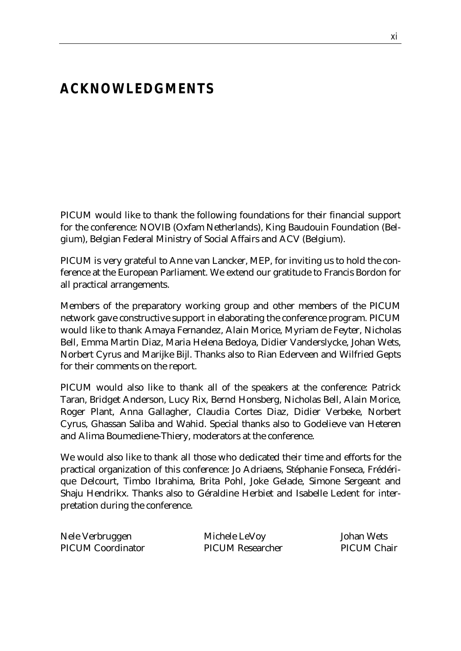# *ACKNOWLEDGMENTS*

PICUM would like to thank the following foundations for their financial support for the conference: NOVIB (Oxfam Netherlands), King Baudouin Foundation (Belgium), Belgian Federal Ministry of Social Affairs and ACV (Belgium).

PICUM is very grateful to Anne van Lancker, MEP, for inviting us to hold the conference at the European Parliament. We extend our gratitude to Francis Bordon for all practical arrangements.

Members of the preparatory working group and other members of the PICUM network gave constructive support in elaborating the conference program. PICUM would like to thank Amaya Fernandez, Alain Morice, Myriam de Feyter, Nicholas Bell, Emma Martin Diaz, Maria Helena Bedoya, Didier Vanderslycke, Johan Wets, Norbert Cyrus and Marijke Bijl. Thanks also to Rian Ederveen and Wilfried Gepts for their comments on the report.

PICUM would also like to thank all of the speakers at the conference: Patrick Taran, Bridget Anderson, Lucy Rix, Bernd Honsberg, Nicholas Bell, Alain Morice, Roger Plant, Anna Gallagher, Claudia Cortes Diaz, Didier Verbeke, Norbert Cyrus, Ghassan Saliba and Wahid. Special thanks also to Godelieve van Heteren and Alima Boumediene-Thiery, moderators at the conference.

We would also like to thank all those who dedicated their time and efforts for the practical organization of this conference: Jo Adriaens, Stéphanie Fonseca, Frédérique Delcourt, Timbo Ibrahima, Brita Pohl, Joke Gelade, Simone Sergeant and Shaju Hendrikx. Thanks also to Géraldine Herbiet and Isabelle Ledent for interpretation during the conference.

| Nele Verbruggen          | Michele LeVoy           | Johan Wets         |
|--------------------------|-------------------------|--------------------|
| <b>PICUM Coordinator</b> | <b>PICUM Researcher</b> | <b>PICUM Chair</b> |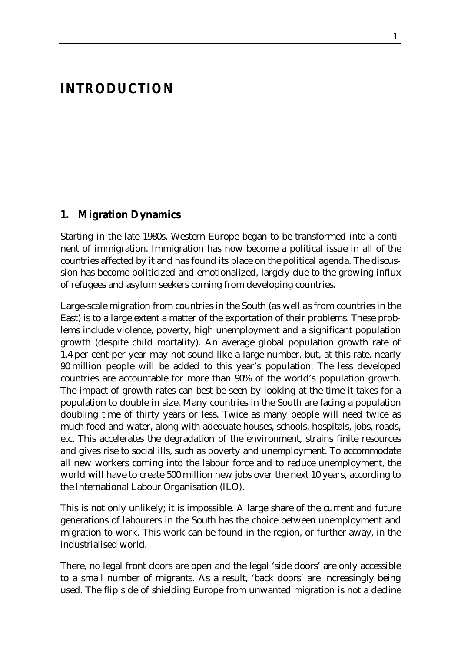# *INTRODUCTION*

#### **1. Migration Dynamics**

Starting in the late 1980s, Western Europe began to be transformed into a continent of immigration. Immigration has now become a political issue in all of the countries affected by it and has found its place on the political agenda. The discussion has become politicized and emotionalized, largely due to the growing influx of refugees and asylum seekers coming from developing countries.

Large-scale migration from countries in the South (as well as from countries in the East) is to a large extent a matter of the exportation of their problems. These problems include violence, poverty, high unemployment and a significant population growth (despite child mortality). An average global population growth rate of 1.4 per cent per year may not sound like a large number, but, at this rate, nearly 90 million people will be added to this year's population. The less developed countries are accountable for more than 90% of the world's population growth. The impact of growth rates can best be seen by looking at the time it takes for a population to double in size. Many countries in the South are facing a population doubling time of thirty years or less. Twice as many people will need twice as much food and water, along with adequate houses, schools, hospitals, jobs, roads, etc. This accelerates the degradation of the environment, strains finite resources and gives rise to social ills, such as poverty and unemployment. To accommodate all new workers coming into the labour force and to reduce unemployment, the world will have to create 500 million new jobs over the next 10 years, according to the International Labour Organisation (ILO).

This is not only unlikely; it is impossible. A large share of the current and future generations of labourers in the South has the choice between unemployment and migration to work. This work can be found in the region, or further away, in the industrialised world.

There, no legal front doors are open and the legal 'side doors' are only accessible to a small number of migrants. As a result, 'back doors' are increasingly being used. The flip side of shielding Europe from unwanted migration is not a decline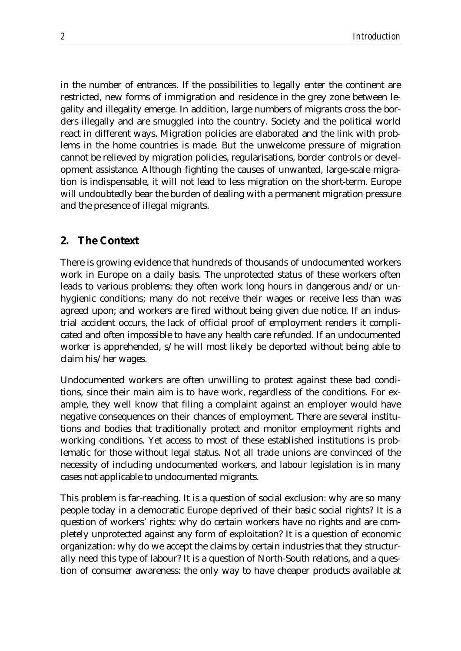in the number of entrances. If the possibilities to legally enter the continent are restricted, new forms of immigration and residence in the grey zone between legality and illegality emerge. In addition, large numbers of migrants cross the borders illegally and are smuggled into the country. Society and the political world react in different ways. Migration policies are elaborated and the link with problems in the home countries is made. But the unwelcome pressure of migration cannot be relieved by migration policies, regularisations, border controls or development assistance. Although fighting the causes of unwanted, large-scale migration is indispensable, it will not lead to less migration on the short-term. Europe will undoubtedly bear the burden of dealing with a permanent migration pressure and the presence of illegal migrants.

#### **2. The Context**

There is growing evidence that hundreds of thousands of undocumented workers work in Europe on a daily basis. The unprotected status of these workers often leads to various problems: they often work long hours in dangerous and/or unhygienic conditions; many do not receive their wages or receive less than was agreed upon; and workers are fired without being given due notice. If an industrial accident occurs, the lack of official proof of employment renders it complicated and often impossible to have any health care refunded. If an undocumented worker is apprehended, s/he will most likely be deported without being able to claim his/her wages.

Undocumented workers are often unwilling to protest against these bad conditions, since their main aim is to have work, regardless of the conditions. For example, they well know that filing a complaint against an employer would have negative consequences on their chances of employment. There are several institutions and bodies that traditionally protect and monitor employment rights and working conditions. Yet access to most of these established institutions is problematic for those without legal status. Not all trade unions are convinced of the necessity of including undocumented workers, and labour legislation is in many cases not applicable to undocumented migrants.

This problem is far-reaching. It is a question of social exclusion: why are so many people today in a democratic Europe deprived of their basic social rights? It is a question of workers' rights: why do certain workers have no rights and are completely unprotected against any form of exploitation? It is a question of economic organization: why do we accept the claims by certain industries that they structurally need this type of labour? It is a question of North-South relations, and a question of consumer awareness: the only way to have cheaper products available at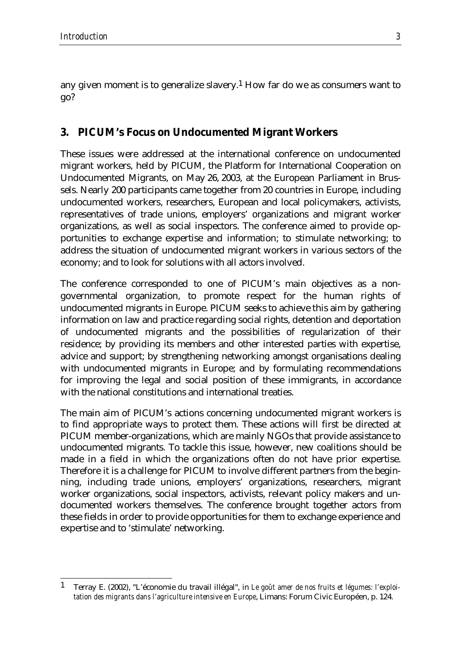any given moment is to generalize slavery.1 How far do we as consumers want to go?

### **3. PICUM's Focus on Undocumented Migrant Workers**

These issues were addressed at the international conference on undocumented migrant workers, held by PICUM, the Platform for International Cooperation on Undocumented Migrants, on May 26, 2003, at the European Parliament in Brussels. Nearly 200 participants came together from 20 countries in Europe, including undocumented workers, researchers, European and local policymakers, activists, representatives of trade unions, employers' organizations and migrant worker organizations, as well as social inspectors. The conference aimed to provide opportunities to exchange expertise and information; to stimulate networking; to address the situation of undocumented migrant workers in various sectors of the economy; and to look for solutions with all actors involved.

The conference corresponded to one of PICUM's main objectives as a nongovernmental organization, to promote respect for the human rights of undocumented migrants in Europe. PICUM seeks to achieve this aim by gathering information on law and practice regarding social rights, detention and deportation of undocumented migrants and the possibilities of regularization of their residence; by providing its members and other interested parties with expertise, advice and support; by strengthening networking amongst organisations dealing with undocumented migrants in Europe; and by formulating recommendations for improving the legal and social position of these immigrants, in accordance with the national constitutions and international treaties.

The main aim of PICUM's actions concerning undocumented migrant workers is to find appropriate ways to protect them. These actions will first be directed at PICUM member-organizations, which are mainly NGOs that provide assistance to undocumented migrants. To tackle this issue, however, new coalitions should be made in a field in which the organizations often do not have prior expertise. Therefore it is a challenge for PICUM to involve different partners from the beginning, including trade unions, employers' organizations, researchers, migrant worker organizations, social inspectors, activists, relevant policy makers and undocumented workers themselves. The conference brought together actors from these fields in order to provide opportunities for them to exchange experience and expertise and to 'stimulate' networking.

<sup>&</sup>lt;u>.</u> 1 Terray E. (2002), "L'économie du travail illégal", in *Le goût amer de nos fruits et légumes: l'exploitation des migrants dans l'agriculture intensive en Europe*, Limans: Forum Civic Européen, p. 124.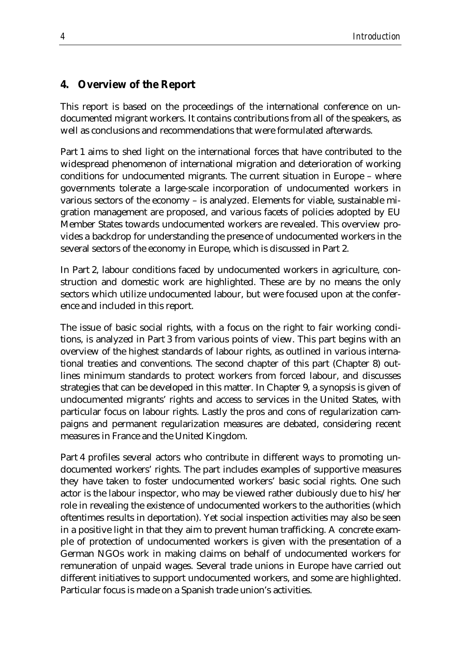### **4. Overview of the Report**

This report is based on the proceedings of the international conference on undocumented migrant workers. It contains contributions from all of the speakers, as well as conclusions and recommendations that were formulated afterwards.

Part 1 aims to shed light on the international forces that have contributed to the widespread phenomenon of international migration and deterioration of working conditions for undocumented migrants. The current situation in Europe – where governments tolerate a large-scale incorporation of undocumented workers in various sectors of the economy – is analyzed. Elements for viable, sustainable migration management are proposed, and various facets of policies adopted by EU Member States towards undocumented workers are revealed. This overview provides a backdrop for understanding the presence of undocumented workers in the several sectors of the economy in Europe, which is discussed in Part 2.

In Part 2, labour conditions faced by undocumented workers in agriculture, construction and domestic work are highlighted. These are by no means the only sectors which utilize undocumented labour, but were focused upon at the conference and included in this report.

The issue of basic social rights, with a focus on the right to fair working conditions, is analyzed in Part 3 from various points of view. This part begins with an overview of the highest standards of labour rights, as outlined in various international treaties and conventions. The second chapter of this part (Chapter 8) outlines minimum standards to protect workers from forced labour, and discusses strategies that can be developed in this matter. In Chapter 9, a synopsis is given of undocumented migrants' rights and access to services in the United States, with particular focus on labour rights. Lastly the pros and cons of regularization campaigns and permanent regularization measures are debated, considering recent measures in France and the United Kingdom.

Part 4 profiles several actors who contribute in different ways to promoting undocumented workers' rights. The part includes examples of supportive measures they have taken to foster undocumented workers' basic social rights. One such actor is the labour inspector, who may be viewed rather dubiously due to his/her role in revealing the existence of undocumented workers to the authorities (which oftentimes results in deportation). Yet social inspection activities may also be seen in a positive light in that they aim to prevent human trafficking. A concrete example of protection of undocumented workers is given with the presentation of a German NGOs work in making claims on behalf of undocumented workers for remuneration of unpaid wages. Several trade unions in Europe have carried out different initiatives to support undocumented workers, and some are highlighted. Particular focus is made on a Spanish trade union's activities.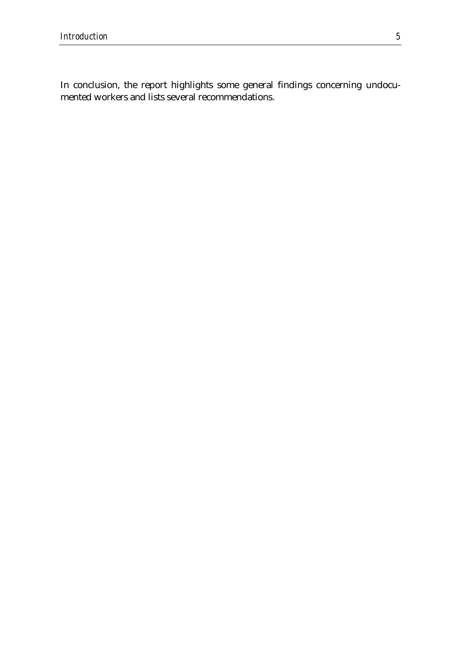In conclusion, the report highlights some general findings concerning undocumented workers and lists several recommendations.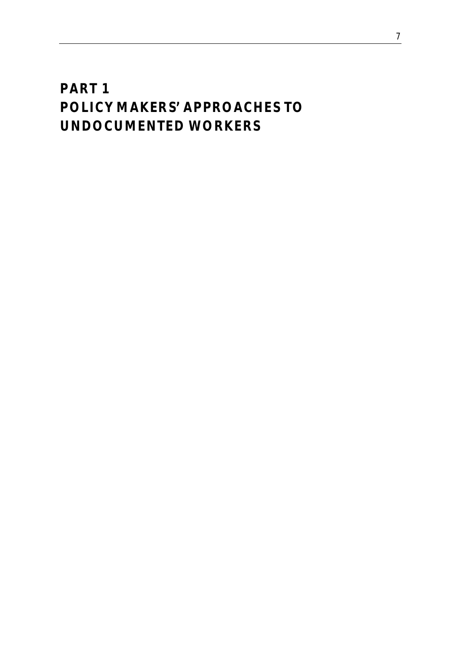# *PART 1 POLICY MAKERS' APPROACHES TO UNDOCUMENTED WORKERS*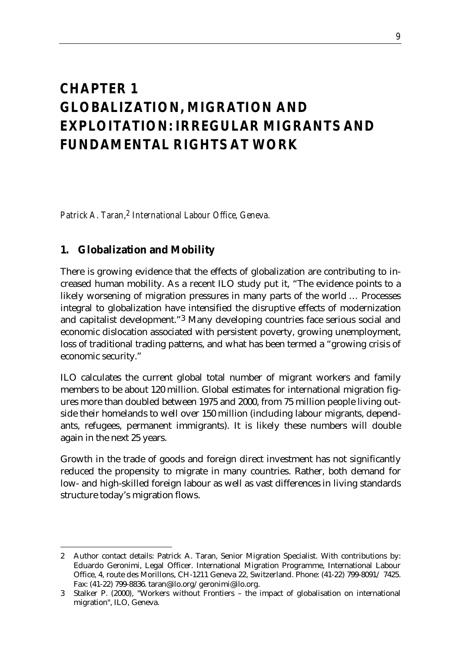# *CHAPTER 1 GLOBALIZATION, MIGRATION AND EXPLOITATION: IRREGULAR MIGRANTS AND FUNDAMENTAL RIGHTS AT WORK*

*Patrick A. Taran,2 International Labour Office, Geneva.*

## **1. Globalization and Mobility**

There is growing evidence that the effects of globalization are contributing to increased human mobility. As a recent ILO study put it, "The evidence points to a likely worsening of migration pressures in many parts of the world … Processes integral to globalization have intensified the disruptive effects of modernization and capitalist development."3 Many developing countries face serious social and economic dislocation associated with persistent poverty, growing unemployment, loss of traditional trading patterns, and what has been termed a "growing crisis of economic security."

ILO calculates the current global total number of migrant workers and family members to be about 120 million. Global estimates for international migration figures more than doubled between 1975 and 2000, from 75 million people living outside their homelands to well over 150 million (including labour migrants, dependants, refugees, permanent immigrants). It is likely these numbers will double again in the next 25 years.

Growth in the trade of goods and foreign direct investment has not significantly reduced the propensity to migrate in many countries. Rather, both demand for low- and high-skilled foreign labour as well as vast differences in living standards structure today's migration flows.

<sup>&</sup>lt;u>.</u> 2 Author contact details: Patrick A. Taran, Senior Migration Specialist. With contributions by: Eduardo Geronimi, Legal Officer. International Migration Programme, International Labour Office, 4, route des Morillons, CH-1211 Geneva 22, Switzerland. Phone: (41-22) 799-8091/ 7425. Fax: (41-22) 799-8836. taran@ilo.org/geronimi@ilo.org.

<sup>3</sup> Stalker P. (2000), "Workers without Frontiers – the impact of globalisation on international migration", ILO, Geneva.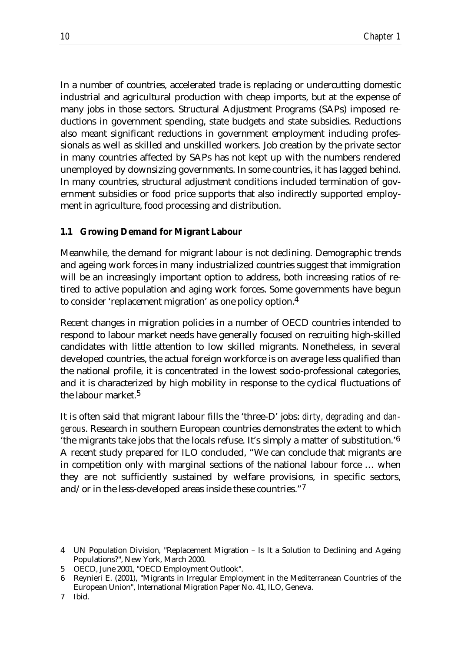In a number of countries, accelerated trade is replacing or undercutting domestic industrial and agricultural production with cheap imports, but at the expense of many jobs in those sectors. Structural Adjustment Programs (SAPs) imposed reductions in government spending, state budgets and state subsidies. Reductions also meant significant reductions in government employment including professionals as well as skilled and unskilled workers. Job creation by the private sector in many countries affected by SAPs has not kept up with the numbers rendered unemployed by downsizing governments. In some countries, it has lagged behind. In many countries, structural adjustment conditions included termination of government subsidies or food price supports that also indirectly supported employment in agriculture, food processing and distribution.

#### **1.1 Growing Demand for Migrant Labour**

Meanwhile, the demand for migrant labour is not declining. Demographic trends and ageing work forces in many industrialized countries suggest that immigration will be an increasingly important option to address, both increasing ratios of retired to active population and aging work forces. Some governments have begun to consider 'replacement migration' as one policy option.4

Recent changes in migration policies in a number of OECD countries intended to respond to labour market needs have generally focused on recruiting high-skilled candidates with little attention to low skilled migrants. Nonetheless, in several developed countries, the actual foreign workforce is on average less qualified than the national profile, it is concentrated in the lowest socio-professional categories, and it is characterized by high mobility in response to the cyclical fluctuations of the labour market  $5$ 

It is often said that migrant labour fills the 'three-D' jobs: *dirty, degrading and dangerous*. Research in southern European countries demonstrates the extent to which 'the migrants take jobs that the locals refuse. It's simply a matter of substitution.'6 A recent study prepared for ILO concluded, "We can conclude that migrants are in competition only with marginal sections of the national labour force … when they are not sufficiently sustained by welfare provisions, in specific sectors, and/or in the less-developed areas inside these countries."7

<u>.</u>

<sup>4</sup> UN Population Division*,* "Replacement Migration – Is It a Solution to Declining and Ageing Populations?", New York, March 2000.

<sup>5</sup> OECD, June 2001, "OECD Employment Outlook".

<sup>6</sup> Reynieri E. (2001), "Migrants in Irregular Employment in the Mediterranean Countries of the European Union", International Migration Paper No. 41, ILO, Geneva.

<sup>7</sup> Ibid.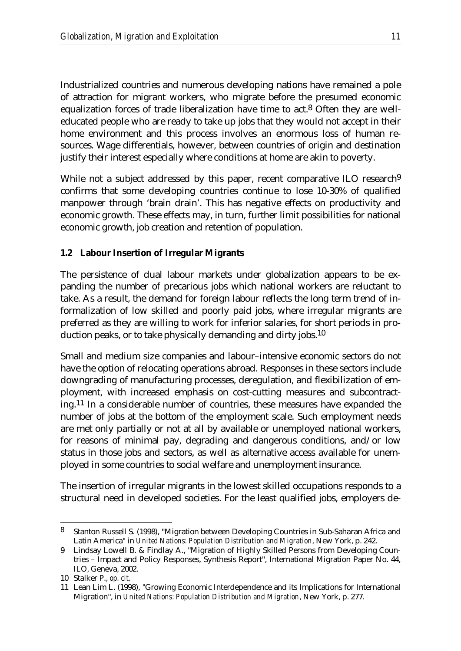Industrialized countries and numerous developing nations have remained a pole of attraction for migrant workers, who migrate before the presumed economic equalization forces of trade liberalization have time to act. $8$  Often they are welleducated people who are ready to take up jobs that they would not accept in their home environment and this process involves an enormous loss of human resources. Wage differentials, however, between countries of origin and destination justify their interest especially where conditions at home are akin to poverty.

While not a subject addressed by this paper, recent comparative ILO research<sup>9</sup> confirms that some developing countries continue to lose 10-30% of qualified manpower through 'brain drain'. This has negative effects on productivity and economic growth. These effects may, in turn, further limit possibilities for national economic growth, job creation and retention of population.

#### **1.2 Labour Insertion of Irregular Migrants**

The persistence of dual labour markets under globalization appears to be expanding the number of precarious jobs which national workers are reluctant to take. As a result, the demand for foreign labour reflects the long term trend of informalization of low skilled and poorly paid jobs, where irregular migrants are preferred as they are willing to work for inferior salaries, for short periods in production peaks, or to take physically demanding and dirty jobs.10

Small and medium size companies and labour–intensive economic sectors do not have the option of relocating operations abroad. Responses in these sectors include downgrading of manufacturing processes, deregulation, and flexibilization of employment, with increased emphasis on cost-cutting measures and subcontracting.11 In a considerable number of countries, these measures have expanded the number of jobs at the bottom of the employment scale. Such employment needs are met only partially or not at all by available or unemployed national workers, for reasons of minimal pay, degrading and dangerous conditions, and/or low status in those jobs and sectors, as well as alternative access available for unemployed in some countries to social welfare and unemployment insurance.

The insertion of irregular migrants in the lowest skilled occupations responds to a structural need in developed societies. For the least qualified jobs, employers de-

<sup>8</sup> 8 Stanton Russell S. (1998), "Migration between Developing Countries in Sub-Saharan Africa and Latin America" in *United Nations: Population Distribution and Migration*, New York, p. 242.

<sup>9</sup> Lindsay Lowell B. & Findlay A., "Migration of Highly Skilled Persons from Developing Countries – Impact and Policy Responses, Synthesis Report", International Migration Paper No. 44, ILO, Geneva, 2002.

<sup>10</sup> Stalker P., *op. cit.*

<sup>11</sup> Lean Lim L. (1998), "Growing Economic Interdependence and its Implications for International Migration", in *United Nations: Population Distribution and Migration*, New York, p. 277.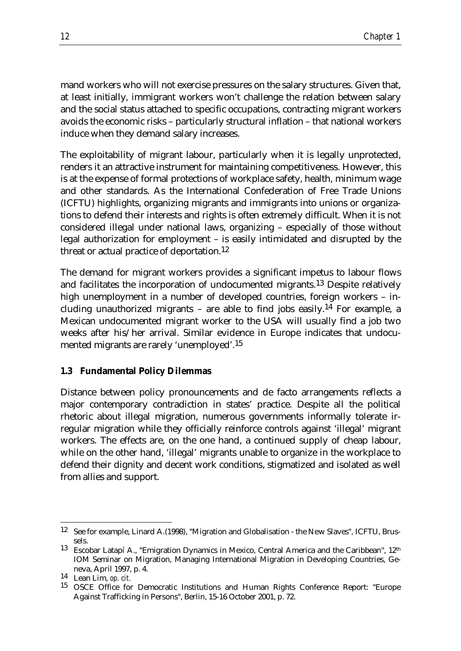mand workers who will not exercise pressures on the salary structures. Given that, at least initially, immigrant workers won't challenge the relation between salary and the social status attached to specific occupations, contracting migrant workers avoids the economic risks – particularly structural inflation – that national workers induce when they demand salary increases.

The exploitability of migrant labour, particularly when it is legally unprotected, renders it an attractive instrument for maintaining competitiveness. However, this is at the expense of formal protections of workplace safety, health, minimum wage and other standards. As the International Confederation of Free Trade Unions (ICFTU) highlights, organizing migrants and immigrants into unions or organizations to defend their interests and rights is often extremely difficult. When it is not considered illegal under national laws, organizing – especially of those without legal authorization for employment – is easily intimidated and disrupted by the threat or actual practice of deportation.12

The demand for migrant workers provides a significant impetus to labour flows and facilitates the incorporation of undocumented migrants.13 Despite relatively high unemployment in a number of developed countries, foreign workers – including unauthorized migrants – are able to find jobs easily.<sup>14</sup> For example, a Mexican undocumented migrant worker to the USA will usually find a job two weeks after his/her arrival. Similar evidence in Europe indicates that undocumented migrants are rarely 'unemployed'.15

#### **1.3 Fundamental Policy Dilemmas**

Distance between policy pronouncements and de facto arrangements reflects a major contemporary contradiction in states' practice. Despite all the political rhetoric about illegal migration, numerous governments informally tolerate irregular migration while they officially reinforce controls against 'illegal' migrant workers. The effects are, on the one hand, a continued supply of cheap labour, while on the other hand, 'illegal' migrants unable to organize in the workplace to defend their dignity and decent work conditions, stigmatized and isolated as well from allies and support.

<sup>&</sup>lt;u>.</u> 12 See for example, Linard A.(1998), "Migration and Globalisation - the New Slaves"*,* ICFTU, Brussels.

<sup>&</sup>lt;sup>13</sup> Escobar Latapí A., "Emigration Dynamics in Mexico, Central America and the Caribbean",  $12<sup>th</sup>$ IOM Seminar on Migration, Managing International Migration in Developing Countries, Geneva, April 1997, p. 4.

<sup>14</sup> Lean Lim, *op. cit.*

<sup>15</sup> OSCE Office for Democratic Institutions and Human Rights Conference Report: "Europe Against Trafficking in Persons", Berlin, 15-16 October 2001, p. 72.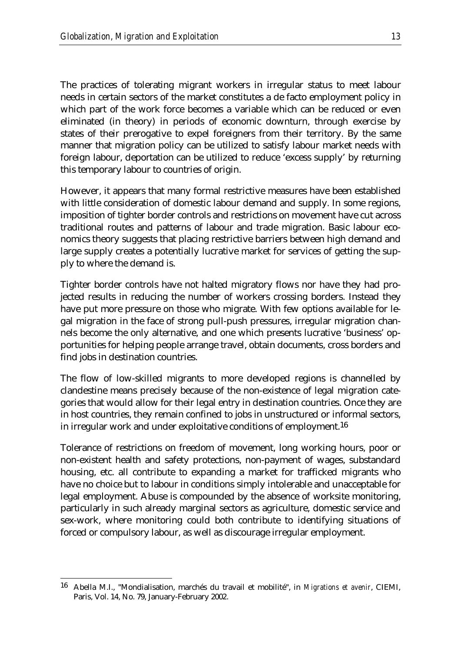The practices of tolerating migrant workers in irregular status to meet labour needs in certain sectors of the market constitutes a de facto employment policy in which part of the work force becomes a variable which can be reduced or even eliminated (in theory) in periods of economic downturn, through exercise by states of their prerogative to expel foreigners from their territory. By the same manner that migration policy can be utilized to satisfy labour market needs with foreign labour, deportation can be utilized to reduce 'excess supply' by returning this temporary labour to countries of origin.

However, it appears that many formal restrictive measures have been established with little consideration of domestic labour demand and supply. In some regions, imposition of tighter border controls and restrictions on movement have cut across traditional routes and patterns of labour and trade migration. Basic labour economics theory suggests that placing restrictive barriers between high demand and large supply creates a potentially lucrative market for services of getting the supply to where the demand is.

Tighter border controls have not halted migratory flows nor have they had projected results in reducing the number of workers crossing borders. Instead they have put more pressure on those who migrate. With few options available for legal migration in the face of strong pull-push pressures, irregular migration channels become the only alternative, and one which presents lucrative 'business' opportunities for helping people arrange travel, obtain documents, cross borders and find jobs in destination countries.

The flow of low-skilled migrants to more developed regions is channelled by clandestine means precisely because of the non-existence of legal migration categories that would allow for their legal entry in destination countries. Once they are in host countries, they remain confined to jobs in unstructured or informal sectors, in irregular work and under exploitative conditions of employment.<sup>16</sup>

Tolerance of restrictions on freedom of movement, long working hours, poor or non-existent health and safety protections, non-payment of wages, substandard housing, etc. all contribute to expanding a market for trafficked migrants who have no choice but to labour in conditions simply intolerable and unacceptable for legal employment. Abuse is compounded by the absence of worksite monitoring, particularly in such already marginal sectors as agriculture, domestic service and sex-work, where monitoring could both contribute to identifying situations of forced or compulsory labour, as well as discourage irregular employment.

<u>.</u>

<sup>16</sup> Abella M.I., "Mondialisation, marchés du travail et mobilité", in *Migrations et avenir*, CIEMI, Paris, Vol. 14, No. 79, January-February 2002.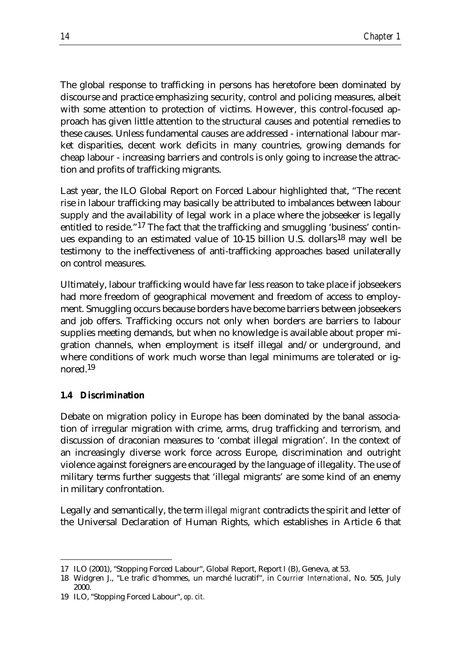The global response to trafficking in persons has heretofore been dominated by discourse and practice emphasizing security, control and policing measures, albeit with some attention to protection of victims. However, this control-focused approach has given little attention to the structural causes and potential remedies to these causes. Unless fundamental causes are addressed - international labour market disparities, decent work deficits in many countries, growing demands for cheap labour - increasing barriers and controls is only going to increase the attraction and profits of trafficking migrants.

Last year, the ILO Global Report on Forced Labour highlighted that, "The recent rise in labour trafficking may basically be attributed to imbalances between labour supply and the availability of legal work in a place where the jobseeker is legally entitled to reside."17 The fact that the trafficking and smuggling 'business' continues expanding to an estimated value of 10-15 billion U.S. dollars18 may well be testimony to the ineffectiveness of anti-trafficking approaches based unilaterally on control measures.

Ultimately, labour trafficking would have far less reason to take place if jobseekers had more freedom of geographical movement and freedom of access to employment. Smuggling occurs because borders have become barriers between jobseekers and job offers. Trafficking occurs not only when borders are barriers to labour supplies meeting demands, but when no knowledge is available about proper migration channels, when employment is itself illegal and/or underground, and where conditions of work much worse than legal minimums are tolerated or ignored.19

#### **1.4 Discrimination**

Debate on migration policy in Europe has been dominated by the banal association of irregular migration with crime, arms, drug trafficking and terrorism, and discussion of draconian measures to 'combat illegal migration'. In the context of an increasingly diverse work force across Europe, discrimination and outright violence against foreigners are encouraged by the language of illegality. The use of military terms further suggests that 'illegal migrants' are some kind of an enemy in military confrontation.

Legally and semantically, the term *illegal migrant* contradicts the spirit and letter of the Universal Declaration of Human Rights, which establishes in Article 6 that

<sup>&</sup>lt;u>.</u> 17 ILO (2001), "Stopping Forced Labour", Global Report, Report I (B), Geneva, at 53.

<sup>18</sup> Widgren J., "Le trafic d'hommes, un marché lucratif", in *Courrier International*, No. 505, July 2000.

<sup>19</sup> ILO, "Stopping Forced Labour", *op. cit.*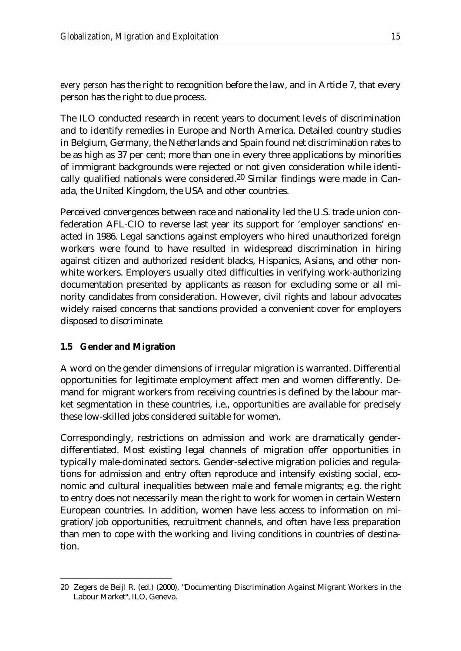*every person* has the right to recognition before the law, and in Article 7, that every person has the right to due process.

The ILO conducted research in recent years to document levels of discrimination and to identify remedies in Europe and North America. Detailed country studies in Belgium, Germany, the Netherlands and Spain found net discrimination rates to be as high as 37 per cent; more than one in every three applications by minorities of immigrant backgrounds were rejected or not given consideration while identically qualified nationals were considered.20 Similar findings were made in Canada, the United Kingdom, the USA and other countries.

Perceived convergences between race and nationality led the U.S. trade union confederation AFL-CIO to reverse last year its support for 'employer sanctions' enacted in 1986. Legal sanctions against employers who hired unauthorized foreign workers were found to have resulted in widespread discrimination in hiring against citizen and authorized resident blacks, Hispanics, Asians, and other nonwhite workers. Employers usually cited difficulties in verifying work-authorizing documentation presented by applicants as reason for excluding some or all minority candidates from consideration. However, civil rights and labour advocates widely raised concerns that sanctions provided a convenient cover for employers disposed to discriminate.

#### **1.5 Gender and Migration**

<u>.</u>

A word on the gender dimensions of irregular migration is warranted. Differential opportunities for legitimate employment affect men and women differently. Demand for migrant workers from receiving countries is defined by the labour market segmentation in these countries, i.e., opportunities are available for precisely these low-skilled jobs considered suitable for women.

Correspondingly, restrictions on admission and work are dramatically genderdifferentiated. Most existing legal channels of migration offer opportunities in typically male-dominated sectors. Gender-selective migration policies and regulations for admission and entry often reproduce and intensify existing social, economic and cultural inequalities between male and female migrants; e.g. the right to entry does not necessarily mean the right to work for women in certain Western European countries. In addition, women have less access to information on migration/job opportunities, recruitment channels, and often have less preparation than men to cope with the working and living conditions in countries of destination.

<sup>20</sup> Zegers de Beijl R. (ed.) (2000), "Documenting Discrimination Against Migrant Workers in the Labour Market", ILO, Geneva.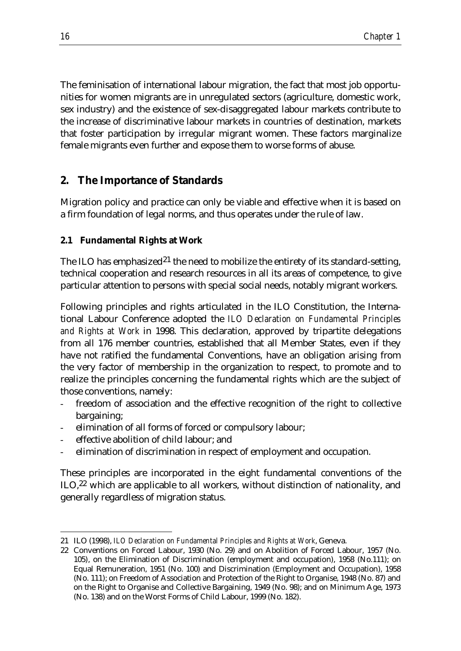The feminisation of international labour migration, the fact that most job opportunities for women migrants are in unregulated sectors (agriculture, domestic work, sex industry) and the existence of sex-disaggregated labour markets contribute to the increase of discriminative labour markets in countries of destination, markets that foster participation by irregular migrant women. These factors marginalize female migrants even further and expose them to worse forms of abuse.

## **2. The Importance of Standards**

Migration policy and practice can only be viable and effective when it is based on a firm foundation of legal norms, and thus operates under the rule of law.

### **2.1 Fundamental Rights at Work**

The ILO has emphasized<sup>21</sup> the need to mobilize the entirety of its standard-setting, technical cooperation and research resources in all its areas of competence, to give particular attention to persons with special social needs, notably migrant workers.

Following principles and rights articulated in the ILO Constitution, the International Labour Conference adopted the *ILO Declaration on Fundamental Principles and Rights at Work* in 1998. This declaration, approved by tripartite delegations from all 176 member countries, established that all Member States, even if they have not ratified the fundamental Conventions, have an obligation arising from the very factor of membership in the organization to respect, to promote and to realize the principles concerning the fundamental rights which are the subject of those conventions, namely:

- freedom of association and the effective recognition of the right to collective bargaining;
- elimination of all forms of forced or compulsory labour:
- effective abolition of child labour; and
- elimination of discrimination in respect of employment and occupation.

These principles are incorporated in the eight fundamental conventions of the ILO,<sup>22</sup> which are applicable to all workers, without distinction of nationality, and generally regardless of migration status.

<sup>&</sup>lt;u>.</u> 21 ILO (1998), *ILO Declaration on Fundamental Principles and Rights at Work*, Geneva.

<sup>22</sup> Conventions on Forced Labour, 1930 (No. 29) and on Abolition of Forced Labour, 1957 (No. 105), on the Elimination of Discrimination (employment and occupation), 1958 (No.111); on Equal Remuneration, 1951 (No. 100) and Discrimination (Employment and Occupation), 1958 (No. 111); on Freedom of Association and Protection of the Right to Organise, 1948 (No. 87) and on the Right to Organise and Collective Bargaining, 1949 (No. 98); and on Minimum Age, 1973 (No. 138) and on the Worst Forms of Child Labour, 1999 (No. 182).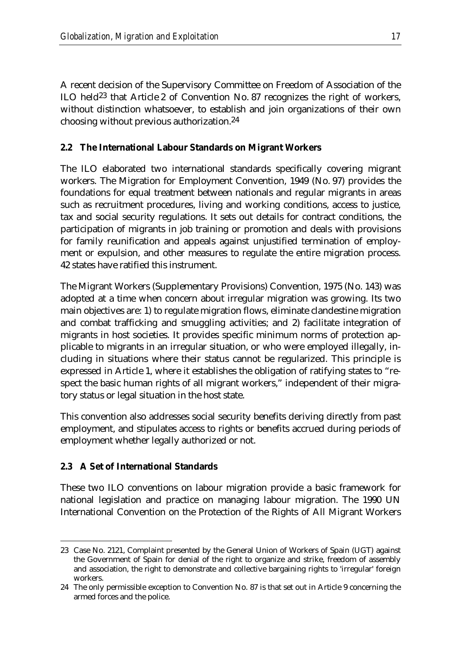A recent decision of the Supervisory Committee on Freedom of Association of the ILO held23 that Article 2 of Convention No. 87 recognizes the right of workers, without distinction whatsoever, to establish and join organizations of their own choosing without previous authorization.24

### **2.2 The International Labour Standards on Migrant Workers**

The ILO elaborated two international standards specifically covering migrant workers. The Migration for Employment Convention, 1949 (No. 97) provides the foundations for equal treatment between nationals and regular migrants in areas such as recruitment procedures, living and working conditions, access to justice, tax and social security regulations. It sets out details for contract conditions, the participation of migrants in job training or promotion and deals with provisions for family reunification and appeals against unjustified termination of employment or expulsion, and other measures to regulate the entire migration process. 42 states have ratified this instrument.

The Migrant Workers (Supplementary Provisions) Convention, 1975 (No. 143) was adopted at a time when concern about irregular migration was growing. Its two main objectives are: 1) to regulate migration flows, eliminate clandestine migration and combat trafficking and smuggling activities; and 2) facilitate integration of migrants in host societies. It provides specific minimum norms of protection applicable to migrants in an irregular situation, or who were employed illegally, including in situations where their status cannot be regularized. This principle is expressed in Article 1, where it establishes the obligation of ratifying states to "respect the basic human rights of all migrant workers," independent of their migratory status or legal situation in the host state.

This convention also addresses social security benefits deriving directly from past employment, and stipulates access to rights or benefits accrued during periods of employment whether legally authorized or not.

## **2.3 A Set of International Standards**

These two ILO conventions on labour migration provide a basic framework for national legislation and practice on managing labour migration. The 1990 UN International Convention on the Protection of the Rights of All Migrant Workers

<sup>&</sup>lt;u>.</u> 23 Case No. 2121, Complaint presented by the General Union of Workers of Spain (UGT) against the Government of Spain for denial of the right to organize and strike, freedom of assembly and association, the right to demonstrate and collective bargaining rights to 'irregular' foreign workers.

<sup>24</sup> The only permissible exception to Convention No. 87 is that set out in Article 9 concerning the armed forces and the police.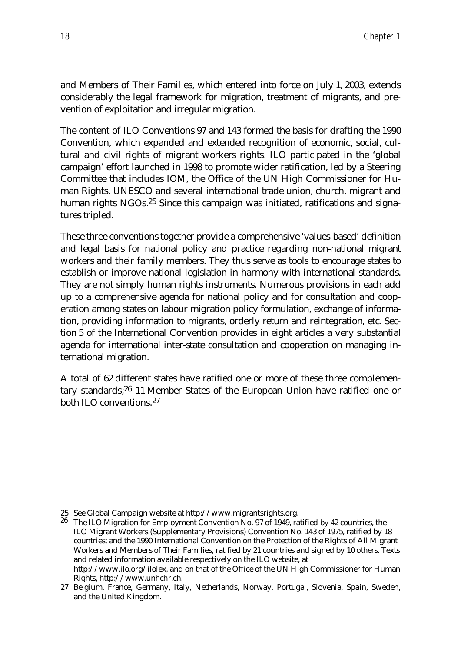and Members of Their Families, which entered into force on July 1, 2003, extends considerably the legal framework for migration, treatment of migrants, and prevention of exploitation and irregular migration.

The content of ILO Conventions 97 and 143 formed the basis for drafting the 1990 Convention, which expanded and extended recognition of economic, social, cultural and civil rights of migrant workers rights. ILO participated in the 'global campaign' effort launched in 1998 to promote wider ratification, led by a Steering Committee that includes IOM, the Office of the UN High Commissioner for Human Rights, UNESCO and several international trade union, church, migrant and human rights NGOs.<sup>25</sup> Since this campaign was initiated, ratifications and signatures tripled.

These three conventions together provide a comprehensive 'values-based' definition and legal basis for national policy and practice regarding non-national migrant workers and their family members. They thus serve as tools to encourage states to establish or improve national legislation in harmony with international standards. They are not simply human rights instruments. Numerous provisions in each add up to a comprehensive agenda for national policy and for consultation and cooperation among states on labour migration policy formulation, exchange of information, providing information to migrants, orderly return and reintegration, etc. Section 5 of the International Convention provides in eight articles a very substantial agenda for international inter-state consultation and cooperation on managing international migration.

A total of 62 different states have ratified one or more of these three complementary standards;26 11 Member States of the European Union have ratified one or both ILO conventions.27

<u>.</u>

<sup>25</sup> See Global Campaign website at http://www.migrantsrights.org.

<sup>26</sup> The ILO Migration for Employment Convention No. 97 of 1949, ratified by 42 countries, the ILO Migrant Workers (Supplementary Provisions) Convention No. 143 of 1975, ratified by 18 countries; and the 1990 International Convention on the Protection of the Rights of All Migrant Workers and Members of Their Families, ratified by 21 countries and signed by 10 others. Texts and related information available respectively on the ILO website, at http://www.ilo.org/ilolex, and on that of the Office of the UN High Commissioner for Human Rights, http://www.unhchr.ch.

<sup>27</sup> Belgium, France, Germany, Italy, Netherlands, Norway, Portugal, Slovenia, Spain, Sweden, and the United Kingdom.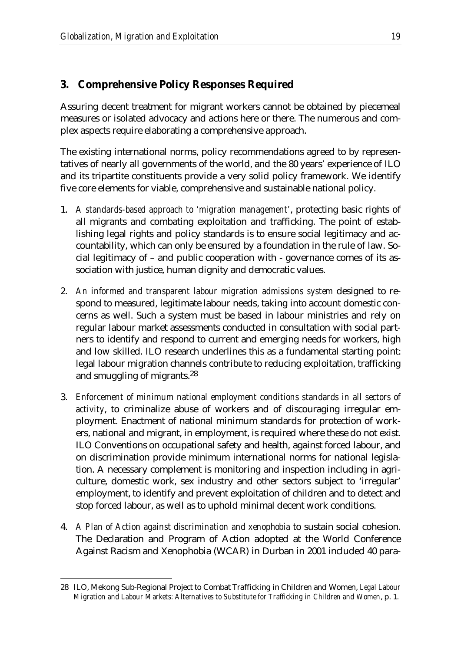# **3. Comprehensive Policy Responses Required**

Assuring decent treatment for migrant workers cannot be obtained by piecemeal measures or isolated advocacy and actions here or there. The numerous and complex aspects require elaborating a comprehensive approach.

The existing international norms, policy recommendations agreed to by representatives of nearly all governments of the world, and the 80 years' experience of ILO and its tripartite constituents provide a very solid policy framework. We identify five core elements for viable, comprehensive and sustainable national policy.

- 1. *A standards-based approach to 'migration management'*, protecting basic rights of all migrants and combating exploitation and trafficking. The point of establishing legal rights and policy standards is to ensure social legitimacy and accountability, which can only be ensured by a foundation in the rule of law. Social legitimacy of – and public cooperation with - governance comes of its association with justice, human dignity and democratic values.
- 2. An informed and transparent labour migration admissions system designed to respond to measured, legitimate labour needs, taking into account domestic concerns as well. Such a system must be based in labour ministries and rely on regular labour market assessments conducted in consultation with social partners to identify and respond to current and emerging needs for workers, high and low skilled. ILO research underlines this as a fundamental starting point: legal labour migration channels contribute to reducing exploitation, trafficking and smuggling of migrants.28
- 3. *Enforcement of minimum national employment conditions standards in all sectors of activity*, to criminalize abuse of workers and of discouraging irregular employment. Enactment of national minimum standards for protection of workers, national and migrant, in employment, is required where these do not exist. ILO Conventions on occupational safety and health, against forced labour, and on discrimination provide minimum international norms for national legislation. A necessary complement is monitoring and inspection including in agriculture, domestic work, sex industry and other sectors subject to 'irregular' employment, to identify and prevent exploitation of children and to detect and stop forced labour, as well as to uphold minimal decent work conditions.
- 4. *A Plan of Action against discrimination and xenophobia* to sustain social cohesion. The Declaration and Program of Action adopted at the World Conference Against Racism and Xenophobia (WCAR) in Durban in 2001 included 40 para-

<sup>&</sup>lt;u>.</u> 28 ILO, Mekong Sub-Regional Project to Combat Trafficking in Children and Women, *Legal Labour Migration and Labour Markets: Alternatives to Substitute for Trafficking in Children and Women*, p. 1.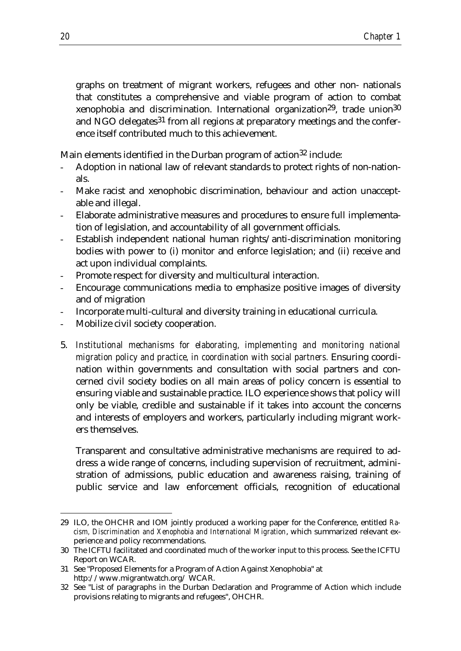graphs on treatment of migrant workers, refugees and other non- nationals that constitutes a comprehensive and viable program of action to combat xenophobia and discrimination. International organization29, trade union30 and NGO delegates<sup>31</sup> from all regions at preparatory meetings and the conference itself contributed much to this achievement.

Main elements identified in the Durban program of action<sup>32</sup> include:

- Adoption in national law of relevant standards to protect rights of non-nationals.
- Make racist and xenophobic discrimination, behaviour and action unacceptable and illegal.
- Elaborate administrative measures and procedures to ensure full implementation of legislation, and accountability of all government officials.
- Establish independent national human rights/anti-discrimination monitoring bodies with power to (i) monitor and enforce legislation; and (ii) receive and act upon individual complaints.
- Promote respect for diversity and multicultural interaction.
- Encourage communications media to emphasize positive images of diversity and of migration
- Incorporate multi-cultural and diversity training in educational curricula.
- Mobilize civil society cooperation.
- 5. *Institutional mechanisms for elaborating, implementing and monitoring national migration policy and practice, in coordination with social partners.* Ensuring coordination within governments and consultation with social partners and concerned civil society bodies on all main areas of policy concern is essential to ensuring viable and sustainable practice. ILO experience shows that policy will only be viable, credible and sustainable if it takes into account the concerns and interests of employers and workers, particularly including migrant workers themselves.

Transparent and consultative administrative mechanisms are required to address a wide range of concerns, including supervision of recruitment, administration of admissions, public education and awareness raising, training of public service and law enforcement officials, recognition of educational

<sup>&</sup>lt;u>.</u> 29 ILO, the OHCHR and IOM jointly produced a working paper for the Conference, entitled *Racism, Discrimination and Xenophobia and International Migration*, which summarized relevant experience and policy recommendations.

<sup>30</sup> The ICFTU facilitated and coordinated much of the worker input to this process. See the ICFTU Report on WCAR.

<sup>31</sup> See "Proposed Elements for a Program of Action Against Xenophobia" at http://www.migrantwatch.org/ WCAR.

<sup>32</sup> See "List of paragraphs in the Durban Declaration and Programme of Action which include provisions relating to migrants and refugees", OHCHR.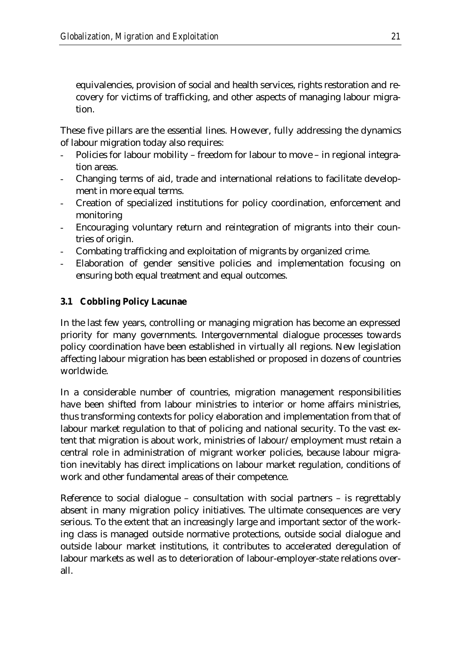equivalencies, provision of social and health services, rights restoration and recovery for victims of trafficking, and other aspects of managing labour migration.

These five pillars are the essential lines. However, fully addressing the dynamics of labour migration today also requires:

- Policies for labour mobility freedom for labour to move in regional integration areas.
- Changing terms of aid, trade and international relations to facilitate development in more equal terms.
- Creation of specialized institutions for policy coordination, enforcement and monitoring
- Encouraging voluntary return and reintegration of migrants into their countries of origin.
- Combating trafficking and exploitation of migrants by organized crime.
- Elaboration of gender sensitive policies and implementation focusing on ensuring both equal treatment and equal outcomes.

## **3.1 Cobbling Policy Lacunae**

In the last few years, controlling or managing migration has become an expressed priority for many governments. Intergovernmental dialogue processes towards policy coordination have been established in virtually all regions. New legislation affecting labour migration has been established or proposed in dozens of countries worldwide.

In a considerable number of countries, migration management responsibilities have been shifted from labour ministries to interior or home affairs ministries, thus transforming contexts for policy elaboration and implementation from that of labour market regulation to that of policing and national security. To the vast extent that migration is about work, ministries of labour/employment must retain a central role in administration of migrant worker policies, because labour migration inevitably has direct implications on labour market regulation, conditions of work and other fundamental areas of their competence.

Reference to social dialogue – consultation with social partners – is regrettably absent in many migration policy initiatives. The ultimate consequences are very serious. To the extent that an increasingly large and important sector of the working class is managed outside normative protections, outside social dialogue and outside labour market institutions, it contributes to accelerated deregulation of labour markets as well as to deterioration of labour-employer-state relations overall.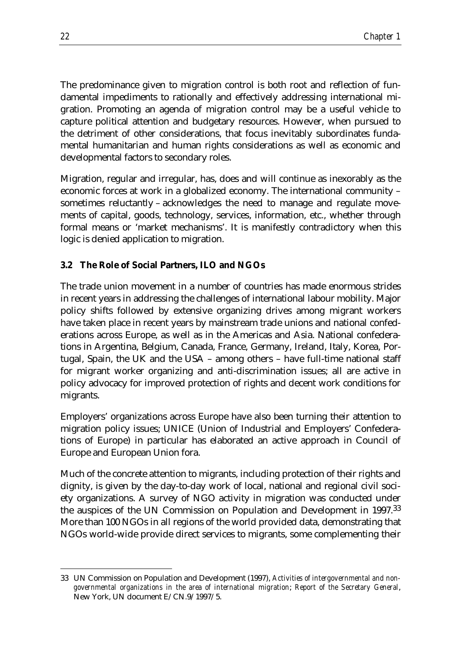The predominance given to migration control is both root and reflection of fundamental impediments to rationally and effectively addressing international migration. Promoting an agenda of migration control may be a useful vehicle to capture political attention and budgetary resources. However, when pursued to the detriment of other considerations, that focus inevitably subordinates fundamental humanitarian and human rights considerations as well as economic and developmental factors to secondary roles.

Migration, regular and irregular, has, does and will continue as inexorably as the economic forces at work in a globalized economy. The international community – sometimes reluctantly – acknowledges the need to manage and regulate movements of capital, goods, technology, services, information, etc., whether through formal means or 'market mechanisms'. It is manifestly contradictory when this logic is denied application to migration.

#### **3.2 The Role of Social Partners, ILO and NGOs**

The trade union movement in a number of countries has made enormous strides in recent years in addressing the challenges of international labour mobility. Major policy shifts followed by extensive organizing drives among migrant workers have taken place in recent years by mainstream trade unions and national confederations across Europe, as well as in the Americas and Asia. National confederations in Argentina, Belgium, Canada, France, Germany, Ireland, Italy, Korea, Portugal, Spain, the UK and the USA – among others – have full-time national staff for migrant worker organizing and anti-discrimination issues; all are active in policy advocacy for improved protection of rights and decent work conditions for migrants.

Employers' organizations across Europe have also been turning their attention to migration policy issues; UNICE (Union of Industrial and Employers' Confederations of Europe) in particular has elaborated an active approach in Council of Europe and European Union fora.

Much of the concrete attention to migrants, including protection of their rights and dignity, is given by the day-to-day work of local, national and regional civil society organizations. A survey of NGO activity in migration was conducted under the auspices of the UN Commission on Population and Development in 1997.33 More than 100 NGOs in all regions of the world provided data, demonstrating that NGOs world-wide provide direct services to migrants, some complementing their

<sup>&</sup>lt;u>.</u> 33 UN Commission on Population and Development (1997), *Activities of intergovernmental and nongovernmental organizations in the area of international migration*; *Report of the Secretary General*, New York, UN document E/CN.9/1997/5.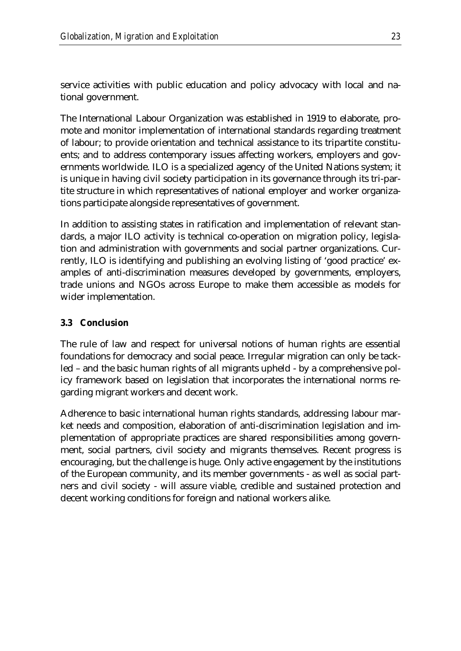service activities with public education and policy advocacy with local and national government.

The International Labour Organization was established in 1919 to elaborate, promote and monitor implementation of international standards regarding treatment of labour; to provide orientation and technical assistance to its tripartite constituents; and to address contemporary issues affecting workers, employers and governments worldwide. ILO is a specialized agency of the United Nations system; it is unique in having civil society participation in its governance through its tri-partite structure in which representatives of national employer and worker organizations participate alongside representatives of government.

In addition to assisting states in ratification and implementation of relevant standards, a major ILO activity is technical co-operation on migration policy, legislation and administration with governments and social partner organizations. Currently, ILO is identifying and publishing an evolving listing of 'good practice' examples of anti-discrimination measures developed by governments, employers, trade unions and NGOs across Europe to make them accessible as models for wider implementation.

#### **3.3 Conclusion**

The rule of law and respect for universal notions of human rights are essential foundations for democracy and social peace. Irregular migration can only be tackled – and the basic human rights of all migrants upheld - by a comprehensive policy framework based on legislation that incorporates the international norms regarding migrant workers and decent work.

Adherence to basic international human rights standards, addressing labour market needs and composition, elaboration of anti-discrimination legislation and implementation of appropriate practices are shared responsibilities among government, social partners, civil society and migrants themselves. Recent progress is encouraging, but the challenge is huge. Only active engagement by the institutions of the European community, and its member governments - as well as social partners and civil society - will assure viable, credible and sustained protection and decent working conditions for foreign and national workers alike.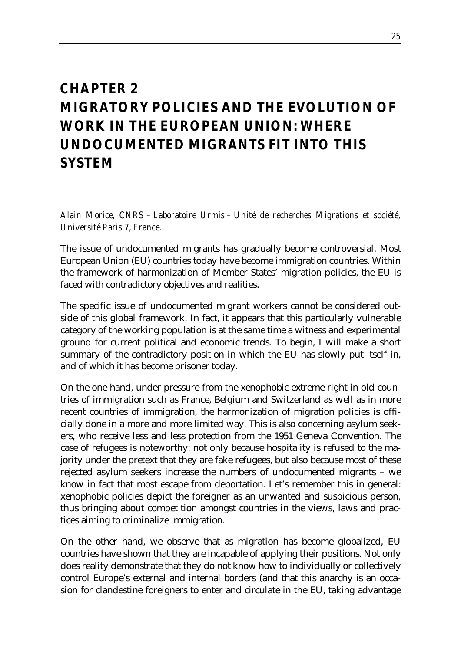## *CHAPTER 2 MIGRATORY POLICIES AND THE EVOLUTION OF WORK IN THE EUROPEAN UNION: WHERE UNDOCUMENTED MIGRANTS FIT INTO THIS SYSTEM*

*Alain Morice, CNRS – Laboratoire Urmis – Unité de recherches Migrations et société, Université Paris 7, France.*

The issue of undocumented migrants has gradually become controversial. Most European Union (EU) countries today have become immigration countries. Within the framework of harmonization of Member States' migration policies, the EU is faced with contradictory objectives and realities.

The specific issue of undocumented migrant workers cannot be considered outside of this global framework. In fact, it appears that this particularly vulnerable category of the working population is at the same time a witness and experimental ground for current political and economic trends. To begin, I will make a short summary of the contradictory position in which the EU has slowly put itself in, and of which it has become prisoner today.

On the one hand, under pressure from the xenophobic extreme right in old countries of immigration such as France, Belgium and Switzerland as well as in more recent countries of immigration, the harmonization of migration policies is officially done in a more and more limited way. This is also concerning asylum seekers, who receive less and less protection from the 1951 Geneva Convention. The case of refugees is noteworthy: not only because hospitality is refused to the majority under the pretext that they are fake refugees, but also because most of these rejected asylum seekers increase the numbers of undocumented migrants – we know in fact that most escape from deportation. Let's remember this in general: xenophobic policies depict the foreigner as an unwanted and suspicious person, thus bringing about competition amongst countries in the views, laws and practices aiming to criminalize immigration.

On the other hand, we observe that as migration has become globalized, EU countries have shown that they are incapable of applying their positions. Not only does reality demonstrate that they do not know how to individually or collectively control Europe's external and internal borders (and that this anarchy is an occasion for clandestine foreigners to enter and circulate in the EU, taking advantage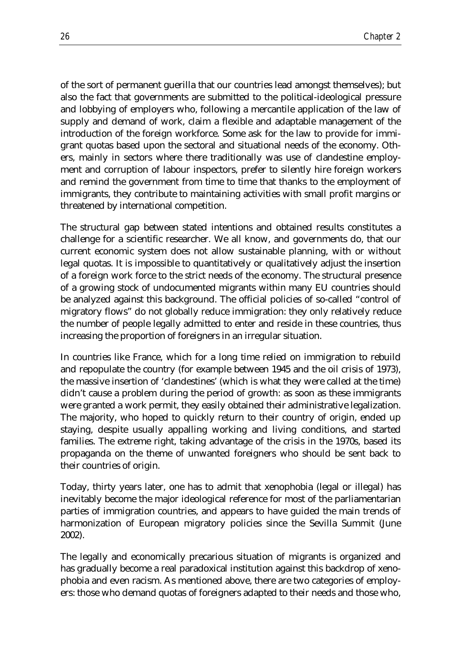of the sort of permanent guerilla that our countries lead amongst themselves); but also the fact that governments are submitted to the political-ideological pressure and lobbying of employers who, following a mercantile application of the law of supply and demand of work, claim a flexible and adaptable management of the introduction of the foreign workforce. Some ask for the law to provide for immigrant quotas based upon the sectoral and situational needs of the economy. Others, mainly in sectors where there traditionally was use of clandestine employment and corruption of labour inspectors, prefer to silently hire foreign workers and remind the government from time to time that thanks to the employment of immigrants, they contribute to maintaining activities with small profit margins or threatened by international competition.

The structural gap between stated intentions and obtained results constitutes a challenge for a scientific researcher. We all know, and governments do, that our current economic system does not allow sustainable planning, with or without legal quotas. It is impossible to quantitatively or qualitatively adjust the insertion of a foreign work force to the strict needs of the economy. The structural presence of a growing stock of undocumented migrants within many EU countries should be analyzed against this background. The official policies of so-called "control of migratory flows" do not globally reduce immigration: they only relatively reduce the number of people legally admitted to enter and reside in these countries, thus increasing the proportion of foreigners in an irregular situation.

In countries like France, which for a long time relied on immigration to rebuild and repopulate the country (for example between 1945 and the oil crisis of 1973), the massive insertion of 'clandestines' (which is what they were called at the time) didn't cause a problem during the period of growth: as soon as these immigrants were granted a work permit, they easily obtained their administrative legalization. The majority, who hoped to quickly return to their country of origin, ended up staying, despite usually appalling working and living conditions, and started families. The extreme right, taking advantage of the crisis in the 1970s, based its propaganda on the theme of unwanted foreigners who should be sent back to their countries of origin.

Today, thirty years later, one has to admit that xenophobia (legal or illegal) has inevitably become the major ideological reference for most of the parliamentarian parties of immigration countries, and appears to have guided the main trends of harmonization of European migratory policies since the Sevilla Summit (June 2002).

The legally and economically precarious situation of migrants is organized and has gradually become a real paradoxical institution against this backdrop of xenophobia and even racism. As mentioned above, there are two categories of employers: those who demand quotas of foreigners adapted to their needs and those who,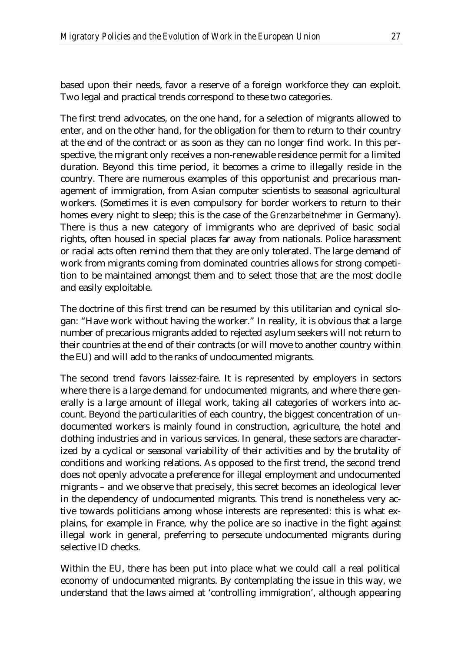based upon their needs, favor a reserve of a foreign workforce they can exploit. Two legal and practical trends correspond to these two categories.

The first trend advocates, on the one hand, for a selection of migrants allowed to enter, and on the other hand, for the obligation for them to return to their country at the end of the contract or as soon as they can no longer find work. In this perspective, the migrant only receives a non-renewable residence permit for a limited duration. Beyond this time period, it becomes a crime to illegally reside in the country. There are numerous examples of this opportunist and precarious management of immigration, from Asian computer scientists to seasonal agricultural workers. (Sometimes it is even compulsory for border workers to return to their homes every night to sleep; this is the case of the *Grenzarbeitnehmer* in Germany). There is thus a new category of immigrants who are deprived of basic social rights, often housed in special places far away from nationals. Police harassment or racial acts often remind them that they are only tolerated. The large demand of work from migrants coming from dominated countries allows for strong competition to be maintained amongst them and to select those that are the most docile and easily exploitable.

The doctrine of this first trend can be resumed by this utilitarian and cynical slogan: "Have work without having the worker." In reality, it is obvious that a large number of precarious migrants added to rejected asylum seekers will not return to their countries at the end of their contracts (or will move to another country within the EU) and will add to the ranks of undocumented migrants.

The second trend favors laissez-faire. It is represented by employers in sectors where there is a large demand for undocumented migrants, and where there generally is a large amount of illegal work, taking all categories of workers into account. Beyond the particularities of each country, the biggest concentration of undocumented workers is mainly found in construction, agriculture, the hotel and clothing industries and in various services. In general, these sectors are characterized by a cyclical or seasonal variability of their activities and by the brutality of conditions and working relations. As opposed to the first trend, the second trend does not openly advocate a preference for illegal employment and undocumented migrants – and we observe that precisely, this secret becomes an ideological lever in the dependency of undocumented migrants. This trend is nonetheless very active towards politicians among whose interests are represented: this is what explains, for example in France, why the police are so inactive in the fight against illegal work in general, preferring to persecute undocumented migrants during selective ID checks.

Within the EU, there has been put into place what we could call a real political economy of undocumented migrants. By contemplating the issue in this way, we understand that the laws aimed at 'controlling immigration', although appearing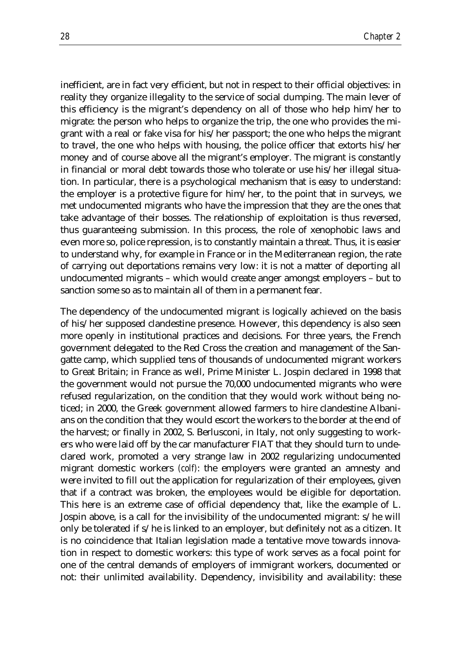inefficient, are in fact very efficient, but not in respect to their official objectives: in reality they organize illegality to the service of social dumping. The main lever of this efficiency is the migrant's dependency on all of those who help him/her to migrate: the person who helps to organize the trip, the one who provides the migrant with a real or fake visa for his/her passport; the one who helps the migrant to travel, the one who helps with housing, the police officer that extorts his/her money and of course above all the migrant's employer. The migrant is constantly in financial or moral debt towards those who tolerate or use his/her illegal situation. In particular, there is a psychological mechanism that is easy to understand: the employer is a protective figure for him/her, to the point that in surveys, we met undocumented migrants who have the impression that they are the ones that take advantage of their bosses. The relationship of exploitation is thus reversed, thus guaranteeing submission. In this process, the role of xenophobic laws and even more so, police repression, is to constantly maintain a threat. Thus, it is easier to understand why, for example in France or in the Mediterranean region, the rate of carrying out deportations remains very low: it is not a matter of deporting all undocumented migrants – which would create anger amongst employers – but to sanction some so as to maintain all of them in a permanent fear.

The dependency of the undocumented migrant is logically achieved on the basis of his/her supposed clandestine presence. However, this dependency is also seen more openly in institutional practices and decisions. For three years, the French government delegated to the Red Cross the creation and management of the Sangatte camp, which supplied tens of thousands of undocumented migrant workers to Great Britain; in France as well, Prime Minister L. Jospin declared in 1998 that the government would not pursue the 70,000 undocumented migrants who were refused regularization, on the condition that they would work without being noticed; in 2000, the Greek government allowed farmers to hire clandestine Albanians on the condition that they would escort the workers to the border at the end of the harvest; or finally in 2002, S. Berlusconi, in Italy, not only suggesting to workers who were laid off by the car manufacturer FIAT that they should turn to undeclared work, promoted a very strange law in 2002 regularizing undocumented migrant domestic workers *(colf)*: the employers were granted an amnesty and were invited to fill out the application for regularization of their employees, given that if a contract was broken, the employees would be eligible for deportation. This here is an extreme case of official dependency that, like the example of L. Jospin above, is a call for the invisibility of the undocumented migrant: s/he will only be tolerated if s/he is linked to an employer, but definitely not as a citizen. It is no coincidence that Italian legislation made a tentative move towards innovation in respect to domestic workers: this type of work serves as a focal point for one of the central demands of employers of immigrant workers, documented or not: their unlimited availability. Dependency, invisibility and availability: these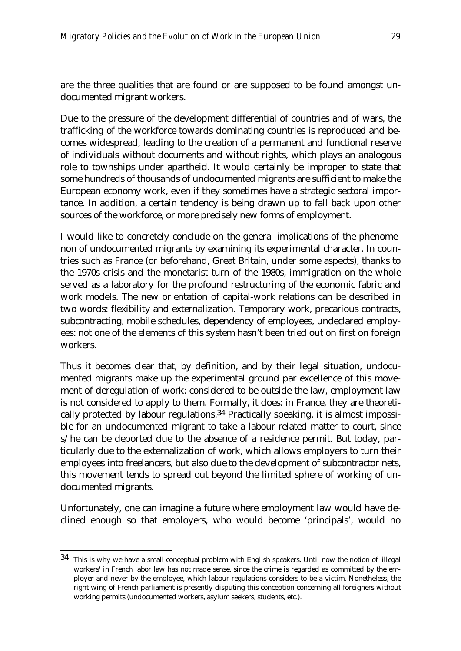are the three qualities that are found or are supposed to be found amongst undocumented migrant workers.

Due to the pressure of the development differential of countries and of wars, the trafficking of the workforce towards dominating countries is reproduced and becomes widespread, leading to the creation of a permanent and functional reserve of individuals without documents and without rights, which plays an analogous role to townships under apartheid. It would certainly be improper to state that some hundreds of thousands of undocumented migrants are sufficient to make the European economy work, even if they sometimes have a strategic sectoral importance. In addition, a certain tendency is being drawn up to fall back upon other sources of the workforce, or more precisely new forms of employment.

I would like to concretely conclude on the general implications of the phenomenon of undocumented migrants by examining its experimental character. In countries such as France (or beforehand, Great Britain, under some aspects), thanks to the 1970s crisis and the monetarist turn of the 1980s, immigration on the whole served as a laboratory for the profound restructuring of the economic fabric and work models. The new orientation of capital-work relations can be described in two words: flexibility and externalization. Temporary work, precarious contracts, subcontracting, mobile schedules, dependency of employees, undeclared employees: not one of the elements of this system hasn't been tried out on first on foreign workers.

Thus it becomes clear that, by definition, and by their legal situation, undocumented migrants make up the experimental ground par excellence of this movement of deregulation of work: considered to be outside the law, employment law is not considered to apply to them. Formally, it does: in France, they are theoretically protected by labour regulations.34 Practically speaking, it is almost impossible for an undocumented migrant to take a labour-related matter to court, since s/he can be deported due to the absence of a residence permit. But today, particularly due to the externalization of work, which allows employers to turn their employees into freelancers, but also due to the development of subcontractor nets, this movement tends to spread out beyond the limited sphere of working of undocumented migrants.

Unfortunately, one can imagine a future where employment law would have declined enough so that employers, who would become 'principals', would no

<u>.</u>

<sup>34</sup> This is why we have a small conceptual problem with English speakers. Until now the notion of 'illegal workers' in French labor law has not made sense, since the crime is regarded as committed by the employer and never by the employee, which labour regulations considers to be a victim. Nonetheless, the right wing of French parliament is presently disputing this conception concerning all foreigners without working permits (undocumented workers, asylum seekers, students, etc.).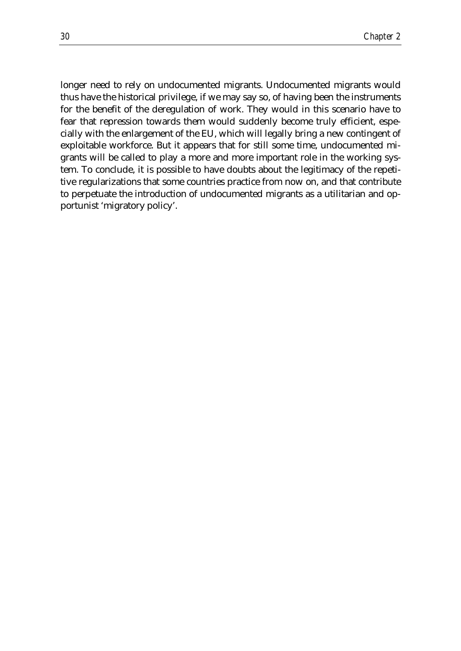longer need to rely on undocumented migrants. Undocumented migrants would thus have the historical privilege, if we may say so, of having been the instruments for the benefit of the deregulation of work. They would in this scenario have to fear that repression towards them would suddenly become truly efficient, especially with the enlargement of the EU, which will legally bring a new contingent of exploitable workforce. But it appears that for still some time, undocumented migrants will be called to play a more and more important role in the working system. To conclude, it is possible to have doubts about the legitimacy of the repetitive regularizations that some countries practice from now on, and that contribute to perpetuate the introduction of undocumented migrants as a utilitarian and opportunist 'migratory policy'.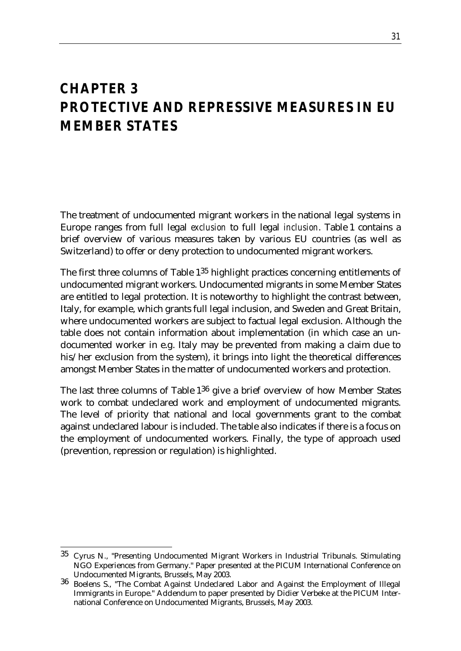### *CHAPTER 3 PROTECTIVE AND REPRESSIVE MEASURES IN EU MEMBER STATES*

The treatment of undocumented migrant workers in the national legal systems in Europe ranges from full legal *exclusion* to full legal *inclusion*. Table 1 contains a brief overview of various measures taken by various EU countries (as well as Switzerland) to offer or deny protection to undocumented migrant workers.

The first three columns of Table 135 highlight practices concerning entitlements of undocumented migrant workers. Undocumented migrants in some Member States are entitled to legal protection. It is noteworthy to highlight the contrast between, Italy, for example, which grants full legal inclusion, and Sweden and Great Britain, where undocumented workers are subject to factual legal exclusion. Although the table does not contain information about implementation (in which case an undocumented worker in e.g. Italy may be prevented from making a claim due to his/her exclusion from the system), it brings into light the theoretical differences amongst Member States in the matter of undocumented workers and protection.

The last three columns of Table 136 give a brief overview of how Member States work to combat undeclared work and employment of undocumented migrants. The level of priority that national and local governments grant to the combat against undeclared labour is included. The table also indicates if there is a focus on the employment of undocumented workers. Finally, the type of approach used (prevention, repression or regulation) is highlighted.

<sup>&</sup>lt;u>.</u>  $35$  Cyrus N., "Presenting Undocumented Migrant Workers in Industrial Tribunals. Stimulating NGO Experiences from Germany." Paper presented at the PICUM International Conference on

Undocumented Migrants, Brussels, May 2003. <sup>36</sup> Boelens S., "The Combat Against Undeclared Labor and Against the Employment of Illegal Immigrants in Europe." Addendum to paper presented by Didier Verbeke at the PICUM International Conference on Undocumented Migrants, Brussels, May 2003.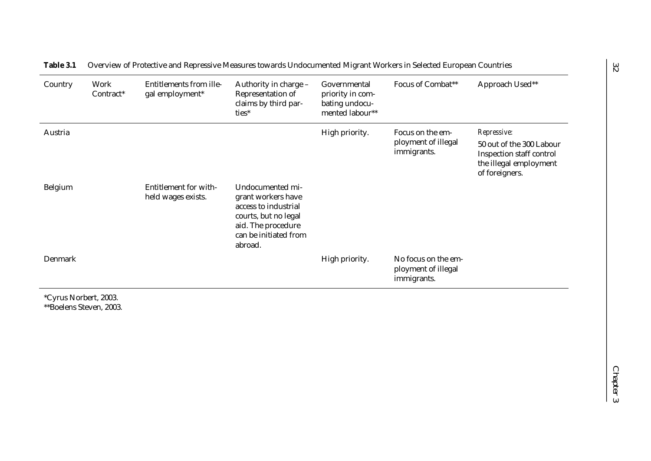| Country | Work<br>Contract* | <b>Entitlements from ille-</b><br>gal employment* | Authority in charge -<br>Representation of<br>claims by third par-<br>ties*                                                                      | Governmental<br>priority in com-<br>bating undocu-<br>mented labour** | Focus of Combat**                                         | Approach Used**                                                                                                 |
|---------|-------------------|---------------------------------------------------|--------------------------------------------------------------------------------------------------------------------------------------------------|-----------------------------------------------------------------------|-----------------------------------------------------------|-----------------------------------------------------------------------------------------------------------------|
| Austria |                   |                                                   |                                                                                                                                                  | High priority.                                                        | Focus on the em-<br>ployment of illegal<br>immigrants.    | Repressive:<br>50 out of the 300 Labour<br>Inspection staff control<br>the illegal employment<br>of foreigners. |
| Belgium |                   | Entitlement for with-<br>held wages exists.       | Undocumented mi-<br>grant workers have<br>access to industrial<br>courts, but no legal<br>aid. The procedure<br>can be initiated from<br>abroad. |                                                                       |                                                           |                                                                                                                 |
| Denmark |                   |                                                   |                                                                                                                                                  | High priority.                                                        | No focus on the em-<br>ployment of illegal<br>immigrants. |                                                                                                                 |

**Table 3.1** Overview of Protective and Repressive Measures towards Undocumented Migrant Workers in Selected European Countries

\*Cyrus Norbert, 2003. \*\*Boelens Steven, 2003.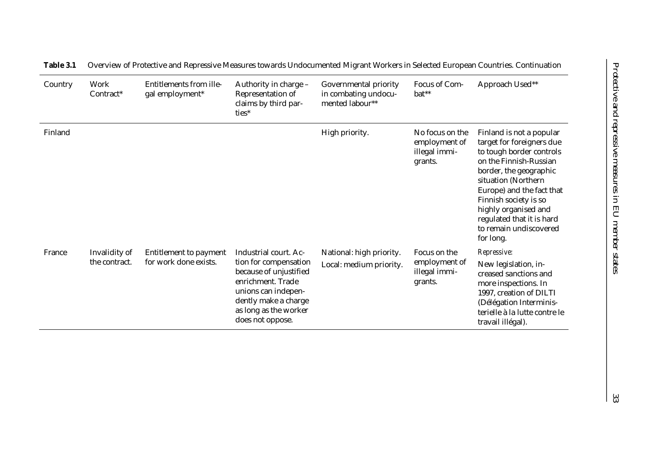| Country | Work<br>Contract*              | Entitlements from ille-<br>gal employment*      | Authority in charge -<br>Representation of<br>claims by third par-<br>ties*                                                                                                               | Governmental priority<br>in combating undocu-<br>mented labour** | Focus of Com-<br>bat**                                       | Approach Used**                                                                                                                                                                                                                                                                                                |
|---------|--------------------------------|-------------------------------------------------|-------------------------------------------------------------------------------------------------------------------------------------------------------------------------------------------|------------------------------------------------------------------|--------------------------------------------------------------|----------------------------------------------------------------------------------------------------------------------------------------------------------------------------------------------------------------------------------------------------------------------------------------------------------------|
| Finland |                                |                                                 |                                                                                                                                                                                           | High priority.                                                   | No focus on the<br>employment of<br>illegal immi-<br>grants. | Finland is not a popular<br>target for foreigners due<br>to tough border controls<br>on the Finnish-Russian<br>border, the geographic<br>situation (Northern<br>Europe) and the fact that<br>Finnish society is so<br>highly organised and<br>regulated that it is hard<br>to remain undiscovered<br>for long. |
| France  | Invalidity of<br>the contract. | Entitlement to payment<br>for work done exists. | Industrial court. Ac-<br>tion for compensation<br>because of unjustified<br>enrichment. Trade<br>unions can indepen-<br>dently make a charge<br>as long as the worker<br>does not oppose. | National: high priority.<br>Local: medium priority.              | Focus on the<br>employment of<br>illegal immi-<br>grants.    | Repressive:<br>New legislation, in-<br>creased sanctions and<br>more inspections. In<br>1997, creation of DILTI<br>(Délégation Interminis-<br>terielle à la lutte contre le<br>travail illégal).                                                                                                               |

**Table 3.1** Overview of Protective and Repressive Measures towards Undocumented Migrant Workers in Selected European Countries. Continuation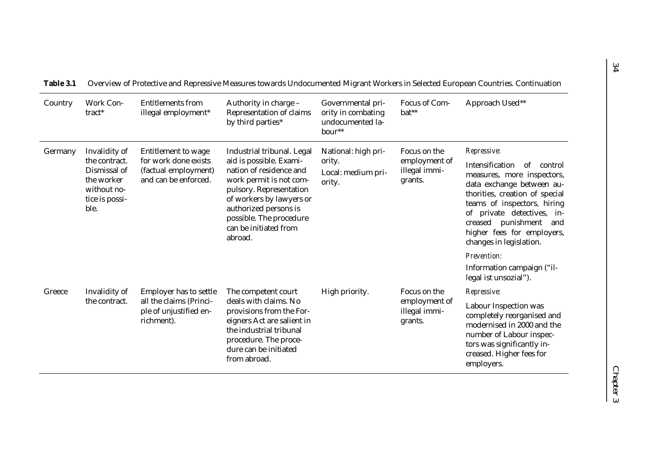| Country | Work Con-<br>tract*                                                                                   | <b>Entitlements from</b><br>illegal employment*                                             | Authority in charge -<br>Representation of claims<br>by third parties*                                                                                                                                                                                     | Governmental pri-<br>ority in combating<br>undocumented la-<br>bour** | Focus of Com-<br>bat**                                    | Approach Used**                                                                                                                                                                                                                                                                                    |
|---------|-------------------------------------------------------------------------------------------------------|---------------------------------------------------------------------------------------------|------------------------------------------------------------------------------------------------------------------------------------------------------------------------------------------------------------------------------------------------------------|-----------------------------------------------------------------------|-----------------------------------------------------------|----------------------------------------------------------------------------------------------------------------------------------------------------------------------------------------------------------------------------------------------------------------------------------------------------|
| Germany | Invalidity of<br>the contract.<br>Dismissal of<br>the worker<br>without no-<br>tice is possi-<br>ble. | Entitlement to wage<br>for work done exists<br>(factual employment)<br>and can be enforced. | Industrial tribunal. Legal<br>aid is possible. Exami-<br>nation of residence and<br>work permit is not com-<br>pulsory. Representation<br>of workers by lawyers or<br>authorized persons is<br>possible. The procedure<br>can be initiated from<br>abroad. | National: high pri-<br>ority.<br>Local: medium pri-<br>ority.         | Focus on the<br>employment of<br>illegal immi-<br>grants. | Repressive:<br>Intensification<br>of<br>control<br>measures, more inspectors,<br>data exchange between au-<br>thorities, creation of special<br>teams of inspectors, hiring<br>of private detectives, in-<br>punishment<br>creased<br>and<br>higher fees for employers,<br>changes in legislation. |
|         |                                                                                                       |                                                                                             |                                                                                                                                                                                                                                                            |                                                                       |                                                           | Prevention:<br>Information campaign ("il-<br>legal ist unsozial").                                                                                                                                                                                                                                 |
| Greece  | Invalidity of                                                                                         | Employer has to settle                                                                      | The competent court                                                                                                                                                                                                                                        | High priority.                                                        | Focus on the                                              | Repressive:                                                                                                                                                                                                                                                                                        |
|         | the contract.                                                                                         | all the claims (Princi-<br>ple of unjustified en-<br>richment).                             | deals with claims. No<br>provisions from the For-<br>eigners Act are salient in<br>the industrial tribunal<br>procedure. The proce-<br>dure can be initiated<br>from abroad.                                                                               |                                                                       | employment of<br>illegal immi-<br>grants.                 | Labour Inspection was<br>completely reorganised and<br>modernised in 2000 and the<br>number of Labour inspec-<br>tors was significantly in-<br>creased. Higher fees for<br>employers.                                                                                                              |

| Table 3.1 Overview of Protective and Repressive Measures towards Undocumented Migrant Workers in Selected European Countries. Continuation |  |  |
|--------------------------------------------------------------------------------------------------------------------------------------------|--|--|
|                                                                                                                                            |  |  |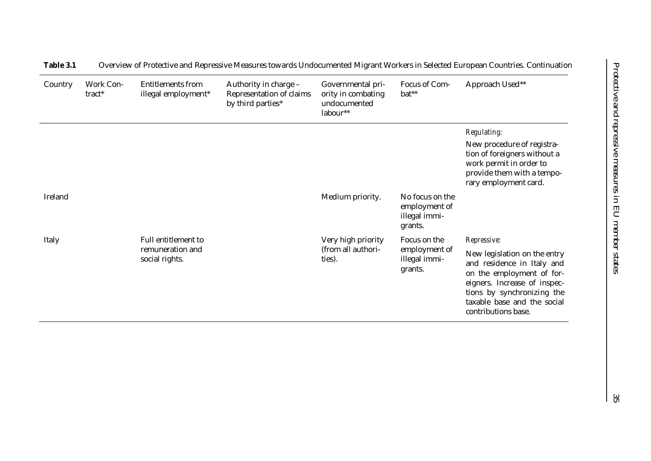| Country | Work Con-<br>tract* | <b>Entitlements from</b><br>illegal employment* | Authority in charge -<br>Representation of claims<br>by third parties* | Governmental pri-<br>ority in combating<br>undocumented<br>labour** | Focus of Com-<br>bat**                                       | Approach Used**                                                                                                                                                                                             |
|---------|---------------------|-------------------------------------------------|------------------------------------------------------------------------|---------------------------------------------------------------------|--------------------------------------------------------------|-------------------------------------------------------------------------------------------------------------------------------------------------------------------------------------------------------------|
|         |                     |                                                 |                                                                        |                                                                     |                                                              | Regulating:                                                                                                                                                                                                 |
|         |                     |                                                 |                                                                        |                                                                     |                                                              | New procedure of registra-<br>tion of foreigners without a<br>work permit in order to<br>provide them with a tempo-<br>rary employment card.                                                                |
| Ireland |                     |                                                 |                                                                        | Medium priority.                                                    | No focus on the<br>employment of<br>illegal immi-<br>grants. |                                                                                                                                                                                                             |
| Italy   |                     | Full entitlement to                             |                                                                        | Very high priority                                                  | Focus on the                                                 | Repressive:                                                                                                                                                                                                 |
|         |                     | remuneration and<br>social rights.              |                                                                        | (from all authori-<br>ties).                                        | employment of<br>illegal immi-<br>grants.                    | New legislation on the entry<br>and residence in Italy and<br>on the employment of for-<br>eigners. Increase of inspec-<br>tions by synchronizing the<br>taxable base and the social<br>contributions base. |

#### **Table 3.1** Overview of Protective and Repressive Measures towards Undocumented Migrant Workers in Selected European Countries. Continuation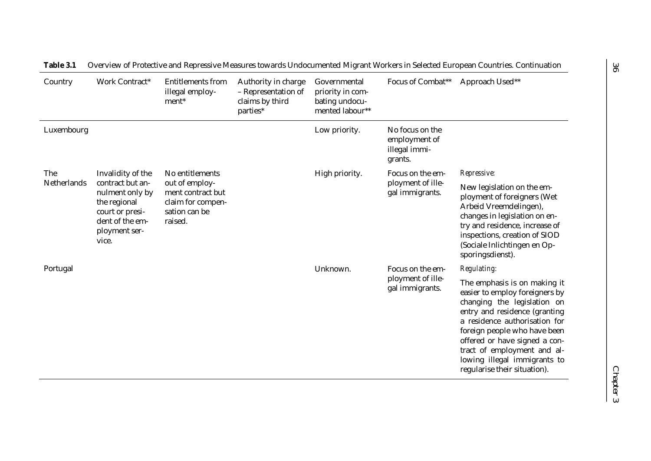| Country     | Work Contract*                                                                                                      | <b>Entitlements from</b><br>illegal employ-<br>ment*                                 | Authority in charge<br>- Representation of<br>claims by third<br>parties* | Governmental<br>priority in com-<br>bating undocu-<br>mented labour** | Focus of Combat**                                                            | Approach Used**                                                                                                                                                                                                                                                                                                                 |
|-------------|---------------------------------------------------------------------------------------------------------------------|--------------------------------------------------------------------------------------|---------------------------------------------------------------------------|-----------------------------------------------------------------------|------------------------------------------------------------------------------|---------------------------------------------------------------------------------------------------------------------------------------------------------------------------------------------------------------------------------------------------------------------------------------------------------------------------------|
| Luxembourg  |                                                                                                                     |                                                                                      |                                                                           | Low priority.                                                         | No focus on the<br>employment of<br>illegal immi-<br>grants.                 |                                                                                                                                                                                                                                                                                                                                 |
| The         | Invalidity of the                                                                                                   | No entitlements                                                                      |                                                                           | High priority.                                                        | Focus on the em-<br>ployment of ille-<br>gal immigrants.<br>Focus on the em- | Repressive:                                                                                                                                                                                                                                                                                                                     |
| Netherlands | contract but an-<br>nulment only by<br>the regional<br>court or presi-<br>dent of the em-<br>ployment ser-<br>vice. | out of employ-<br>ment contract but<br>claim for compen-<br>sation can be<br>raised. |                                                                           |                                                                       |                                                                              | New legislation on the em-<br>ployment of foreigners (Wet<br>Arbeid Vreemdelingen),<br>changes in legislation on en-<br>try and residence, increase of<br>inspections, creation of SIOD<br>(Sociale Inlichtingen en Op-<br>sporingsdienst).                                                                                     |
| Portugal    |                                                                                                                     |                                                                                      |                                                                           | Unknown.                                                              |                                                                              | Regulating:                                                                                                                                                                                                                                                                                                                     |
|             |                                                                                                                     |                                                                                      |                                                                           |                                                                       | ployment of ille-<br>gal immigrants.                                         | The emphasis is on making it<br>easier to employ foreigners by<br>changing the legislation on<br>entry and residence (granting<br>a residence authorisation for<br>foreign people who have been<br>offered or have signed a con-<br>tract of employment and al-<br>lowing illegal immigrants to<br>regularise their situation). |

**Table 3.1** Overview of Protective and Repressive Measures towards Undocumented Migrant Workers in Selected European Countries. Continuation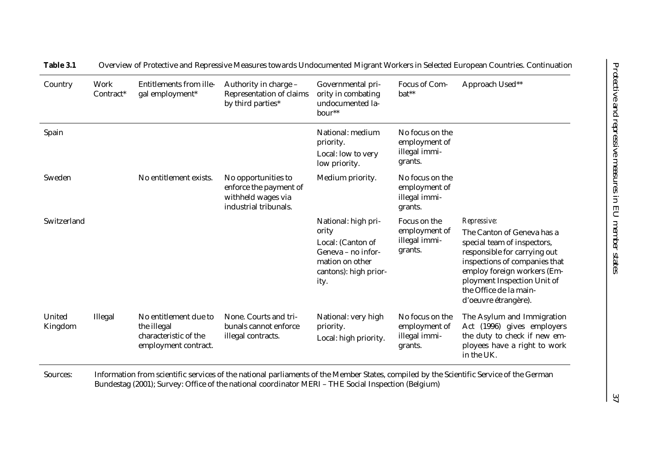| Country           | Work<br>Contract* | Entitlements from ille-<br>gal employment*                                            | Authority in charge -<br>Representation of claims<br>by third parties*                       | Governmental pri-<br>ority in combating<br>undocumented la-<br>bour**                                                       | Focus of Com-<br>bat**                                       | Approach Used**                                                                                                                                                                                                                                           |
|-------------------|-------------------|---------------------------------------------------------------------------------------|----------------------------------------------------------------------------------------------|-----------------------------------------------------------------------------------------------------------------------------|--------------------------------------------------------------|-----------------------------------------------------------------------------------------------------------------------------------------------------------------------------------------------------------------------------------------------------------|
| Spain             |                   |                                                                                       |                                                                                              | National: medium<br>priority.<br>Local: low to very<br>low priority.                                                        | No focus on the<br>employment of<br>illegal immi-<br>grants. |                                                                                                                                                                                                                                                           |
| Sweden            |                   | No entitlement exists.                                                                | No opportunities to<br>enforce the payment of<br>withheld wages via<br>industrial tribunals. | Medium priority.                                                                                                            | No focus on the<br>employment of<br>illegal immi-<br>grants. |                                                                                                                                                                                                                                                           |
| Switzerland       |                   |                                                                                       |                                                                                              | National: high pri-<br>ority<br>Local: (Canton of<br>Geneva – no infor-<br>mation on other<br>cantons): high prior-<br>ity. | Focus on the<br>employment of<br>illegal immi-<br>grants.    | Repressive:<br>The Canton of Geneva has a<br>special team of inspectors,<br>responsible for carrying out<br>inspections of companies that<br>employ foreign workers (Em-<br>ployment Inspection Unit of<br>the Office de la main-<br>d'oeuvre étrangère). |
| United<br>Kingdom | Illegal           | No entitlement due to<br>the illegal<br>characteristic of the<br>employment contract. | None. Courts and tri-<br>bunals cannot enforce<br>illegal contracts.                         | National: very high<br>priority.<br>Local: high priority.                                                                   | No focus on the<br>employment of<br>illegal immi-<br>grants. | The Asylum and Immigration<br>Act (1996) gives employers<br>the duty to check if new em-<br>ployees have a right to work<br>in the UK.                                                                                                                    |

**Table 3.1** Overview of Protective and Repressive Measures towards Undocumented Migrant Workers in Selected European Countries. Continuation

Sources: Information from scientific services of the national parliaments of the Member States, compiled by the Scientific Service of the German Bundestag (2001); Survey: Office of the national coordinator MERI – THE Social Inspection (Belgium)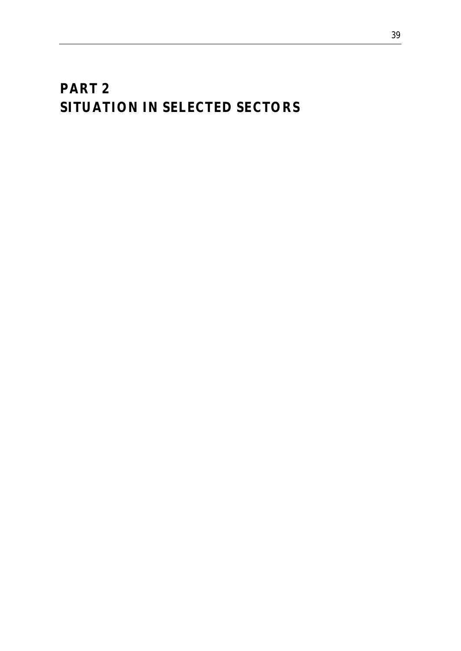# *PART 2 SITUATION IN SELECTED SECTORS*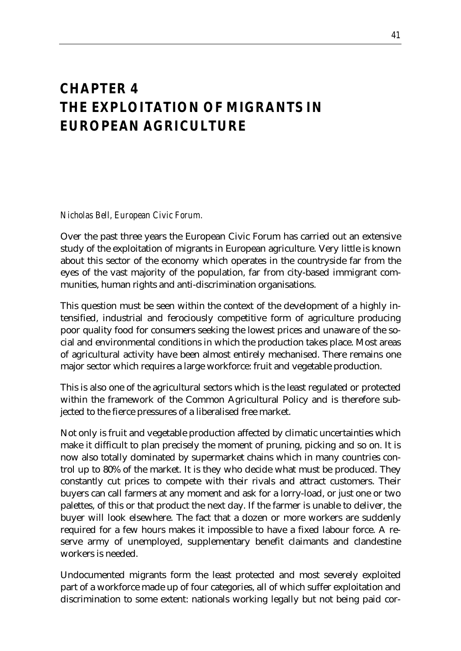### *CHAPTER 4 THE EXPLOITATION OF MIGRANTS IN EUROPEAN AGRICULTURE*

*Nicholas Bell, European Civic Forum.*

Over the past three years the European Civic Forum has carried out an extensive study of the exploitation of migrants in European agriculture. Very little is known about this sector of the economy which operates in the countryside far from the eyes of the vast majority of the population, far from city-based immigrant communities, human rights and anti-discrimination organisations.

This question must be seen within the context of the development of a highly intensified, industrial and ferociously competitive form of agriculture producing poor quality food for consumers seeking the lowest prices and unaware of the social and environmental conditions in which the production takes place. Most areas of agricultural activity have been almost entirely mechanised. There remains one major sector which requires a large workforce: fruit and vegetable production.

This is also one of the agricultural sectors which is the least regulated or protected within the framework of the Common Agricultural Policy and is therefore subjected to the fierce pressures of a liberalised free market.

Not only is fruit and vegetable production affected by climatic uncertainties which make it difficult to plan precisely the moment of pruning, picking and so on. It is now also totally dominated by supermarket chains which in many countries control up to 80% of the market. It is they who decide what must be produced. They constantly cut prices to compete with their rivals and attract customers. Their buyers can call farmers at any moment and ask for a lorry-load, or just one or two palettes, of this or that product the next day. If the farmer is unable to deliver, the buyer will look elsewhere. The fact that a dozen or more workers are suddenly required for a few hours makes it impossible to have a fixed labour force. A reserve army of unemployed, supplementary benefit claimants and clandestine workers is needed.

Undocumented migrants form the least protected and most severely exploited part of a workforce made up of four categories, all of which suffer exploitation and discrimination to some extent: nationals working legally but not being paid cor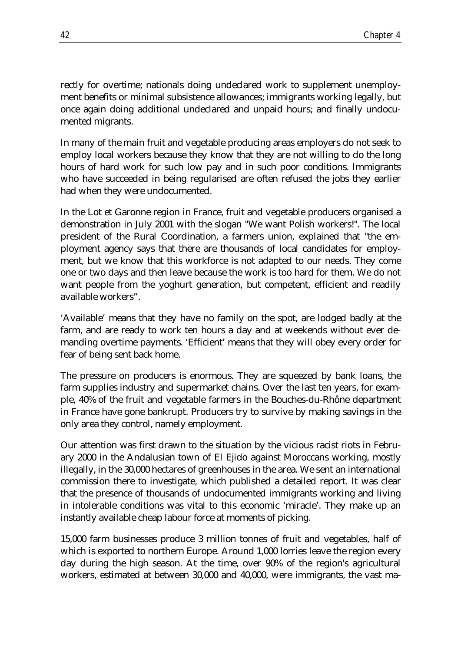rectly for overtime; nationals doing undeclared work to supplement unemployment benefits or minimal subsistence allowances; immigrants working legally, but once again doing additional undeclared and unpaid hours; and finally undocumented migrants.

In many of the main fruit and vegetable producing areas employers do not seek to employ local workers because they know that they are not willing to do the long hours of hard work for such low pay and in such poor conditions. Immigrants who have succeeded in being regularised are often refused the jobs they earlier had when they were undocumented.

In the Lot et Garonne region in France, fruit and vegetable producers organised a demonstration in July 2001 with the slogan "We want Polish workers!". The local president of the Rural Coordination, a farmers union, explained that "the employment agency says that there are thousands of local candidates for employment, but we know that this workforce is not adapted to our needs. They come one or two days and then leave because the work is too hard for them. We do not want people from the yoghurt generation, but competent, efficient and readily available workers".

'Available' means that they have no family on the spot, are lodged badly at the farm, and are ready to work ten hours a day and at weekends without ever demanding overtime payments. 'Efficient' means that they will obey every order for fear of being sent back home.

The pressure on producers is enormous. They are squeezed by bank loans, the farm supplies industry and supermarket chains. Over the last ten years, for example, 40% of the fruit and vegetable farmers in the Bouches-du-Rhône department in France have gone bankrupt. Producers try to survive by making savings in the only area they control, namely employment.

Our attention was first drawn to the situation by the vicious racist riots in February 2000 in the Andalusian town of El Ejido against Moroccans working, mostly illegally, in the 30,000 hectares of greenhouses in the area. We sent an international commission there to investigate, which published a detailed report. It was clear that the presence of thousands of undocumented immigrants working and living in intolerable conditions was vital to this economic 'miracle'. They make up an instantly available cheap labour force at moments of picking.

15,000 farm businesses produce 3 million tonnes of fruit and vegetables, half of which is exported to northern Europe. Around 1,000 lorries leave the region every day during the high season. At the time, over 90% of the region's agricultural workers, estimated at between 30,000 and 40,000, were immigrants, the vast ma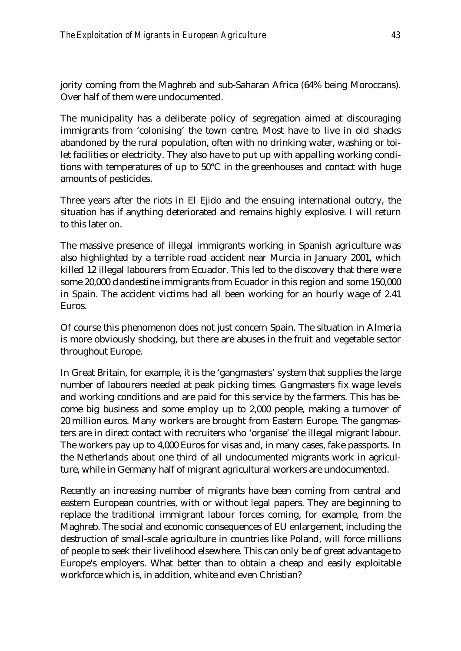jority coming from the Maghreb and sub-Saharan Africa (64% being Moroccans). Over half of them were undocumented.

The municipality has a deliberate policy of segregation aimed at discouraging immigrants from 'colonising' the town centre. Most have to live in old shacks abandoned by the rural population, often with no drinking water, washing or toilet facilities or electricity. They also have to put up with appalling working conditions with temperatures of up to 50°C in the greenhouses and contact with huge amounts of pesticides.

Three years after the riots in El Ejido and the ensuing international outcry, the situation has if anything deteriorated and remains highly explosive. I will return to this later on.

The massive presence of illegal immigrants working in Spanish agriculture was also highlighted by a terrible road accident near Murcia in January 2001, which killed 12 illegal labourers from Ecuador. This led to the discovery that there were some 20,000 clandestine immigrants from Ecuador in this region and some 150,000 in Spain. The accident victims had all been working for an hourly wage of 2.41 Euros.

Of course this phenomenon does not just concern Spain. The situation in Almeria is more obviously shocking, but there are abuses in the fruit and vegetable sector throughout Europe.

In Great Britain, for example, it is the 'gangmasters' system that supplies the large number of labourers needed at peak picking times. Gangmasters fix wage levels and working conditions and are paid for this service by the farmers. This has become big business and some employ up to 2,000 people, making a turnover of 20 million euros. Many workers are brought from Eastern Europe. The gangmasters are in direct contact with recruiters who 'organise' the illegal migrant labour. The workers pay up to 4,000 Euros for visas and, in many cases, fake passports. In the Netherlands about one third of all undocumented migrants work in agriculture, while in Germany half of migrant agricultural workers are undocumented.

Recently an increasing number of migrants have been coming from central and eastern European countries, with or without legal papers. They are beginning to replace the traditional immigrant labour forces coming, for example, from the Maghreb. The social and economic consequences of EU enlargement, including the destruction of small-scale agriculture in countries like Poland, will force millions of people to seek their livelihood elsewhere. This can only be of great advantage to Europe's employers. What better than to obtain a cheap and easily exploitable workforce which is, in addition, white and even Christian?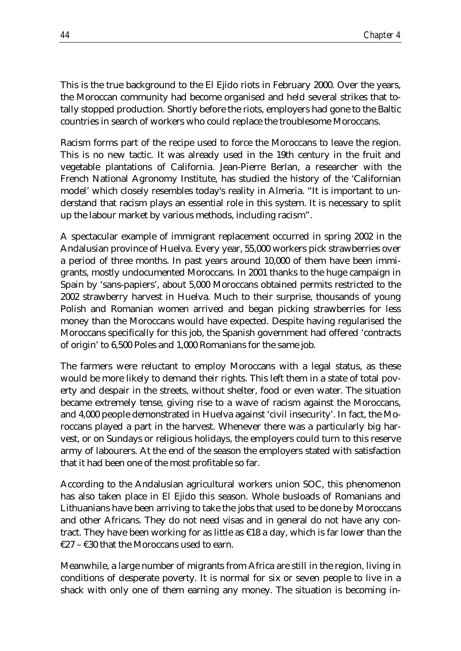This is the true background to the El Ejido riots in February 2000. Over the years, the Moroccan community had become organised and held several strikes that totally stopped production. Shortly before the riots, employers had gone to the Baltic countries in search of workers who could replace the troublesome Moroccans.

Racism forms part of the recipe used to force the Moroccans to leave the region. This is no new tactic. It was already used in the 19th century in the fruit and vegetable plantations of California. Jean-Pierre Berlan, a researcher with the French National Agronomy Institute, has studied the history of the 'Californian model' which closely resembles today's reality in Almeria. "It is important to understand that racism plays an essential role in this system. It is necessary to split up the labour market by various methods, including racism".

A spectacular example of immigrant replacement occurred in spring 2002 in the Andalusian province of Huelva. Every year, 55,000 workers pick strawberries over a period of three months. In past years around 10,000 of them have been immigrants, mostly undocumented Moroccans. In 2001 thanks to the huge campaign in Spain by 'sans-papiers', about 5,000 Moroccans obtained permits restricted to the 2002 strawberry harvest in Huelva. Much to their surprise, thousands of young Polish and Romanian women arrived and began picking strawberries for less money than the Moroccans would have expected. Despite having regularised the Moroccans specifically for this job, the Spanish government had offered 'contracts of origin' to 6,500 Poles and 1,000 Romanians for the same job.

The farmers were reluctant to employ Moroccans with a legal status, as these would be more likely to demand their rights. This left them in a state of total poverty and despair in the streets, without shelter, food or even water. The situation became extremely tense, giving rise to a wave of racism against the Moroccans, and 4,000 people demonstrated in Huelva against 'civil insecurity'. In fact, the Moroccans played a part in the harvest. Whenever there was a particularly big harvest, or on Sundays or religious holidays, the employers could turn to this reserve army of labourers. At the end of the season the employers stated with satisfaction that it had been one of the most profitable so far.

According to the Andalusian agricultural workers union SOC, this phenomenon has also taken place in El Ejido this season. Whole busloads of Romanians and Lithuanians have been arriving to take the jobs that used to be done by Moroccans and other Africans. They do not need visas and in general do not have any contract. They have been working for as little as  $\epsilon$ 18 a day, which is far lower than the €27 – €30 that the Moroccans used to earn.

Meanwhile, a large number of migrants from Africa are still in the region, living in conditions of desperate poverty. It is normal for six or seven people to live in a shack with only one of them earning any money. The situation is becoming in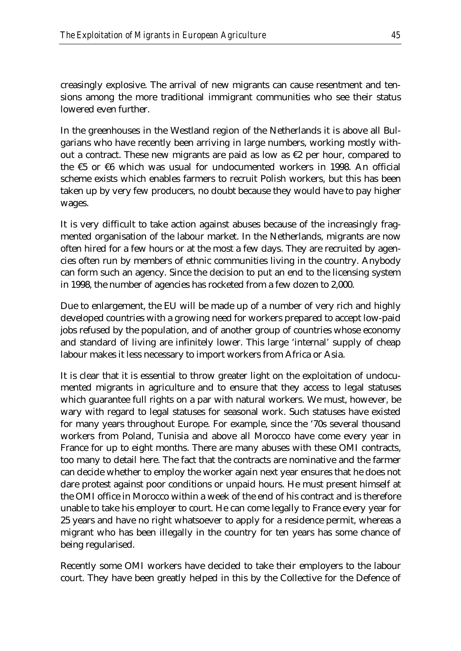creasingly explosive. The arrival of new migrants can cause resentment and tensions among the more traditional immigrant communities who see their status lowered even further.

In the greenhouses in the Westland region of the Netherlands it is above all Bulgarians who have recently been arriving in large numbers, working mostly without a contract. These new migrants are paid as low as  $\epsilon$ 2 per hour, compared to the  $\epsilon$ 5 or  $\epsilon$ 6 which was usual for undocumented workers in 1998. An official scheme exists which enables farmers to recruit Polish workers, but this has been taken up by very few producers, no doubt because they would have to pay higher wages.

It is very difficult to take action against abuses because of the increasingly fragmented organisation of the labour market. In the Netherlands, migrants are now often hired for a few hours or at the most a few days. They are recruited by agencies often run by members of ethnic communities living in the country. Anybody can form such an agency. Since the decision to put an end to the licensing system in 1998, the number of agencies has rocketed from a few dozen to 2,000.

Due to enlargement, the EU will be made up of a number of very rich and highly developed countries with a growing need for workers prepared to accept low-paid jobs refused by the population, and of another group of countries whose economy and standard of living are infinitely lower. This large 'internal' supply of cheap labour makes it less necessary to import workers from Africa or Asia.

It is clear that it is essential to throw greater light on the exploitation of undocumented migrants in agriculture and to ensure that they access to legal statuses which guarantee full rights on a par with natural workers. We must, however, be wary with regard to legal statuses for seasonal work. Such statuses have existed for many years throughout Europe. For example, since the '70s several thousand workers from Poland, Tunisia and above all Morocco have come every year in France for up to eight months. There are many abuses with these OMI contracts, too many to detail here. The fact that the contracts are nominative and the farmer can decide whether to employ the worker again next year ensures that he does not dare protest against poor conditions or unpaid hours. He must present himself at the OMI office in Morocco within a week of the end of his contract and is therefore unable to take his employer to court. He can come legally to France every year for 25 years and have no right whatsoever to apply for a residence permit, whereas a migrant who has been illegally in the country for ten years has some chance of being regularised.

Recently some OMI workers have decided to take their employers to the labour court. They have been greatly helped in this by the Collective for the Defence of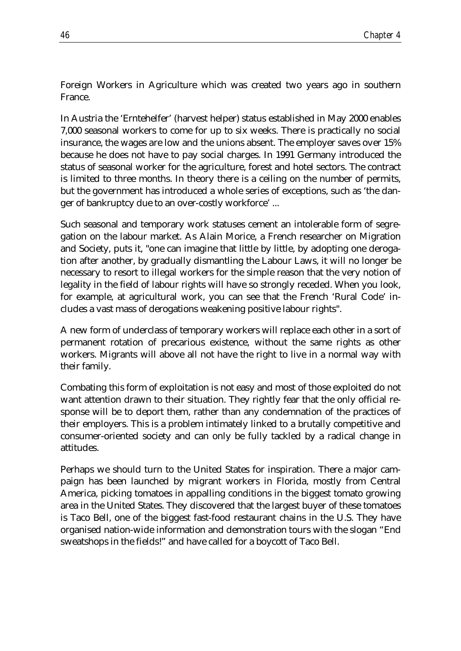Foreign Workers in Agriculture which was created two years ago in southern France.

In Austria the 'Erntehelfer' (harvest helper) status established in May 2000 enables 7,000 seasonal workers to come for up to six weeks. There is practically no social insurance, the wages are low and the unions absent. The employer saves over 15% because he does not have to pay social charges. In 1991 Germany introduced the status of seasonal worker for the agriculture, forest and hotel sectors. The contract is limited to three months. In theory there is a ceiling on the number of permits, but the government has introduced a whole series of exceptions, such as 'the danger of bankruptcy due to an over-costly workforce' ...

Such seasonal and temporary work statuses cement an intolerable form of segregation on the labour market. As Alain Morice, a French researcher on Migration and Society, puts it, "one can imagine that little by little, by adopting one derogation after another, by gradually dismantling the Labour Laws, it will no longer be necessary to resort to illegal workers for the simple reason that the very notion of legality in the field of labour rights will have so strongly receded. When you look, for example, at agricultural work, you can see that the French 'Rural Code' includes a vast mass of derogations weakening positive labour rights".

A new form of underclass of temporary workers will replace each other in a sort of permanent rotation of precarious existence, without the same rights as other workers. Migrants will above all not have the right to live in a normal way with their family.

Combating this form of exploitation is not easy and most of those exploited do not want attention drawn to their situation. They rightly fear that the only official response will be to deport them, rather than any condemnation of the practices of their employers. This is a problem intimately linked to a brutally competitive and consumer-oriented society and can only be fully tackled by a radical change in attitudes.

Perhaps we should turn to the United States for inspiration. There a major campaign has been launched by migrant workers in Florida, mostly from Central America, picking tomatoes in appalling conditions in the biggest tomato growing area in the United States. They discovered that the largest buyer of these tomatoes is Taco Bell, one of the biggest fast-food restaurant chains in the U.S. They have organised nation-wide information and demonstration tours with the slogan "End sweatshops in the fields!" and have called for a boycott of Taco Bell.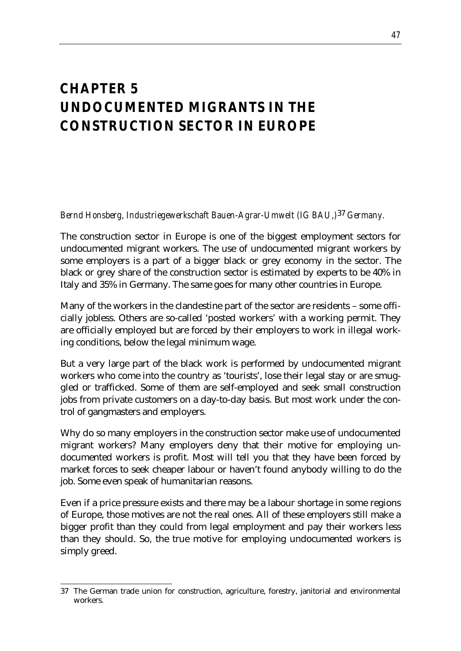### *CHAPTER 5 UNDOCUMENTED MIGRANTS IN THE CONSTRUCTION SECTOR IN EUROPE*

*Bernd Honsberg, Industriegewerkschaft Bauen-Agrar-Umwelt (IG BAU,)*37 *Germany.*

The construction sector in Europe is one of the biggest employment sectors for undocumented migrant workers. The use of undocumented migrant workers by some employers is a part of a bigger black or grey economy in the sector. The black or grey share of the construction sector is estimated by experts to be 40% in Italy and 35% in Germany. The same goes for many other countries in Europe.

Many of the workers in the clandestine part of the sector are residents – some officially jobless. Others are so-called 'posted workers' with a working permit. They are officially employed but are forced by their employers to work in illegal working conditions, below the legal minimum wage.

But a very large part of the black work is performed by undocumented migrant workers who come into the country as 'tourists', lose their legal stay or are smuggled or trafficked. Some of them are self-employed and seek small construction jobs from private customers on a day-to-day basis. But most work under the control of gangmasters and employers.

Why do so many employers in the construction sector make use of undocumented migrant workers? Many employers deny that their motive for employing undocumented workers is profit. Most will tell you that they have been forced by market forces to seek cheaper labour or haven't found anybody willing to do the job. Some even speak of humanitarian reasons.

Even if a price pressure exists and there may be a labour shortage in some regions of Europe, those motives are not the real ones. All of these employers still make a bigger profit than they could from legal employment and pay their workers less than they should. So, the true motive for employing undocumented workers is simply greed.

<sup>&</sup>lt;u>.</u> 37 The German trade union for construction, agriculture, forestry, janitorial and environmental workers.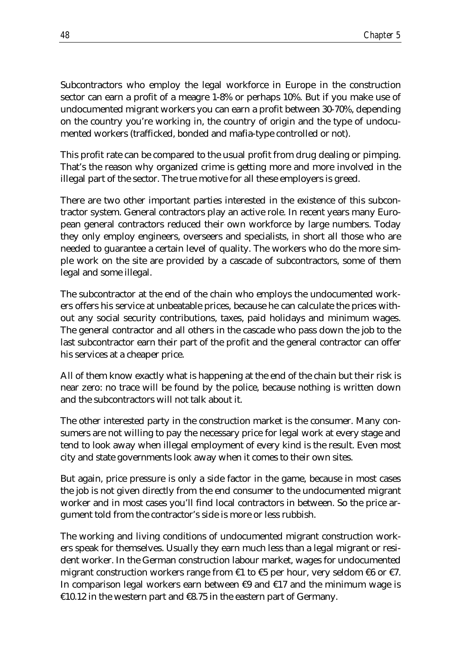Subcontractors who employ the legal workforce in Europe in the construction sector can earn a profit of a meagre 1-8% or perhaps 10%. But if you make use of undocumented migrant workers you can earn a profit between 30-70%, depending on the country you're working in, the country of origin and the type of undocumented workers (trafficked, bonded and mafia-type controlled or not).

This profit rate can be compared to the usual profit from drug dealing or pimping. That's the reason why organized crime is getting more and more involved in the illegal part of the sector. The true motive for all these employers is greed.

There are two other important parties interested in the existence of this subcontractor system. General contractors play an active role. In recent years many European general contractors reduced their own workforce by large numbers. Today they only employ engineers, overseers and specialists, in short all those who are needed to guarantee a certain level of quality. The workers who do the more simple work on the site are provided by a cascade of subcontractors, some of them legal and some illegal.

The subcontractor at the end of the chain who employs the undocumented workers offers his service at unbeatable prices, because he can calculate the prices without any social security contributions, taxes, paid holidays and minimum wages. The general contractor and all others in the cascade who pass down the job to the last subcontractor earn their part of the profit and the general contractor can offer his services at a cheaper price.

All of them know exactly what is happening at the end of the chain but their risk is near zero: no trace will be found by the police, because nothing is written down and the subcontractors will not talk about it.

The other interested party in the construction market is the consumer. Many consumers are not willing to pay the necessary price for legal work at every stage and tend to look away when illegal employment of every kind is the result. Even most city and state governments look away when it comes to their own sites.

But again, price pressure is only a side factor in the game, because in most cases the job is not given directly from the end consumer to the undocumented migrant worker and in most cases you'll find local contractors in between. So the price argument told from the contractor's side is more or less rubbish.

The working and living conditions of undocumented migrant construction workers speak for themselves. Usually they earn much less than a legal migrant or resident worker. In the German construction labour market, wages for undocumented migrant construction workers range from  $\epsilon$ 1 to  $\epsilon$ 5 per hour, very seldom  $\epsilon$ 6 or  $\epsilon$ 7. In comparison legal workers earn between  $\epsilon$ 9 and  $\epsilon$ 17 and the minimum wage is €10.12 in the western part and  $€8.75$  in the eastern part of Germany.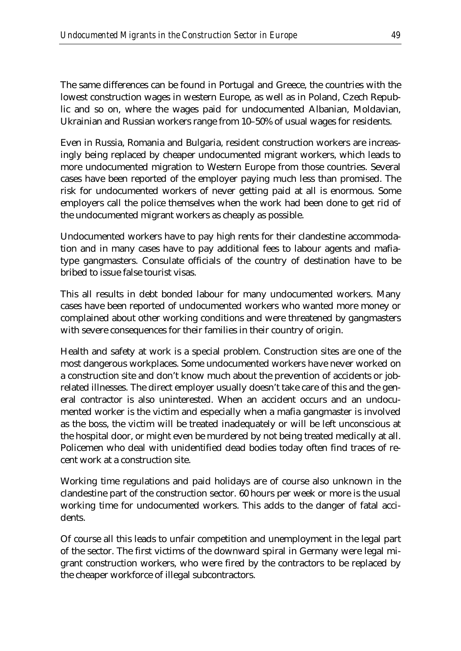The same differences can be found in Portugal and Greece, the countries with the lowest construction wages in western Europe, as well as in Poland, Czech Republic and so on, where the wages paid for undocumented Albanian, Moldavian, Ukrainian and Russian workers range from 10–50% of usual wages for residents.

Even in Russia, Romania and Bulgaria, resident construction workers are increasingly being replaced by cheaper undocumented migrant workers, which leads to more undocumented migration to Western Europe from those countries. Several cases have been reported of the employer paying much less than promised. The risk for undocumented workers of never getting paid at all is enormous. Some employers call the police themselves when the work had been done to get rid of the undocumented migrant workers as cheaply as possible.

Undocumented workers have to pay high rents for their clandestine accommodation and in many cases have to pay additional fees to labour agents and mafiatype gangmasters. Consulate officials of the country of destination have to be bribed to issue false tourist visas.

This all results in debt bonded labour for many undocumented workers. Many cases have been reported of undocumented workers who wanted more money or complained about other working conditions and were threatened by gangmasters with severe consequences for their families in their country of origin.

Health and safety at work is a special problem. Construction sites are one of the most dangerous workplaces. Some undocumented workers have never worked on a construction site and don't know much about the prevention of accidents or jobrelated illnesses. The direct employer usually doesn't take care of this and the general contractor is also uninterested. When an accident occurs and an undocumented worker is the victim and especially when a mafia gangmaster is involved as the boss, the victim will be treated inadequately or will be left unconscious at the hospital door, or might even be murdered by not being treated medically at all. Policemen who deal with unidentified dead bodies today often find traces of recent work at a construction site.

Working time regulations and paid holidays are of course also unknown in the clandestine part of the construction sector. 60 hours per week or more is the usual working time for undocumented workers. This adds to the danger of fatal accidents.

Of course all this leads to unfair competition and unemployment in the legal part of the sector. The first victims of the downward spiral in Germany were legal migrant construction workers, who were fired by the contractors to be replaced by the cheaper workforce of illegal subcontractors.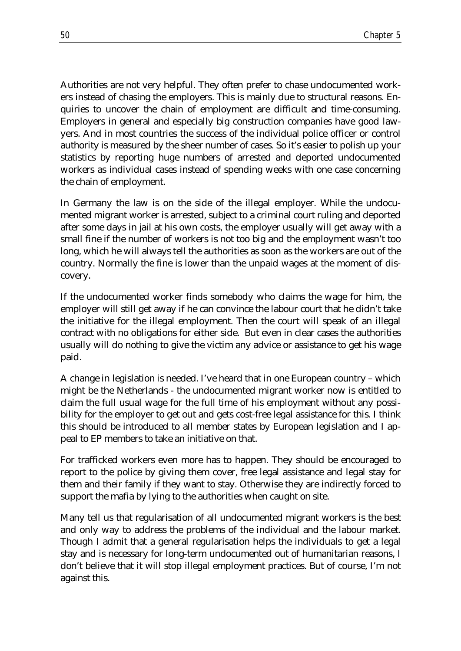Authorities are not very helpful. They often prefer to chase undocumented workers instead of chasing the employers. This is mainly due to structural reasons. Enquiries to uncover the chain of employment are difficult and time-consuming. Employers in general and especially big construction companies have good lawyers. And in most countries the success of the individual police officer or control authority is measured by the sheer number of cases. So it's easier to polish up your statistics by reporting huge numbers of arrested and deported undocumented workers as individual cases instead of spending weeks with one case concerning the chain of employment.

In Germany the law is on the side of the illegal employer. While the undocumented migrant worker is arrested, subject to a criminal court ruling and deported after some days in jail at his own costs, the employer usually will get away with a small fine if the number of workers is not too big and the employment wasn't too long, which he will always tell the authorities as soon as the workers are out of the country. Normally the fine is lower than the unpaid wages at the moment of discovery.

If the undocumented worker finds somebody who claims the wage for him, the employer will still get away if he can convince the labour court that he didn't take the initiative for the illegal employment. Then the court will speak of an illegal contract with no obligations for either side. But even in clear cases the authorities usually will do nothing to give the victim any advice or assistance to get his wage paid.

A change in legislation is needed. I've heard that in one European country – which might be the Netherlands - the undocumented migrant worker now is entitled to claim the full usual wage for the full time of his employment without any possibility for the employer to get out and gets cost-free legal assistance for this. I think this should be introduced to all member states by European legislation and I appeal to EP members to take an initiative on that.

For trafficked workers even more has to happen. They should be encouraged to report to the police by giving them cover, free legal assistance and legal stay for them and their family if they want to stay. Otherwise they are indirectly forced to support the mafia by lying to the authorities when caught on site.

Many tell us that regularisation of all undocumented migrant workers is the best and only way to address the problems of the individual and the labour market. Though I admit that a general regularisation helps the individuals to get a legal stay and is necessary for long-term undocumented out of humanitarian reasons, I don't believe that it will stop illegal employment practices. But of course, I'm not against this.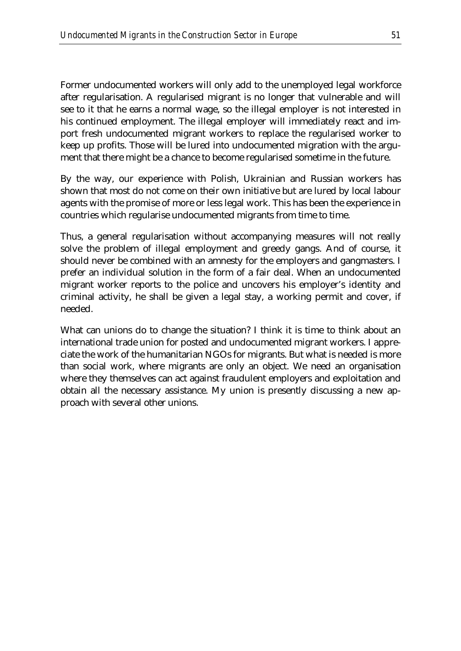Former undocumented workers will only add to the unemployed legal workforce after regularisation. A regularised migrant is no longer that vulnerable and will see to it that he earns a normal wage, so the illegal employer is not interested in his continued employment. The illegal employer will immediately react and import fresh undocumented migrant workers to replace the regularised worker to keep up profits. Those will be lured into undocumented migration with the argument that there might be a chance to become regularised sometime in the future.

By the way, our experience with Polish, Ukrainian and Russian workers has shown that most do not come on their own initiative but are lured by local labour agents with the promise of more or less legal work. This has been the experience in countries which regularise undocumented migrants from time to time.

Thus, a general regularisation without accompanying measures will not really solve the problem of illegal employment and greedy gangs. And of course, it should never be combined with an amnesty for the employers and gangmasters. I prefer an individual solution in the form of a fair deal. When an undocumented migrant worker reports to the police and uncovers his employer's identity and criminal activity, he shall be given a legal stay, a working permit and cover, if needed.

What can unions do to change the situation? I think it is time to think about an international trade union for posted and undocumented migrant workers. I appreciate the work of the humanitarian NGOs for migrants. But what is needed is more than social work, where migrants are only an object. We need an organisation where they themselves can act against fraudulent employers and exploitation and obtain all the necessary assistance. My union is presently discussing a new approach with several other unions.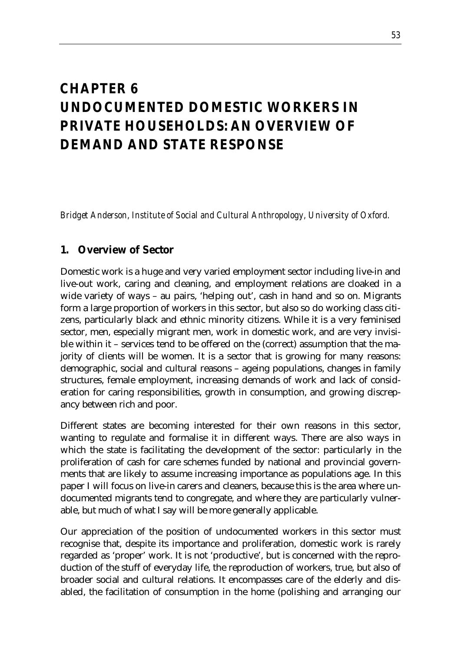### *CHAPTER 6 UNDOCUMENTED DOMESTIC WORKERS IN PRIVATE HOUSEHOLDS: AN OVERVIEW OF DEMAND AND STATE RESPONSE*

*Bridget Anderson, Institute of Social and Cultural Anthropology, University of Oxford.*

#### **1. Overview of Sector**

Domestic work is a huge and very varied employment sector including live-in and live-out work, caring and cleaning, and employment relations are cloaked in a wide variety of ways – au pairs, 'helping out', cash in hand and so on. Migrants form a large proportion of workers in this sector, but also so do working class citizens, particularly black and ethnic minority citizens. While it is a very feminised sector, men, especially migrant men, work in domestic work, and are very invisible within it – services tend to be offered on the (correct) assumption that the majority of clients will be women. It is a sector that is growing for many reasons: demographic, social and cultural reasons – ageing populations, changes in family structures, female employment, increasing demands of work and lack of consideration for caring responsibilities, growth in consumption, and growing discrepancy between rich and poor.

Different states are becoming interested for their own reasons in this sector, wanting to regulate and formalise it in different ways. There are also ways in which the state is facilitating the development of the sector: particularly in the proliferation of cash for care schemes funded by national and provincial governments that are likely to assume increasing importance as populations age. In this paper I will focus on live-in carers and cleaners, because this is the area where undocumented migrants tend to congregate, and where they are particularly vulnerable, but much of what I say will be more generally applicable.

Our appreciation of the position of undocumented workers in this sector must recognise that, despite its importance and proliferation, domestic work is rarely regarded as 'proper' work. It is not 'productive', but is concerned with the reproduction of the stuff of everyday life, the reproduction of workers, true, but also of broader social and cultural relations. It encompasses care of the elderly and disabled, the facilitation of consumption in the home (polishing and arranging our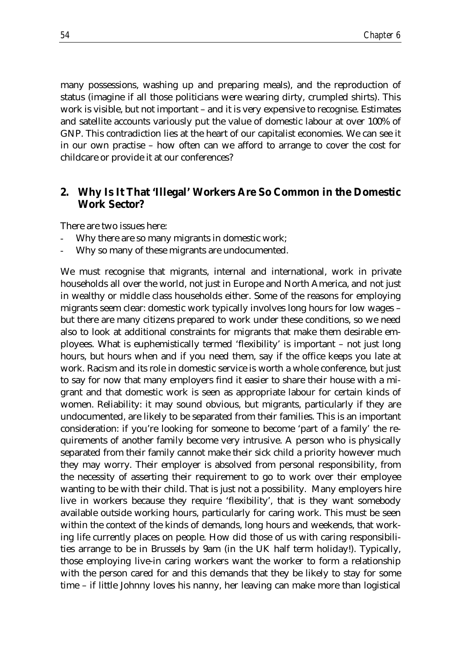many possessions, washing up and preparing meals), and the reproduction of status (imagine if all those politicians were wearing dirty, crumpled shirts). This work is visible, but not important – and it is very expensive to recognise. Estimates and satellite accounts variously put the value of domestic labour at over 100% of GNP. This contradiction lies at the heart of our capitalist economies. We can see it in our own practise – how often can we afford to arrange to cover the cost for childcare or provide it at our conferences?

#### **2. Why Is It That 'Illegal' Workers Are So Common in the Domestic Work Sector?**

There are two issues here:

- Why there are so many migrants in domestic work;
- Why so many of these migrants are undocumented.

We must recognise that migrants, internal and international, work in private households all over the world, not just in Europe and North America, and not just in wealthy or middle class households either. Some of the reasons for employing migrants seem clear: domestic work typically involves long hours for low wages – but there are many citizens prepared to work under these conditions, so we need also to look at additional constraints for migrants that make them desirable employees. What is euphemistically termed 'flexibility' is important – not just long hours, but hours when and if you need them, say if the office keeps you late at work. Racism and its role in domestic service is worth a whole conference, but just to say for now that many employers find it easier to share their house with a migrant and that domestic work is seen as appropriate labour for certain kinds of women. Reliability: it may sound obvious, but migrants, particularly if they are undocumented, are likely to be separated from their families. This is an important consideration: if you're looking for someone to become 'part of a family' the requirements of another family become very intrusive. A person who is physically separated from their family cannot make their sick child a priority however much they may worry. Their employer is absolved from personal responsibility, from the necessity of asserting their requirement to go to work over their employee wanting to be with their child. That is just not a possibility. Many employers hire live in workers because they require 'flexibility', that is they want somebody available outside working hours, particularly for caring work. This must be seen within the context of the kinds of demands, long hours and weekends, that working life currently places on people. How did those of us with caring responsibilities arrange to be in Brussels by 9am (in the UK half term holiday!). Typically, those employing live-in caring workers want the worker to form a relationship with the person cared for and this demands that they be likely to stay for some time – if little Johnny loves his nanny, her leaving can make more than logistical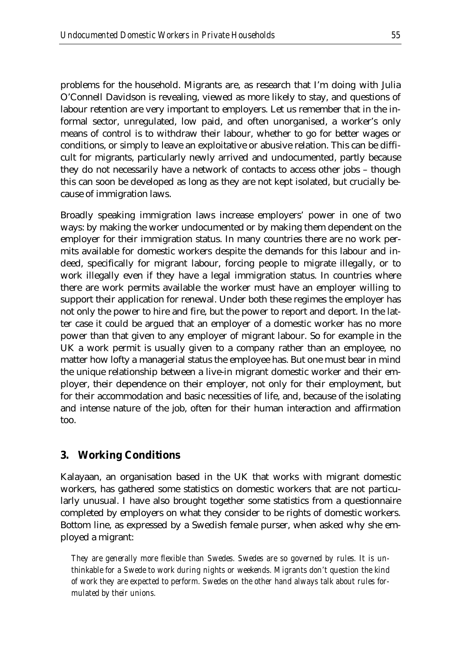problems for the household. Migrants are, as research that I'm doing with Julia O'Connell Davidson is revealing, viewed as more likely to stay, and questions of labour retention are very important to employers. Let us remember that in the informal sector, unregulated, low paid, and often unorganised, a worker's only means of control is to withdraw their labour, whether to go for better wages or conditions, or simply to leave an exploitative or abusive relation. This can be difficult for migrants, particularly newly arrived and undocumented, partly because they do not necessarily have a network of contacts to access other jobs – though this can soon be developed as long as they are not kept isolated, but crucially because of immigration laws.

Broadly speaking immigration laws increase employers' power in one of two ways: by making the worker undocumented or by making them dependent on the employer for their immigration status. In many countries there are no work permits available for domestic workers despite the demands for this labour and indeed, specifically for migrant labour, forcing people to migrate illegally, or to work illegally even if they have a legal immigration status. In countries where there are work permits available the worker must have an employer willing to support their application for renewal. Under both these regimes the employer has not only the power to hire and fire, but the power to report and deport. In the latter case it could be argued that an employer of a domestic worker has no more power than that given to any employer of migrant labour. So for example in the UK a work permit is usually given to a company rather than an employee, no matter how lofty a managerial status the employee has. But one must bear in mind the unique relationship between a live-in migrant domestic worker and their employer, their dependence on their employer, not only for their employment, but for their accommodation and basic necessities of life, and, because of the isolating and intense nature of the job, often for their human interaction and affirmation too.

### **3. Working Conditions**

Kalayaan, an organisation based in the UK that works with migrant domestic workers, has gathered some statistics on domestic workers that are not particularly unusual. I have also brought together some statistics from a questionnaire completed by employers on what they consider to be rights of domestic workers. Bottom line, as expressed by a Swedish female purser, when asked why she employed a migrant:

*They are generally more flexible than Swedes. Swedes are so governed by rules. It is unthinkable for a Swede to work during nights or weekends. Migrants don't question the kind of work they are expected to perform. Swedes on the other hand always talk about rules formulated by their unions.*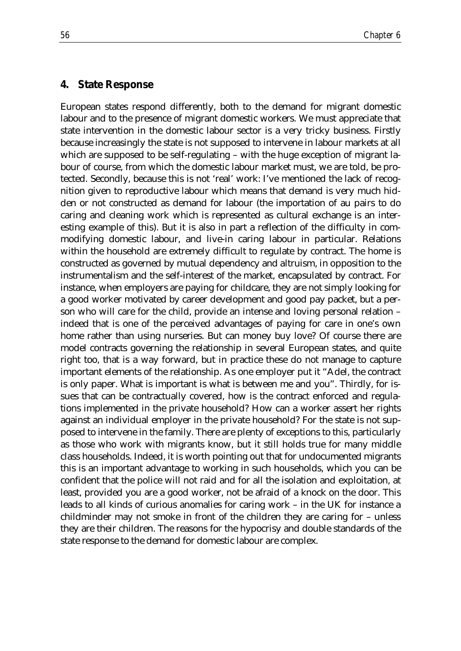#### **4. State Response**

European states respond differently, both to the demand for migrant domestic labour and to the presence of migrant domestic workers. We must appreciate that state intervention in the domestic labour sector is a very tricky business. Firstly because increasingly the state is not supposed to intervene in labour markets at all which are supposed to be self-regulating – with the huge exception of migrant labour of course, from which the domestic labour market must, we are told, be protected. Secondly, because this is not 'real' work: I've mentioned the lack of recognition given to reproductive labour which means that demand is very much hidden or not constructed as demand for labour (the importation of au pairs to do caring and cleaning work which is represented as cultural exchange is an interesting example of this). But it is also in part a reflection of the difficulty in commodifying domestic labour, and live-in caring labour in particular. Relations within the household are extremely difficult to regulate by contract. The home is constructed as governed by mutual dependency and altruism, in opposition to the instrumentalism and the self-interest of the market, encapsulated by contract. For instance, when employers are paying for childcare, they are not simply looking for a good worker motivated by career development and good pay packet, but a person who will care for the child, provide an intense and loving personal relation – indeed that is one of the perceived advantages of paying for care in one's own home rather than using nurseries. But can money buy love? Of course there are model contracts governing the relationship in several European states, and quite right too, that is a way forward, but in practice these do not manage to capture important elements of the relationship. As one employer put it "Adel, the contract is only paper. What is important is what is between me and you". Thirdly, for issues that can be contractually covered, how is the contract enforced and regulations implemented in the private household? How can a worker assert her rights against an individual employer in the private household? For the state is not supposed to intervene in the family. There are plenty of exceptions to this, particularly as those who work with migrants know, but it still holds true for many middle class households. Indeed, it is worth pointing out that for undocumented migrants this is an important advantage to working in such households, which you can be confident that the police will not raid and for all the isolation and exploitation, at least, provided you are a good worker, not be afraid of a knock on the door. This leads to all kinds of curious anomalies for caring work – in the UK for instance a childminder may not smoke in front of the children they are caring for – unless they are their children. The reasons for the hypocrisy and double standards of the state response to the demand for domestic labour are complex.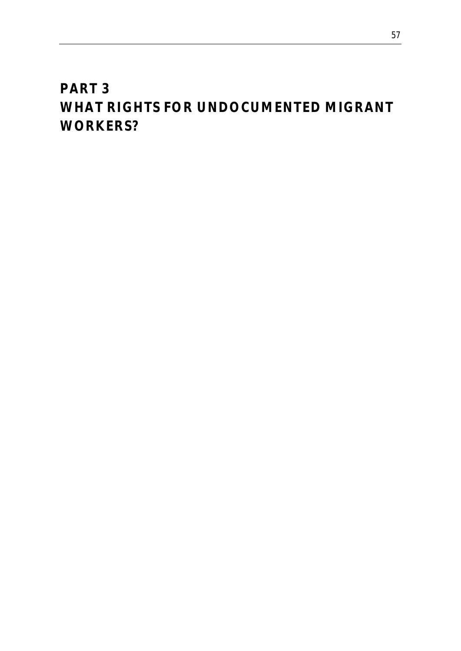## *PART 3 WHAT RIGHTS FOR UNDOCUMENTED MIGRANT WORKERS?*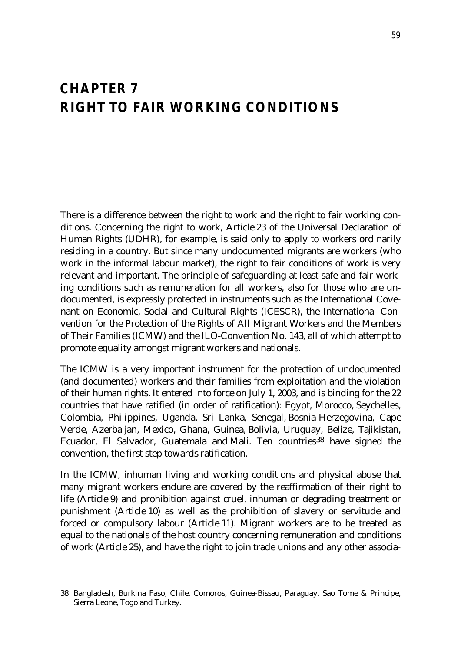### *CHAPTER 7 RIGHT TO FAIR WORKING CONDITIONS*

There is a difference between the right to work and the right to fair working conditions. Concerning the right to work, Article 23 of the Universal Declaration of Human Rights (UDHR), for example, is said only to apply to workers ordinarily residing in a country. But since many undocumented migrants are workers (who work in the informal labour market), the right to fair conditions of work is very relevant and important. The principle of safeguarding at least safe and fair working conditions such as remuneration for all workers, also for those who are undocumented, is expressly protected in instruments such as the International Covenant on Economic, Social and Cultural Rights (ICESCR), the International Convention for the Protection of the Rights of All Migrant Workers and the Members of Their Families (ICMW) and the ILO-Convention No. 143, all of which attempt to promote equality amongst migrant workers and nationals.

The ICMW is a very important instrument for the protection of undocumented (and documented) workers and their families from exploitation and the violation of their human rights. It entered into force on July 1, 2003, and is binding for the 22 countries that have ratified (in order of ratification): Egypt, Morocco, Seychelles, Colombia, Philippines, Uganda, Sri Lanka, Senegal, Bosnia-Herzegovina, Cape Verde, Azerbaijan, Mexico, Ghana, Guinea, Bolivia, Uruguay, Belize, Tajikistan, Ecuador, El Salvador, Guatemala and Mali. Ten countries<sup>38</sup> have signed the convention, the first step towards ratification.

In the ICMW, inhuman living and working conditions and physical abuse that many migrant workers endure are covered by the reaffirmation of their right to life (Article 9) and prohibition against cruel, inhuman or degrading treatment or punishment (Article 10) as well as the prohibition of slavery or servitude and forced or compulsory labour (Article 11). Migrant workers are to be treated as equal to the nationals of the host country concerning remuneration and conditions of work (Article 25), and have the right to join trade unions and any other associa-

<u>.</u>

<sup>38</sup> Bangladesh, Burkina Faso, Chile, Comoros, Guinea-Bissau, Paraguay, Sao Tome & Principe, Sierra Leone, Togo and Turkey.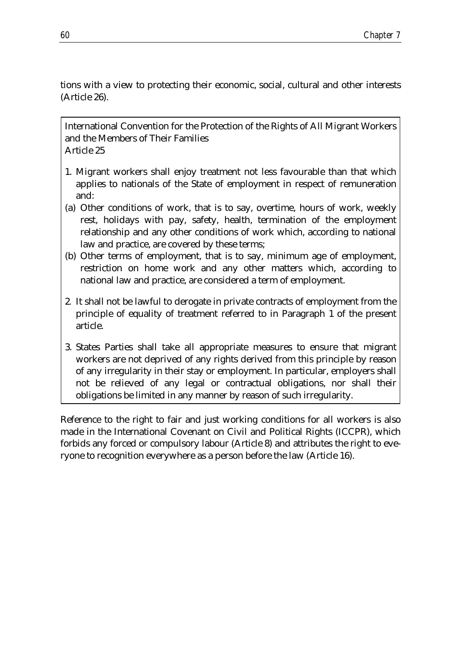tions with a view to protecting their economic, social, cultural and other interests (Article 26).

International Convention for the Protection of the Rights of All Migrant Workers and the Members of Their Families Article 25

- 1. Migrant workers shall enjoy treatment not less favourable than that which applies to nationals of the State of employment in respect of remuneration and:
- (a) Other conditions of work, that is to say, overtime, hours of work, weekly rest, holidays with pay, safety, health, termination of the employment relationship and any other conditions of work which, according to national law and practice, are covered by these terms;
- (b) Other terms of employment, that is to say, minimum age of employment, restriction on home work and any other matters which, according to national law and practice, are considered a term of employment.
- 2*.* It shall not be lawful to derogate in private contracts of employment from the principle of equality of treatment referred to in Paragraph 1 of the present article.
- 3. States Parties shall take all appropriate measures to ensure that migrant workers are not deprived of any rights derived from this principle by reason of any irregularity in their stay or employment. In particular, employers shall not be relieved of any legal or contractual obligations, nor shall their obligations be limited in any manner by reason of such irregularity.

Reference to the right to fair and just working conditions for all workers is also made in the International Covenant on Civil and Political Rights (ICCPR), which forbids any forced or compulsory labour (Article 8) and attributes the right to everyone to recognition everywhere as a person before the law (Article 16).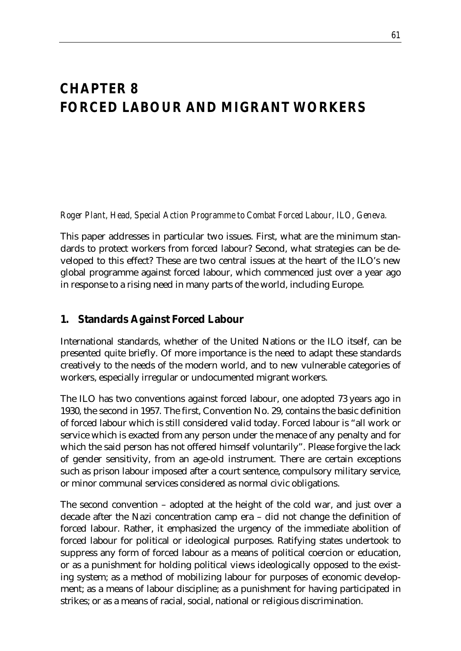# *CHAPTER 8 FORCED LABOUR AND MIGRANT WORKERS*

*Roger Plant, Head, Special Action Programme to Combat Forced Labour, ILO, Geneva.*

This paper addresses in particular two issues. First, what are the minimum standards to protect workers from forced labour? Second, what strategies can be developed to this effect? These are two central issues at the heart of the ILO's new global programme against forced labour, which commenced just over a year ago in response to a rising need in many parts of the world, including Europe.

## **1. Standards Against Forced Labour**

International standards, whether of the United Nations or the ILO itself, can be presented quite briefly. Of more importance is the need to adapt these standards creatively to the needs of the modern world, and to new vulnerable categories of workers, especially irregular or undocumented migrant workers.

The ILO has two conventions against forced labour, one adopted 73 years ago in 1930, the second in 1957. The first, Convention No. 29, contains the basic definition of forced labour which is still considered valid today. Forced labour is "all work or service which is exacted from any person under the menace of any penalty and for which the said person has not offered himself voluntarily". Please forgive the lack of gender sensitivity, from an age-old instrument. There are certain exceptions such as prison labour imposed after a court sentence, compulsory military service, or minor communal services considered as normal civic obligations.

The second convention – adopted at the height of the cold war, and just over a decade after the Nazi concentration camp era – did not change the definition of forced labour. Rather, it emphasized the urgency of the immediate abolition of forced labour for political or ideological purposes. Ratifying states undertook to suppress any form of forced labour as a means of political coercion or education, or as a punishment for holding political views ideologically opposed to the existing system; as a method of mobilizing labour for purposes of economic development; as a means of labour discipline; as a punishment for having participated in strikes; or as a means of racial, social, national or religious discrimination.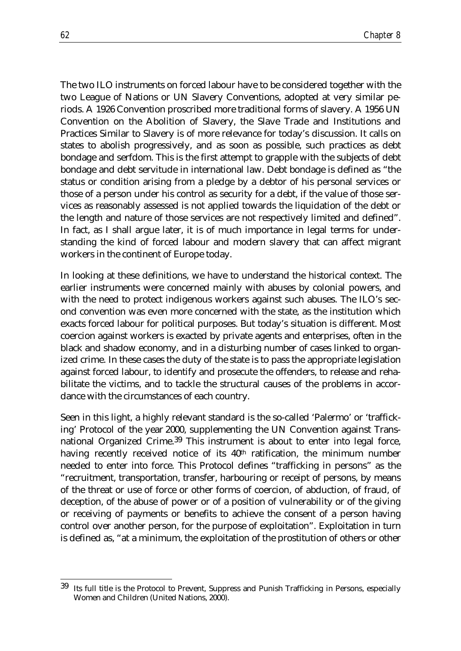The two ILO instruments on forced labour have to be considered together with the two League of Nations or UN Slavery Conventions, adopted at very similar periods. A 1926 Convention proscribed more traditional forms of slavery. A 1956 UN Convention on the Abolition of Slavery, the Slave Trade and Institutions and Practices Similar to Slavery is of more relevance for today's discussion. It calls on states to abolish progressively, and as soon as possible, such practices as debt bondage and serfdom. This is the first attempt to grapple with the subjects of debt bondage and debt servitude in international law. Debt bondage is defined as "the status or condition arising from a pledge by a debtor of his personal services or those of a person under his control as security for a debt, if the value of those services as reasonably assessed is not applied towards the liquidation of the debt or the length and nature of those services are not respectively limited and defined". In fact, as I shall argue later, it is of much importance in legal terms for understanding the kind of forced labour and modern slavery that can affect migrant workers in the continent of Europe today.

In looking at these definitions, we have to understand the historical context. The earlier instruments were concerned mainly with abuses by colonial powers, and with the need to protect indigenous workers against such abuses. The ILO's second convention was even more concerned with the state, as the institution which exacts forced labour for political purposes. But today's situation is different. Most coercion against workers is exacted by private agents and enterprises, often in the black and shadow economy, and in a disturbing number of cases linked to organized crime. In these cases the duty of the state is to pass the appropriate legislation against forced labour, to identify and prosecute the offenders, to release and rehabilitate the victims, and to tackle the structural causes of the problems in accordance with the circumstances of each country.

Seen in this light, a highly relevant standard is the so-called 'Palermo' or 'trafficking' Protocol of the year 2000, supplementing the UN Convention against Transnational Organized Crime.39 This instrument is about to enter into legal force, having recently received notice of its 40<sup>th</sup> ratification, the minimum number needed to enter into force. This Protocol defines "trafficking in persons" as the "recruitment, transportation, transfer, harbouring or receipt of persons, by means of the threat or use of force or other forms of coercion, of abduction, of fraud, of deception, of the abuse of power or of a position of vulnerability or of the giving or receiving of payments or benefits to achieve the consent of a person having control over another person, for the purpose of exploitation". Exploitation in turn is defined as, "at a minimum, the exploitation of the prostitution of others or other

<sup>39</sup> Its full title is the Protocol to Prevent, Suppress and Punish Trafficking in Persons, especially Women and Children (United Nations, 2000).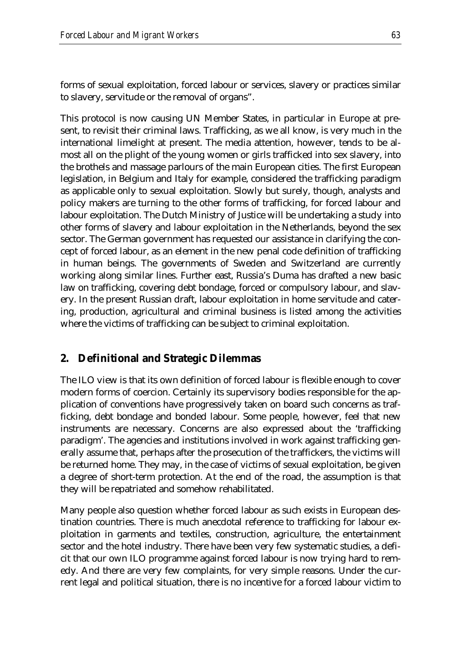forms of sexual exploitation, forced labour or services, slavery or practices similar to slavery, servitude or the removal of organs".

This protocol is now causing UN Member States, in particular in Europe at present, to revisit their criminal laws. Trafficking, as we all know, is very much in the international limelight at present. The media attention, however, tends to be almost all on the plight of the young women or girls trafficked into sex slavery, into the brothels and massage parlours of the main European cities. The first European legislation, in Belgium and Italy for example, considered the trafficking paradigm as applicable only to sexual exploitation. Slowly but surely, though, analysts and policy makers are turning to the other forms of trafficking, for forced labour and labour exploitation. The Dutch Ministry of Justice will be undertaking a study into other forms of slavery and labour exploitation in the Netherlands, beyond the sex sector. The German government has requested our assistance in clarifying the concept of forced labour, as an element in the new penal code definition of trafficking in human beings. The governments of Sweden and Switzerland are currently working along similar lines. Further east, Russia's Duma has drafted a new basic law on trafficking, covering debt bondage, forced or compulsory labour, and slavery. In the present Russian draft, labour exploitation in home servitude and catering, production, agricultural and criminal business is listed among the activities where the victims of trafficking can be subject to criminal exploitation.

## **2. Definitional and Strategic Dilemmas**

The ILO view is that its own definition of forced labour is flexible enough to cover modern forms of coercion. Certainly its supervisory bodies responsible for the application of conventions have progressively taken on board such concerns as trafficking, debt bondage and bonded labour. Some people, however, feel that new instruments are necessary. Concerns are also expressed about the 'trafficking paradigm'. The agencies and institutions involved in work against trafficking generally assume that, perhaps after the prosecution of the traffickers, the victims will be returned home. They may, in the case of victims of sexual exploitation, be given a degree of short-term protection. At the end of the road, the assumption is that they will be repatriated and somehow rehabilitated.

Many people also question whether forced labour as such exists in European destination countries. There is much anecdotal reference to trafficking for labour exploitation in garments and textiles, construction, agriculture, the entertainment sector and the hotel industry. There have been very few systematic studies, a deficit that our own ILO programme against forced labour is now trying hard to remedy. And there are very few complaints, for very simple reasons. Under the current legal and political situation, there is no incentive for a forced labour victim to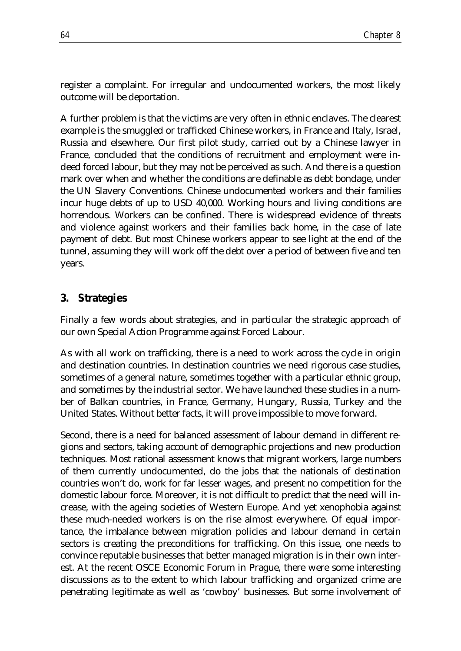register a complaint. For irregular and undocumented workers, the most likely outcome will be deportation.

A further problem is that the victims are very often in ethnic enclaves. The clearest example is the smuggled or trafficked Chinese workers, in France and Italy, Israel, Russia and elsewhere. Our first pilot study, carried out by a Chinese lawyer in France, concluded that the conditions of recruitment and employment were indeed forced labour, but they may not be perceived as such. And there is a question mark over when and whether the conditions are definable as debt bondage, under the UN Slavery Conventions. Chinese undocumented workers and their families incur huge debts of up to USD 40,000. Working hours and living conditions are horrendous. Workers can be confined. There is widespread evidence of threats and violence against workers and their families back home, in the case of late payment of debt. But most Chinese workers appear to see light at the end of the tunnel, assuming they will work off the debt over a period of between five and ten years.

#### **3. Strategies**

Finally a few words about strategies, and in particular the strategic approach of our own Special Action Programme against Forced Labour.

As with all work on trafficking, there is a need to work across the cycle in origin and destination countries. In destination countries we need rigorous case studies, sometimes of a general nature, sometimes together with a particular ethnic group, and sometimes by the industrial sector. We have launched these studies in a number of Balkan countries, in France, Germany, Hungary, Russia, Turkey and the United States. Without better facts, it will prove impossible to move forward.

Second, there is a need for balanced assessment of labour demand in different regions and sectors, taking account of demographic projections and new production techniques. Most rational assessment knows that migrant workers, large numbers of them currently undocumented, do the jobs that the nationals of destination countries won't do, work for far lesser wages, and present no competition for the domestic labour force. Moreover, it is not difficult to predict that the need will increase, with the ageing societies of Western Europe. And yet xenophobia against these much-needed workers is on the rise almost everywhere. Of equal importance, the imbalance between migration policies and labour demand in certain sectors is creating the preconditions for trafficking. On this issue, one needs to convince reputable businesses that better managed migration is in their own interest. At the recent OSCE Economic Forum in Prague, there were some interesting discussions as to the extent to which labour trafficking and organized crime are penetrating legitimate as well as 'cowboy' businesses. But some involvement of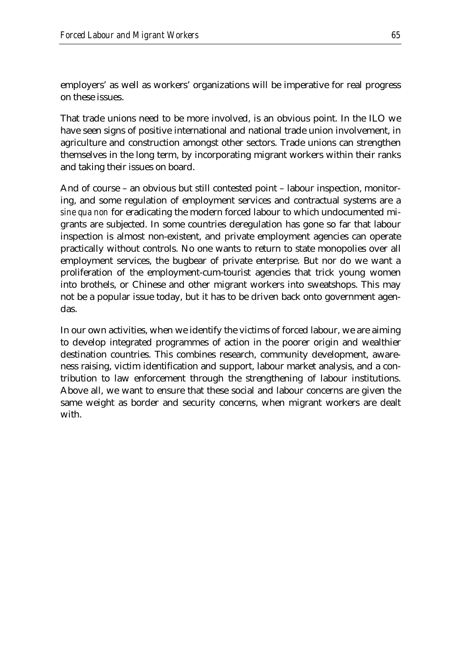employers' as well as workers' organizations will be imperative for real progress on these issues.

That trade unions need to be more involved, is an obvious point. In the ILO we have seen signs of positive international and national trade union involvement, in agriculture and construction amongst other sectors. Trade unions can strengthen themselves in the long term, by incorporating migrant workers within their ranks and taking their issues on board.

And of course – an obvious but still contested point – labour inspection, monitoring, and some regulation of employment services and contractual systems are a *sine qua non* for eradicating the modern forced labour to which undocumented migrants are subjected. In some countries deregulation has gone so far that labour inspection is almost non-existent, and private employment agencies can operate practically without controls. No one wants to return to state monopolies over all employment services, the bugbear of private enterprise. But nor do we want a proliferation of the employment-cum-tourist agencies that trick young women into brothels, or Chinese and other migrant workers into sweatshops. This may not be a popular issue today, but it has to be driven back onto government agendas.

In our own activities, when we identify the victims of forced labour, we are aiming to develop integrated programmes of action in the poorer origin and wealthier destination countries. This combines research, community development, awareness raising, victim identification and support, labour market analysis, and a contribution to law enforcement through the strengthening of labour institutions. Above all, we want to ensure that these social and labour concerns are given the same weight as border and security concerns, when migrant workers are dealt with.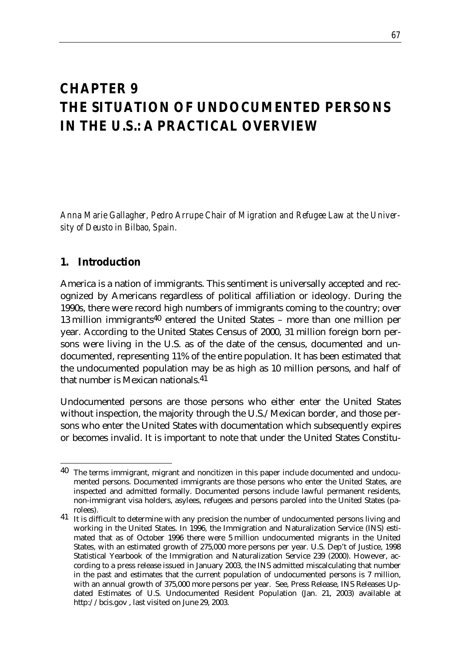# *CHAPTER 9 THE SITUATION OF UNDOCUMENTED PERSONS IN THE U.S.: A PRACTICAL OVERVIEW*

*Anna Marie Gallagher, Pedro Arrupe Chair of Migration and Refugee Law at the University of Deusto in Bilbao, Spain.*

## **1. Introduction**

America is a nation of immigrants. This sentiment is universally accepted and recognized by Americans regardless of political affiliation or ideology. During the 1990s, there were record high numbers of immigrants coming to the country; over 13 million immigrants40 entered the United States – more than one million per year. According to the United States Census of 2000, 31 million foreign born persons were living in the U.S. as of the date of the census, documented and undocumented, representing 11% of the entire population. It has been estimated that the undocumented population may be as high as 10 million persons, and half of that number is Mexican nationals.41

Undocumented persons are those persons who either enter the United States without inspection, the majority through the U.S./Mexican border, and those persons who enter the United States with documentation which subsequently expires or becomes invalid. It is important to note that under the United States Constitu-

<sup>&</sup>lt;u>.</u> <sup>40</sup> The terms immigrant, migrant and noncitizen in this paper include documented and undocumented persons. Documented immigrants are those persons who enter the United States, are inspected and admitted formally. Documented persons include lawful permanent residents, non-immigrant visa holders, asylees, refugees and persons paroled into the United States (parolees).

<sup>&</sup>lt;sup>41</sup> It is difficult to determine with any precision the number of undocumented persons living and working in the United States. In 1996, the Immigration and Naturalization Service (INS) estimated that as of October 1996 there were 5 million undocumented migrants in the United States, with an estimated growth of 275,000 more persons per year. U.S. Dep't of Justice, 1998 Statistical Yearbook of the Immigration and Naturalization Service 239 (2000). However, according to a press release issued in January 2003, the INS admitted miscalculating that number in the past and estimates that the current population of undocumented persons is 7 million, with an annual growth of 375,000 more persons per year. See, Press Release, INS Releases Updated Estimates of U.S. Undocumented Resident Population (Jan. 21, 2003) available at http://bcis.gov , last visited on June 29, 2003.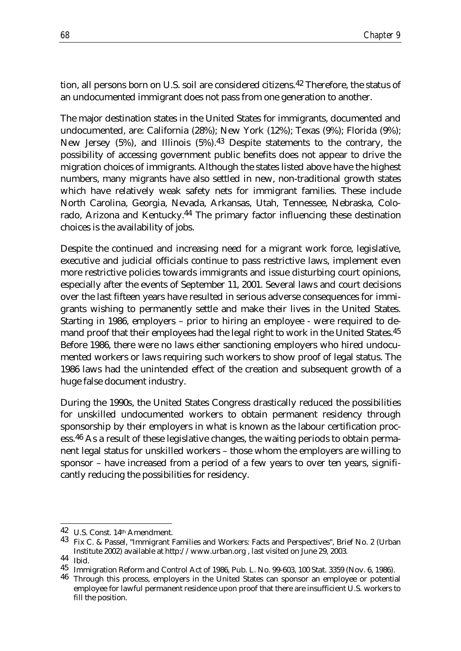tion, all persons born on U.S. soil are considered citizens.42 Therefore, the status of an undocumented immigrant does not pass from one generation to another.

The major destination states in the United States for immigrants, documented and undocumented, are: California (28%); New York (12%); Texas (9%); Florida (9%); New Jersey (5%), and Illinois (5%).43 Despite statements to the contrary, the possibility of accessing government public benefits does not appear to drive the migration choices of immigrants. Although the states listed above have the highest numbers, many migrants have also settled in new, non-traditional growth states which have relatively weak safety nets for immigrant families. These include North Carolina, Georgia, Nevada, Arkansas, Utah, Tennessee, Nebraska, Colorado, Arizona and Kentucky.44 The primary factor influencing these destination choices is the availability of jobs.

Despite the continued and increasing need for a migrant work force, legislative, executive and judicial officials continue to pass restrictive laws, implement even more restrictive policies towards immigrants and issue disturbing court opinions, especially after the events of September 11, 2001. Several laws and court decisions over the last fifteen years have resulted in serious adverse consequences for immigrants wishing to permanently settle and make their lives in the United States. Starting in 1986, employers – prior to hiring an employee - were required to demand proof that their employees had the legal right to work in the United States.<sup>45</sup> Before 1986, there were no laws either sanctioning employers who hired undocumented workers or laws requiring such workers to show proof of legal status. The 1986 laws had the unintended effect of the creation and subsequent growth of a huge false document industry.

During the 1990s, the United States Congress drastically reduced the possibilities for unskilled undocumented workers to obtain permanent residency through sponsorship by their employers in what is known as the labour certification process.46 As a result of these legislative changes, the waiting periods to obtain permanent legal status for unskilled workers – those whom the employers are willing to sponsor – have increased from a period of a few years to over ten years, significantly reducing the possibilities for residency.

<sup>42</sup> U.S. Const. 14th Amendment.

<sup>&</sup>lt;sup>43</sup> Fix C. & Passel, "Immigrant Families and Workers: Facts and Perspectives", Brief No. 2 (Urban Institute 2002) available at http://www.urban.org , last visited on June 29, 2003.<br>  $44\,\,$  Ibid

<sup>45</sup> Immigration Reform and Control Act of 1986, Pub. L. No. 99-603, 100 Stat. 3359 (Nov. 6, 1986). 46 Through this process, employers in the United States can sponsor an employee or potential

employee for lawful permanent residence upon proof that there are insufficient U.S. workers to fill the position.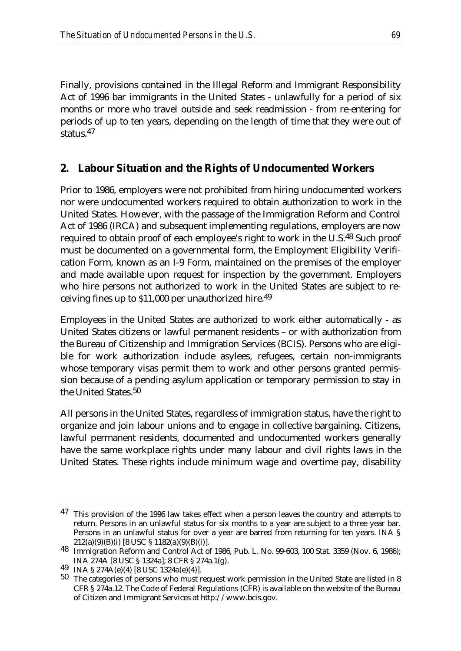Finally, provisions contained in the Illegal Reform and Immigrant Responsibility Act of 1996 bar immigrants in the United States - unlawfully for a period of six months or more who travel outside and seek readmission - from re-entering for periods of up to ten years, depending on the length of time that they were out of status.47

## **2. Labour Situation and the Rights of Undocumented Workers**

Prior to 1986, employers were not prohibited from hiring undocumented workers nor were undocumented workers required to obtain authorization to work in the United States. However, with the passage of the Immigration Reform and Control Act of 1986 (IRCA) and subsequent implementing regulations, employers are now required to obtain proof of each employee's right to work in the U.S.48 Such proof must be documented on a governmental form, the Employment Eligibility Verification Form, known as an I-9 Form, maintained on the premises of the employer and made available upon request for inspection by the government. Employers who hire persons not authorized to work in the United States are subject to receiving fines up to \$11,000 per unauthorized hire.49

Employees in the United States are authorized to work either automatically - as United States citizens or lawful permanent residents – or with authorization from the Bureau of Citizenship and Immigration Services (BCIS). Persons who are eligible for work authorization include asylees, refugees, certain non-immigrants whose temporary visas permit them to work and other persons granted permission because of a pending asylum application or temporary permission to stay in the United States.50

All persons in the United States, regardless of immigration status, have the right to organize and join labour unions and to engage in collective bargaining. Citizens, lawful permanent residents, documented and undocumented workers generally have the same workplace rights under many labour and civil rights laws in the United States. These rights include minimum wage and overtime pay, disability

<sup>&</sup>lt;sup>47</sup> This provision of the 1996 law takes effect when a person leaves the country and attempts to return. Persons in an unlawful status for six months to a year are subject to a three year bar. Persons in an unlawful status for over a year are barred from returning for ten years. INA § 212(a)(9)(B)(i) [8 USC § 1182(a)(9)(B)(i)].

<sup>48</sup> Immigration Reform and Control Act of 1986, Pub. L. No. 99-603, 100 Stat. 3359 (Nov. 6, 1986); INA 274A [8 USC § 1324a]; 8 CFR § 274a.1(g). 49 INA § 274A(e)(4) [8 USC 1324a(e)(4)].

<sup>50</sup> The categories of persons who must request work permission in the United State are listed in 8 CFR § 274a.12. The Code of Federal Regulations (CFR) is available on the website of the Bureau of Citizen and Immigrant Services at http://www.bcis.gov.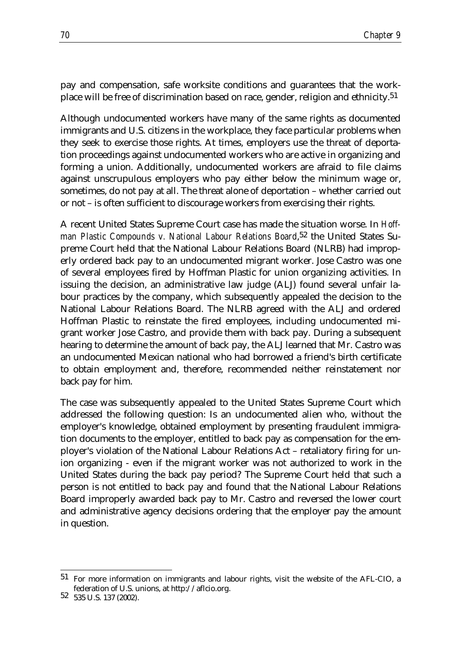pay and compensation, safe worksite conditions and guarantees that the workplace will be free of discrimination based on race, gender, religion and ethnicity.51

Although undocumented workers have many of the same rights as documented immigrants and U.S. citizens in the workplace, they face particular problems when they seek to exercise those rights. At times, employers use the threat of deportation proceedings against undocumented workers who are active in organizing and forming a union. Additionally, undocumented workers are afraid to file claims against unscrupulous employers who pay either below the minimum wage or, sometimes, do not pay at all. The threat alone of deportation – whether carried out or not – is often sufficient to discourage workers from exercising their rights.

A recent United States Supreme Court case has made the situation worse. In *Hoffman Plastic Compounds v. National Labour Relations Board*,<sup>52</sup> the United States Supreme Court held that the National Labour Relations Board (NLRB) had improperly ordered back pay to an undocumented migrant worker. Jose Castro was one of several employees fired by Hoffman Plastic for union organizing activities. In issuing the decision, an administrative law judge (ALJ) found several unfair labour practices by the company, which subsequently appealed the decision to the National Labour Relations Board. The NLRB agreed with the ALJ and ordered Hoffman Plastic to reinstate the fired employees, including undocumented migrant worker Jose Castro, and provide them with back pay. During a subsequent hearing to determine the amount of back pay, the ALJ learned that Mr. Castro was an undocumented Mexican national who had borrowed a friend's birth certificate to obtain employment and, therefore, recommended neither reinstatement nor back pay for him.

The case was subsequently appealed to the United States Supreme Court which addressed the following question: Is an undocumented alien who, without the employer's knowledge, obtained employment by presenting fraudulent immigration documents to the employer, entitled to back pay as compensation for the employer's violation of the National Labour Relations Act – retaliatory firing for union organizing - even if the migrant worker was not authorized to work in the United States during the back pay period? The Supreme Court held that such a person is not entitled to back pay and found that the National Labour Relations Board improperly awarded back pay to Mr. Castro and reversed the lower court and administrative agency decisions ordering that the employer pay the amount in question.

<sup>51</sup> For more information on immigrants and labour rights, visit the website of the AFL-CIO, a federation of U.S. unions, at http://aflcio.org. <sup>52</sup> 535 U.S. 137 (2002).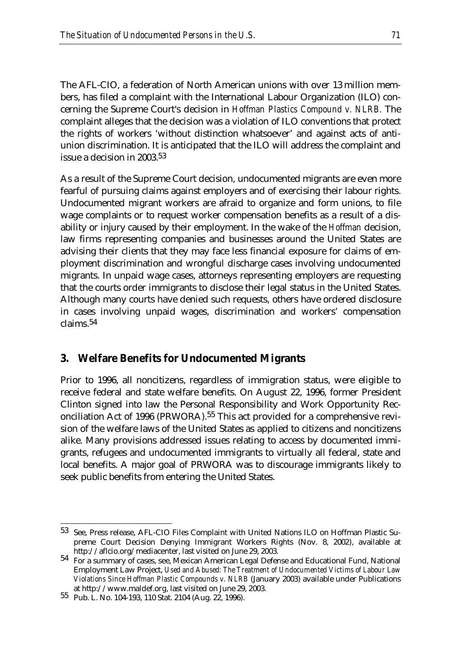The AFL-CIO, a federation of North American unions with over 13 million members, has filed a complaint with the International Labour Organization (ILO) concerning the Supreme Court's decision in *Hoffman Plastics Compound v. NLRB.* The complaint alleges that the decision was a violation of ILO conventions that protect the rights of workers 'without distinction whatsoever' and against acts of antiunion discrimination. It is anticipated that the ILO will address the complaint and issue a decision in 2003.53

As a result of the Supreme Court decision, undocumented migrants are even more fearful of pursuing claims against employers and of exercising their labour rights. Undocumented migrant workers are afraid to organize and form unions, to file wage complaints or to request worker compensation benefits as a result of a disability or injury caused by their employment. In the wake of the *Hoffman* decision, law firms representing companies and businesses around the United States are advising their clients that they may face less financial exposure for claims of employment discrimination and wrongful discharge cases involving undocumented migrants. In unpaid wage cases, attorneys representing employers are requesting that the courts order immigrants to disclose their legal status in the United States. Although many courts have denied such requests, others have ordered disclosure in cases involving unpaid wages, discrimination and workers' compensation claims.54

### **3. Welfare Benefits for Undocumented Migrants**

Prior to 1996, all noncitizens, regardless of immigration status, were eligible to receive federal and state welfare benefits. On August 22, 1996, former President Clinton signed into law the Personal Responsibility and Work Opportunity Reconciliation Act of 1996 (PRWORA).55 This act provided for a comprehensive revision of the welfare laws of the United States as applied to citizens and noncitizens alike. Many provisions addressed issues relating to access by documented immigrants, refugees and undocumented immigrants to virtually all federal, state and local benefits. A major goal of PRWORA was to discourage immigrants likely to seek public benefits from entering the United States.

<sup>53</sup> See, Press release, AFL-CIO Files Complaint with United Nations ILO on Hoffman Plastic Supreme Court Decision Denying Immigrant Workers Rights (Nov. 8, 2002), available at

http://aflcio.org/mediacenter, last visited on June 29, 2003. 54 For a summary of cases, see, Mexican American Legal Defense and Educational Fund, National Employment Law Project, *Used and Abused: The Treatment of Undocumented Victims of Labour Law Violations Since Hoffman Plastic Compounds v. NLRB* (January 2003) available under Publications

at http://www.maldef.org, last visited on June 29, 2003. 55 Pub. L. No. 104-193, 110 Stat. 2104 (Aug. 22, 1996).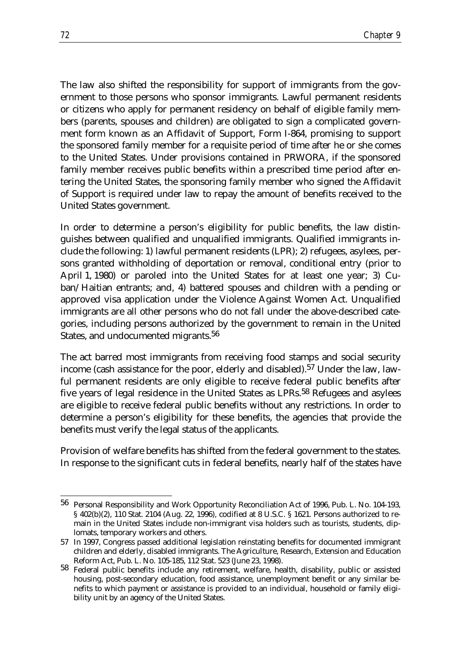The law also shifted the responsibility for support of immigrants from the government to those persons who sponsor immigrants. Lawful permanent residents or citizens who apply for permanent residency on behalf of eligible family members (parents, spouses and children) are obligated to sign a complicated government form known as an Affidavit of Support, Form I-864, promising to support the sponsored family member for a requisite period of time after he or she comes to the United States. Under provisions contained in PRWORA, if the sponsored family member receives public benefits within a prescribed time period after entering the United States, the sponsoring family member who signed the Affidavit of Support is required under law to repay the amount of benefits received to the United States government.

In order to determine a person's eligibility for public benefits, the law distinguishes between qualified and unqualified immigrants. Qualified immigrants include the following: 1) lawful permanent residents (LPR); 2) refugees, asylees, persons granted withholding of deportation or removal, conditional entry (prior to April 1, 1980) or paroled into the United States for at least one year; 3) Cuban/Haitian entrants; and, 4) battered spouses and children with a pending or approved visa application under the Violence Against Women Act. Unqualified immigrants are all other persons who do not fall under the above-described categories, including persons authorized by the government to remain in the United States, and undocumented migrants.56

The act barred most immigrants from receiving food stamps and social security income (cash assistance for the poor, elderly and disabled).57 Under the law, lawful permanent residents are only eligible to receive federal public benefits after five years of legal residence in the United States as LPRs.58 Refugees and asylees are eligible to receive federal public benefits without any restrictions. In order to determine a person's eligibility for these benefits, the agencies that provide the benefits must verify the legal status of the applicants.

Provision of welfare benefits has shifted from the federal government to the states. In response to the significant cuts in federal benefits, nearly half of the states have

<sup>56</sup> Personal Responsibility and Work Opportunity Reconciliation Act of 1996, Pub. L. No. 104-193, § 402(b)(2), 110 Stat. 2104 (Aug. 22, 1996), codified at 8 U.S.C. § 1621. Persons authorized to remain in the United States include non-immigrant visa holders such as tourists, students, diplomats, temporary workers and others.

<sup>57</sup> In 1997, Congress passed additional legislation reinstating benefits for documented immigrant children and elderly, disabled immigrants. The Agriculture, Research, Extension and Education Reform Act, Pub. L. No. 105-185, 112 Stat. 523 (June 23, 1998).

<sup>58</sup> Federal public benefits include any retirement, welfare, health, disability, public or assisted housing, post-secondary education, food assistance, unemployment benefit or any similar benefits to which payment or assistance is provided to an individual, household or family eligibility unit by an agency of the United States.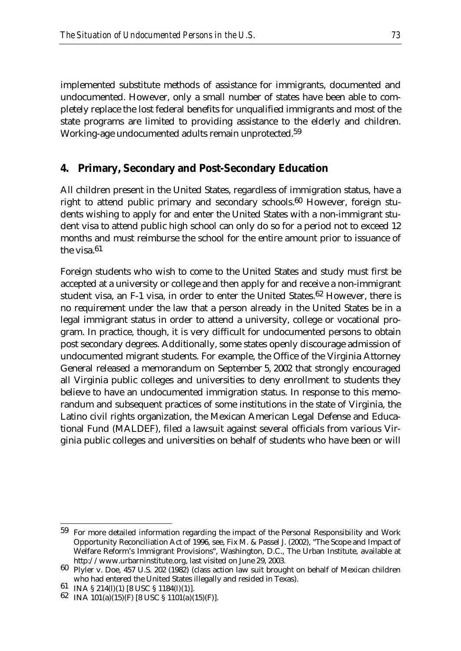implemented substitute methods of assistance for immigrants, documented and undocumented. However, only a small number of states have been able to completely replace the lost federal benefits for unqualified immigrants and most of the state programs are limited to providing assistance to the elderly and children. Working-age undocumented adults remain unprotected.59

## **4. Primary, Secondary and Post-Secondary Education**

All children present in the United States, regardless of immigration status, have a right to attend public primary and secondary schools.60 However, foreign students wishing to apply for and enter the United States with a non-immigrant student visa to attend public high school can only do so for a period not to exceed 12 months and must reimburse the school for the entire amount prior to issuance of the visa.<sup>61</sup>

Foreign students who wish to come to the United States and study must first be accepted at a university or college and then apply for and receive a non-immigrant student visa, an F-1 visa, in order to enter the United States.62 However, there is no requirement under the law that a person already in the United States be in a legal immigrant status in order to attend a university, college or vocational program. In practice, though, it is very difficult for undocumented persons to obtain post secondary degrees. Additionally, some states openly discourage admission of undocumented migrant students. For example, the Office of the Virginia Attorney General released a memorandum on September 5, 2002 that strongly encouraged all Virginia public colleges and universities to deny enrollment to students they believe to have an undocumented immigration status. In response to this memorandum and subsequent practices of some institutions in the state of Virginia, the Latino civil rights organization, the Mexican American Legal Defense and Educational Fund (MALDEF), filed a lawsuit against several officials from various Virginia public colleges and universities on behalf of students who have been or will

<sup>59</sup> For more detailed information regarding the impact of the Personal Responsibility and Work Opportunity Reconciliation Act of 1996, see, Fix M. & Passel J. (2002), "The Scope and Impact of Welfare Reform's Immigrant Provisions", Washington, D.C., The Urban Institute, available at

http://www.urbarninstitute.org, last visited on June 29, 2003. 60 Plyler v. Doe, 457 U.S. 202 (1982) (class action law suit brought on behalf of Mexican children who had entered the United States illegally and resided in Texas). 61 INA § 214(l)(1) [8 USC § 1184(l)(1)].

<sup>62</sup> INA 101(a)(15)(F) [8 USC § 1101(a)(15)(F)].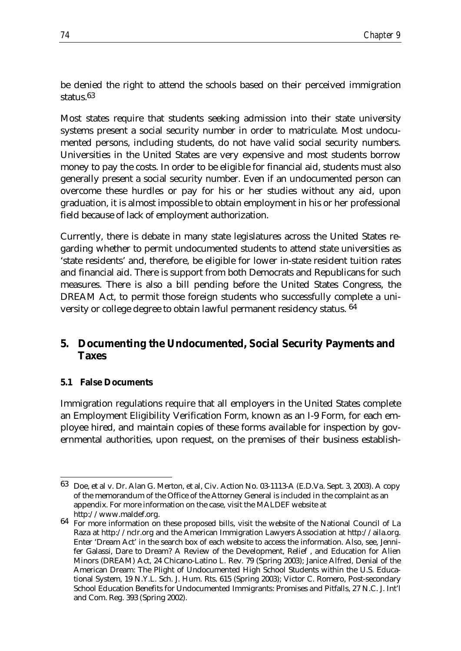be denied the right to attend the schools based on their perceived immigration status.63

Most states require that students seeking admission into their state university systems present a social security number in order to matriculate. Most undocumented persons, including students, do not have valid social security numbers. Universities in the United States are very expensive and most students borrow money to pay the costs. In order to be eligible for financial aid, students must also generally present a social security number. Even if an undocumented person can overcome these hurdles or pay for his or her studies without any aid, upon graduation, it is almost impossible to obtain employment in his or her professional field because of lack of employment authorization.

Currently, there is debate in many state legislatures across the United States regarding whether to permit undocumented students to attend state universities as 'state residents' and, therefore, be eligible for lower in-state resident tuition rates and financial aid. There is support from both Democrats and Republicans for such measures. There is also a bill pending before the United States Congress, the DREAM Act, to permit those foreign students who successfully complete a university or college degree to obtain lawful permanent residency status. 64

## **5. Documenting the Undocumented, Social Security Payments and Taxes**

### **5.1 False Documents**

Immigration regulations require that all employers in the United States complete an Employment Eligibility Verification Form, known as an I-9 Form, for each employee hired, and maintain copies of these forms available for inspection by governmental authorities, upon request, on the premises of their business establish-

<sup>&</sup>lt;u>.</u> 63 Doe, et al v. Dr. Alan G. Merton, et al, Civ. Action No. 03-1113-A (E.D.Va. Sept. 3, 2003). A copy of the memorandum of the Office of the Attorney General is included in the complaint as an appendix. For more information on the case, visit the MALDEF website at

http://www.maldef.org.<br>64 For more information on these proposed bills, visit the website of the National Council of La Raza at http://nclr.org and the American Immigration Lawyers Association at http://aila.org. Enter 'Dream Act' in the search box of each website to access the information. Also, see, Jennifer Galassi, Dare to Dream? A Review of the Development, Relief , and Education for Alien Minors (DREAM) Act, 24 Chicano-Latino L. Rev. 79 (Spring 2003); Janice Alfred, Denial of the American Dream: The Plight of Undocumented High School Students within the U.S. Educational System, 19 N.Y.L. Sch. J. Hum. Rts. 615 (Spring 2003); Victor C. Romero, Post-secondary School Education Benefits for Undocumented Immigrants: Promises and Pitfalls, 27 N.C. J. Int'l and Com. Reg. 393 (Spring 2002).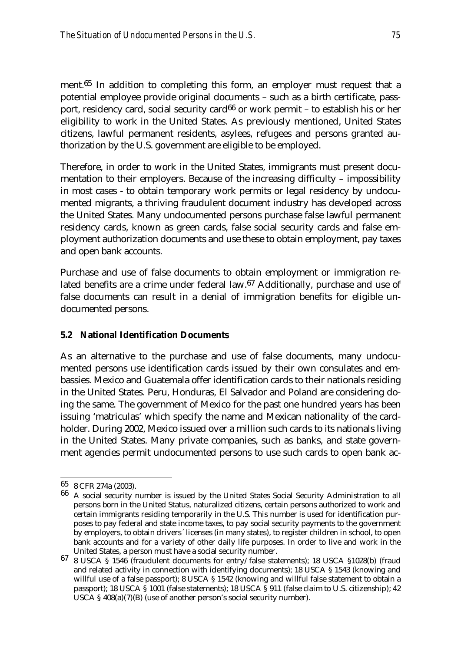ment.<sup>65</sup> In addition to completing this form, an employer must request that a potential employee provide original documents – such as a birth certificate, passport, residency card, social security card<sup>66</sup> or work permit – to establish his or her eligibility to work in the United States. As previously mentioned, United States citizens, lawful permanent residents, asylees, refugees and persons granted authorization by the U.S. government are eligible to be employed.

Therefore, in order to work in the United States, immigrants must present documentation to their employers. Because of the increasing difficulty – impossibility in most cases - to obtain temporary work permits or legal residency by undocumented migrants, a thriving fraudulent document industry has developed across the United States. Many undocumented persons purchase false lawful permanent residency cards, known as green cards, false social security cards and false employment authorization documents and use these to obtain employment, pay taxes and open bank accounts.

Purchase and use of false documents to obtain employment or immigration related benefits are a crime under federal law.67 Additionally, purchase and use of false documents can result in a denial of immigration benefits for eligible undocumented persons.

#### **5.2 National Identification Documents**

As an alternative to the purchase and use of false documents, many undocumented persons use identification cards issued by their own consulates and embassies. Mexico and Guatemala offer identification cards to their nationals residing in the United States. Peru, Honduras, El Salvador and Poland are considering doing the same. The government of Mexico for the past one hundred years has been issuing 'matriculas' which specify the name and Mexican nationality of the cardholder. During 2002, Mexico issued over a million such cards to its nationals living in the United States. Many private companies, such as banks, and state government agencies permit undocumented persons to use such cards to open bank ac-

<sup>65</sup> 8 CFR 274a (2003).

<sup>66</sup> A social security number is issued by the United States Social Security Administration to all persons born in the United Status, naturalized citizens, certain persons authorized to work and certain immigrants residing temporarily in the U.S. This number is used for identification purposes to pay federal and state income taxes, to pay social security payments to the government by employers, to obtain drivers´ licenses (in many states), to register children in school, to open bank accounts and for a variety of other daily life purposes. In order to live and work in the

United States, a person must have a social security number. 67 8 USCA § 1546 (fraudulent documents for entry/false statements); 18 USCA §1028(b) (fraud and related activity in connection with identifying documents); 18 USCA § 1543 (knowing and willful use of a false passport); 8 USCA § 1542 (knowing and willful false statement to obtain a passport); 18 USCA § 1001 (false statements); 18 USCA § 911 (false claim to U.S. citizenship); 42 USCA § 408(a)(7)(B) (use of another person's social security number).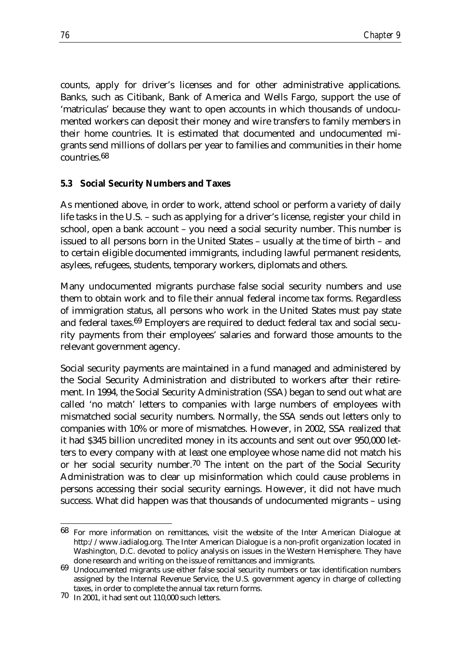counts, apply for driver's licenses and for other administrative applications. Banks, such as Citibank, Bank of America and Wells Fargo, support the use of 'matriculas' because they want to open accounts in which thousands of undocumented workers can deposit their money and wire transfers to family members in their home countries. It is estimated that documented and undocumented migrants send millions of dollars per year to families and communities in their home countries.68

#### **5.3 Social Security Numbers and Taxes**

As mentioned above, in order to work, attend school or perform a variety of daily life tasks in the U.S. – such as applying for a driver's license, register your child in school, open a bank account – you need a social security number. This number is issued to all persons born in the United States – usually at the time of birth – and to certain eligible documented immigrants, including lawful permanent residents, asylees, refugees, students, temporary workers, diplomats and others.

Many undocumented migrants purchase false social security numbers and use them to obtain work and to file their annual federal income tax forms. Regardless of immigration status, all persons who work in the United States must pay state and federal taxes.69 Employers are required to deduct federal tax and social security payments from their employees' salaries and forward those amounts to the relevant government agency.

Social security payments are maintained in a fund managed and administered by the Social Security Administration and distributed to workers after their retirement. In 1994, the Social Security Administration (SSA) began to send out what are called 'no match' letters to companies with large numbers of employees with mismatched social security numbers. Normally, the SSA sends out letters only to companies with 10% or more of mismatches. However, in 2002, SSA realized that it had \$345 billion uncredited money in its accounts and sent out over 950,000 letters to every company with at least one employee whose name did not match his or her social security number.70 The intent on the part of the Social Security Administration was to clear up misinformation which could cause problems in persons accessing their social security earnings. However, it did not have much success. What did happen was that thousands of undocumented migrants – using

<sup>68</sup> For more information on remittances, visit the website of the Inter American Dialogue at http://www.iadialog.org. The Inter American Dialogue is a non-profit organization located in Washington, D.C. devoted to policy analysis on issues in the Western Hemisphere. They have

done research and writing on the issue of remittances and immigrants. 69 Undocumented migrants use either false social security numbers or tax identification numbers assigned by the Internal Revenue Service, the U.S. government agency in charge of collecting taxes, in order to complete the annual tax return forms. 70 In 2001, it had sent out 110,000 such letters.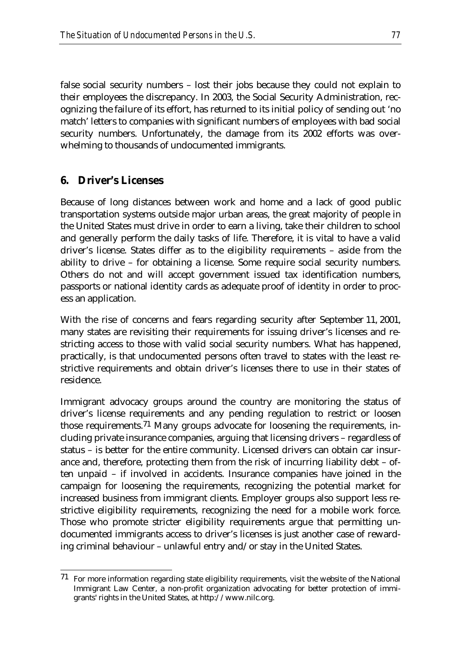false social security numbers – lost their jobs because they could not explain to their employees the discrepancy. In 2003, the Social Security Administration, recognizing the failure of its effort, has returned to its initial policy of sending out 'no match' letters to companies with significant numbers of employees with bad social security numbers. Unfortunately, the damage from its 2002 efforts was overwhelming to thousands of undocumented immigrants.

### **6. Driver's Licenses**

<u>.</u>

Because of long distances between work and home and a lack of good public transportation systems outside major urban areas, the great majority of people in the United States must drive in order to earn a living, take their children to school and generally perform the daily tasks of life. Therefore, it is vital to have a valid driver's license. States differ as to the eligibility requirements – aside from the ability to drive – for obtaining a license. Some require social security numbers. Others do not and will accept government issued tax identification numbers, passports or national identity cards as adequate proof of identity in order to process an application.

With the rise of concerns and fears regarding security after September 11, 2001, many states are revisiting their requirements for issuing driver's licenses and restricting access to those with valid social security numbers. What has happened, practically, is that undocumented persons often travel to states with the least restrictive requirements and obtain driver's licenses there to use in their states of residence.

Immigrant advocacy groups around the country are monitoring the status of driver's license requirements and any pending regulation to restrict or loosen those requirements.71 Many groups advocate for loosening the requirements, including private insurance companies, arguing that licensing drivers – regardless of status – is better for the entire community. Licensed drivers can obtain car insurance and, therefore, protecting them from the risk of incurring liability debt – often unpaid – if involved in accidents. Insurance companies have joined in the campaign for loosening the requirements, recognizing the potential market for increased business from immigrant clients. Employer groups also support less restrictive eligibility requirements, recognizing the need for a mobile work force. Those who promote stricter eligibility requirements argue that permitting undocumented immigrants access to driver's licenses is just another case of rewarding criminal behaviour – unlawful entry and/or stay in the United States.

 $71$  For more information regarding state eligibility requirements, visit the website of the National Immigrant Law Center, a non-profit organization advocating for better protection of immigrants' rights in the United States, at http://www.nilc.org.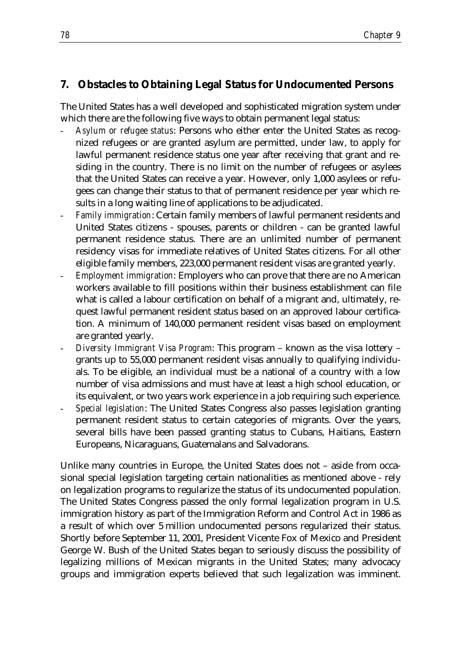## **7. Obstacles to Obtaining Legal Status for Undocumented Persons**

The United States has a well developed and sophisticated migration system under which there are the following five ways to obtain permanent legal status:

- *Asylum or refugee status*: Persons who either enter the United States as recognized refugees or are granted asylum are permitted, under law, to apply for lawful permanent residence status one year after receiving that grant and residing in the country. There is no limit on the number of refugees or asylees that the United States can receive a year. However, only 1,000 asylees or refugees can change their status to that of permanent residence per year which results in a long waiting line of applications to be adjudicated.
- *Family immigration*: Certain family members of lawful permanent residents and United States citizens - spouses, parents or children - can be granted lawful permanent residence status. There are an unlimited number of permanent residency visas for immediate relatives of United States citizens. For all other eligible family members, 223,000 permanent resident visas are granted yearly.
- *Employment immigration*: Employers who can prove that there are no American workers available to fill positions within their business establishment can file what is called a labour certification on behalf of a migrant and, ultimately, request lawful permanent resident status based on an approved labour certification. A minimum of 140,000 permanent resident visas based on employment are granted yearly.
- *Diversity Immigrant Visa Program*: This program known as the visa lottery grants up to 55,000 permanent resident visas annually to qualifying individuals. To be eligible, an individual must be a national of a country with a low number of visa admissions and must have at least a high school education, or its equivalent, or two years work experience in a job requiring such experience.
- *Special legislation*: The United States Congress also passes legislation granting permanent resident status to certain categories of migrants. Over the years, several bills have been passed granting status to Cubans, Haitians, Eastern Europeans, Nicaraguans, Guatemalans and Salvadorans.

Unlike many countries in Europe, the United States does not – aside from occasional special legislation targeting certain nationalities as mentioned above - rely on legalization programs to regularize the status of its undocumented population. The United States Congress passed the only formal legalization program in U.S. immigration history as part of the Immigration Reform and Control Act in 1986 as a result of which over 5 million undocumented persons regularized their status. Shortly before September 11, 2001, President Vicente Fox of Mexico and President George W. Bush of the United States began to seriously discuss the possibility of legalizing millions of Mexican migrants in the United States; many advocacy groups and immigration experts believed that such legalization was imminent.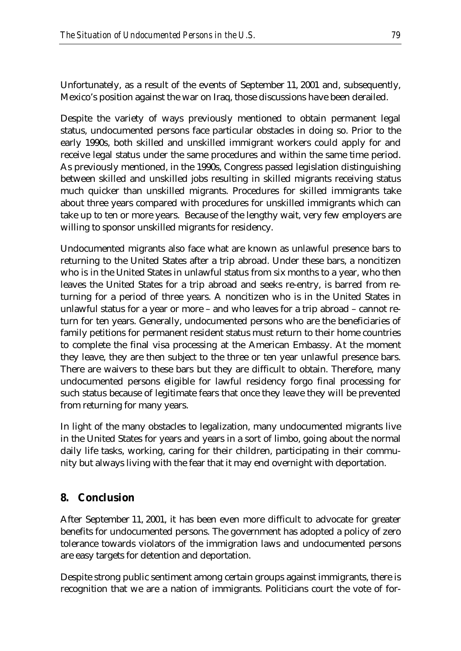Unfortunately, as a result of the events of September 11, 2001 and, subsequently, Mexico's position against the war on Iraq, those discussions have been derailed.

Despite the variety of ways previously mentioned to obtain permanent legal status, undocumented persons face particular obstacles in doing so. Prior to the early 1990s, both skilled and unskilled immigrant workers could apply for and receive legal status under the same procedures and within the same time period. As previously mentioned, in the 1990s, Congress passed legislation distinguishing between skilled and unskilled jobs resulting in skilled migrants receiving status much quicker than unskilled migrants. Procedures for skilled immigrants take about three years compared with procedures for unskilled immigrants which can take up to ten or more years. Because of the lengthy wait, very few employers are willing to sponsor unskilled migrants for residency.

Undocumented migrants also face what are known as unlawful presence bars to returning to the United States after a trip abroad. Under these bars, a noncitizen who is in the United States in unlawful status from six months to a year, who then leaves the United States for a trip abroad and seeks re-entry, is barred from returning for a period of three years. A noncitizen who is in the United States in unlawful status for a year or more – and who leaves for a trip abroad – cannot return for ten years. Generally, undocumented persons who are the beneficiaries of family petitions for permanent resident status must return to their home countries to complete the final visa processing at the American Embassy. At the moment they leave, they are then subject to the three or ten year unlawful presence bars. There are waivers to these bars but they are difficult to obtain. Therefore, many undocumented persons eligible for lawful residency forgo final processing for such status because of legitimate fears that once they leave they will be prevented from returning for many years.

In light of the many obstacles to legalization, many undocumented migrants live in the United States for years and years in a sort of limbo, going about the normal daily life tasks, working, caring for their children, participating in their community but always living with the fear that it may end overnight with deportation.

### **8. Conclusion**

After September 11, 2001, it has been even more difficult to advocate for greater benefits for undocumented persons. The government has adopted a policy of zero tolerance towards violators of the immigration laws and undocumented persons are easy targets for detention and deportation.

Despite strong public sentiment among certain groups against immigrants, there is recognition that we are a nation of immigrants. Politicians court the vote of for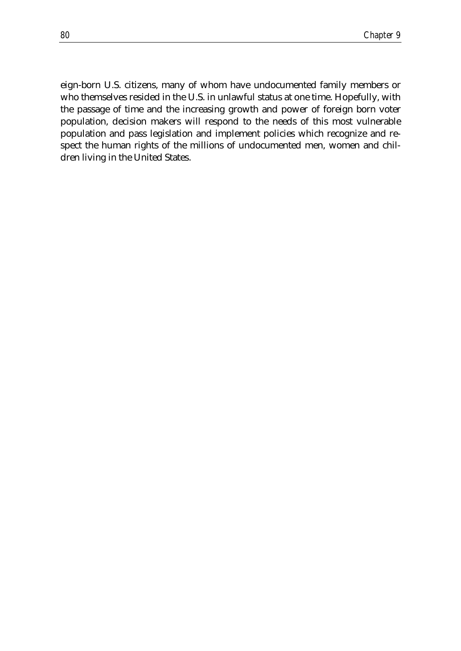eign-born U.S. citizens, many of whom have undocumented family members or who themselves resided in the U.S. in unlawful status at one time. Hopefully, with the passage of time and the increasing growth and power of foreign born voter population, decision makers will respond to the needs of this most vulnerable population and pass legislation and implement policies which recognize and respect the human rights of the millions of undocumented men, women and children living in the United States.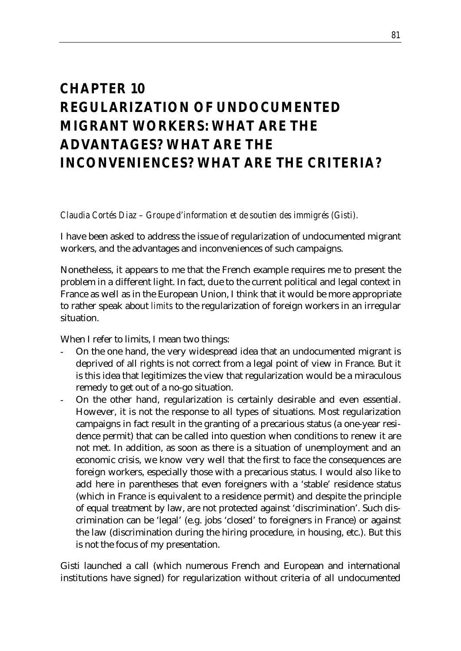# *CHAPTER 10 REGULARIZATION OF UNDOCUMENTED MIGRANT WORKERS: WHAT ARE THE ADVANTAGES? WHAT ARE THE INCONVENIENCES? WHAT ARE THE CRITERIA?*

*Claudia Cortés Diaz – Groupe d'information et de soutien des immigrés (Gisti).*

I have been asked to address the issue of regularization of undocumented migrant workers, and the advantages and inconveniences of such campaigns.

Nonetheless, it appears to me that the French example requires me to present the problem in a different light. In fact, due to the current political and legal context in France as well as in the European Union, I think that it would be more appropriate to rather speak about *limits* to the regularization of foreign workers in an irregular situation.

When I refer to limits, I mean two things:

- On the one hand, the very widespread idea that an undocumented migrant is deprived of all rights is not correct from a legal point of view in France. But it is this idea that legitimizes the view that regularization would be a miraculous remedy to get out of a no-go situation.
- On the other hand, regularization is certainly desirable and even essential. However, it is not the response to all types of situations. Most regularization campaigns in fact result in the granting of a precarious status (a one-year residence permit) that can be called into question when conditions to renew it are not met. In addition, as soon as there is a situation of unemployment and an economic crisis, we know very well that the first to face the consequences are foreign workers, especially those with a precarious status. I would also like to add here in parentheses that even foreigners with a 'stable' residence status (which in France is equivalent to a residence permit) and despite the principle of equal treatment by law, are not protected against 'discrimination'. Such discrimination can be 'legal' (e.g. jobs 'closed' to foreigners in France) or against the law (discrimination during the hiring procedure, in housing, etc.). But this is not the focus of my presentation.

Gisti launched a call (which numerous French and European and international institutions have signed) for regularization without criteria of all undocumented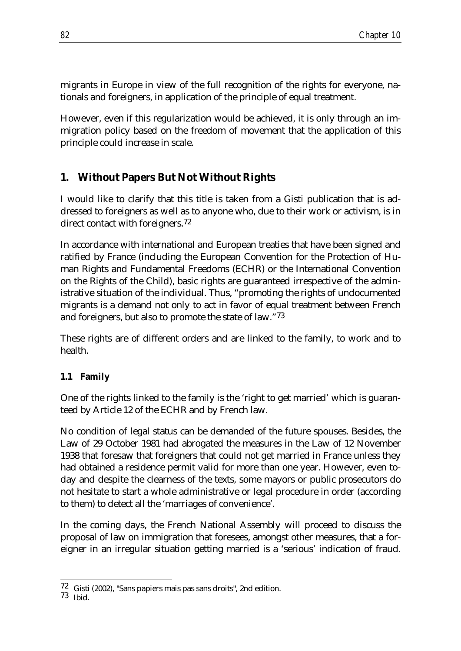migrants in Europe in view of the full recognition of the rights for everyone, nationals and foreigners, in application of the principle of equal treatment.

However, even if this regularization would be achieved, it is only through an immigration policy based on the freedom of movement that the application of this principle could increase in scale.

## **1. Without Papers But Not Without Rights**

I would like to clarify that this title is taken from a Gisti publication that is addressed to foreigners as well as to anyone who, due to their work or activism, is in direct contact with foreigners.<sup>72</sup>

In accordance with international and European treaties that have been signed and ratified by France (including the European Convention for the Protection of Human Rights and Fundamental Freedoms (ECHR) or the International Convention on the Rights of the Child), basic rights are guaranteed irrespective of the administrative situation of the individual. Thus, "promoting the rights of undocumented migrants is a demand not only to act in favor of equal treatment between French and foreigners, but also to promote the state of law."73

These rights are of different orders and are linked to the family, to work and to health.

## **1.1 Family**

One of the rights linked to the family is the 'right to get married' which is guaranteed by Article 12 of the ECHR and by French law.

No condition of legal status can be demanded of the future spouses. Besides, the Law of 29 October 1981 had abrogated the measures in the Law of 12 November 1938 that foresaw that foreigners that could not get married in France unless they had obtained a residence permit valid for more than one year. However, even today and despite the clearness of the texts, some mayors or public prosecutors do not hesitate to start a whole administrative or legal procedure in order (according to them) to detect all the 'marriages of convenience'.

In the coming days, the French National Assembly will proceed to discuss the proposal of law on immigration that foresees, amongst other measures, that a foreigner in an irregular situation getting married is a 'serious' indication of fraud.

<sup>72</sup> Gisti (2002), "Sans papiers mais pas sans droits"*,* 2nd edition.

<sup>73</sup> Ibid.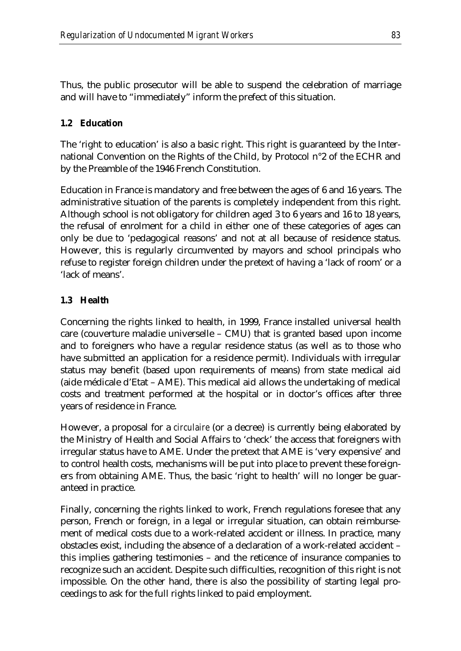Thus, the public prosecutor will be able to suspend the celebration of marriage and will have to "immediately" inform the prefect of this situation.

## **1.2 Education**

The 'right to education' is also a basic right. This right is guaranteed by the International Convention on the Rights of the Child, by Protocol n°2 of the ECHR and by the Preamble of the 1946 French Constitution.

Education in France is mandatory and free between the ages of 6 and 16 years. The administrative situation of the parents is completely independent from this right. Although school is not obligatory for children aged 3 to 6 years and 16 to 18 years, the refusal of enrolment for a child in either one of these categories of ages can only be due to 'pedagogical reasons' and not at all because of residence status. However, this is regularly circumvented by mayors and school principals who refuse to register foreign children under the pretext of having a 'lack of room' or a 'lack of means'.

## **1.3 Health**

Concerning the rights linked to health, in 1999, France installed universal health care (couverture maladie universelle – CMU) that is granted based upon income and to foreigners who have a regular residence status (as well as to those who have submitted an application for a residence permit). Individuals with irregular status may benefit (based upon requirements of means) from state medical aid (aide médicale d'Etat – AME). This medical aid allows the undertaking of medical costs and treatment performed at the hospital or in doctor's offices after three years of residence in France.

However, a proposal for a *circulaire* (or a decree) is currently being elaborated by the Ministry of Health and Social Affairs to 'check' the access that foreigners with irregular status have to AME. Under the pretext that AME is 'very expensive' and to control health costs, mechanisms will be put into place to prevent these foreigners from obtaining AME. Thus, the basic 'right to health' will no longer be guaranteed in practice.

Finally, concerning the rights linked to work, French regulations foresee that any person, French or foreign, in a legal or irregular situation, can obtain reimbursement of medical costs due to a work-related accident or illness. In practice, many obstacles exist, including the absence of a declaration of a work-related accident – this implies gathering testimonies – and the reticence of insurance companies to recognize such an accident. Despite such difficulties, recognition of this right is not impossible. On the other hand, there is also the possibility of starting legal proceedings to ask for the full rights linked to paid employment.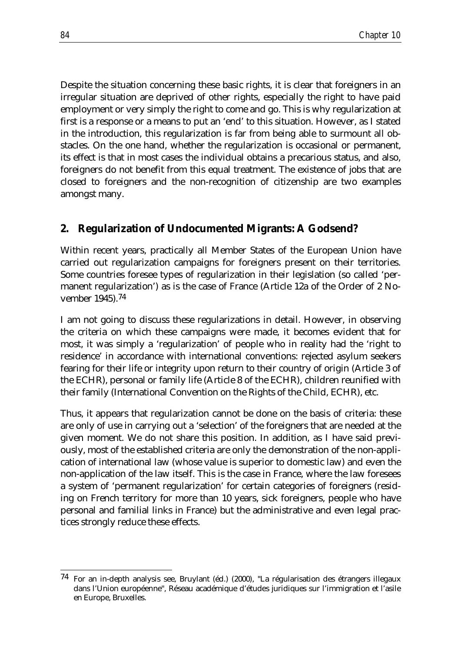Despite the situation concerning these basic rights, it is clear that foreigners in an irregular situation are deprived of other rights, especially the right to have paid employment or very simply the right to come and go. This is why regularization at first is a response or a means to put an 'end' to this situation. However, as I stated in the introduction, this regularization is far from being able to surmount all obstacles. On the one hand, whether the regularization is occasional or permanent, its effect is that in most cases the individual obtains a precarious status, and also, foreigners do not benefit from this equal treatment. The existence of jobs that are closed to foreigners and the non-recognition of citizenship are two examples amongst many.

#### **2. Regularization of Undocumented Migrants: A Godsend?**

Within recent years, practically all Member States of the European Union have carried out regularization campaigns for foreigners present on their territories. Some countries foresee types of regularization in their legislation (so called 'permanent regularization') as is the case of France (Article 12a of the Order of 2 November 1945).74

I am not going to discuss these regularizations in detail. However, in observing the criteria on which these campaigns were made, it becomes evident that for most, it was simply a 'regularization' of people who in reality had the 'right to residence' in accordance with international conventions: rejected asylum seekers fearing for their life or integrity upon return to their country of origin (Article 3 of the ECHR), personal or family life (Article 8 of the ECHR), children reunified with their family (International Convention on the Rights of the Child, ECHR), etc.

Thus, it appears that regularization cannot be done on the basis of criteria: these are only of use in carrying out a 'selection' of the foreigners that are needed at the given moment. We do not share this position. In addition, as I have said previously, most of the established criteria are only the demonstration of the non-application of international law (whose value is superior to domestic law) and even the non-application of the law itself. This is the case in France, where the law foresees a system of 'permanent regularization' for certain categories of foreigners (residing on French territory for more than 10 years, sick foreigners, people who have personal and familial links in France) but the administrative and even legal practices strongly reduce these effects.

 $74$  For an in-depth analysis see, Bruylant (éd.) (2000), "La régularisation des étrangers illegaux dans l'Union européenne", Réseau académique d'études juridiques sur l'immigration et l'asile en Europe, Bruxelles.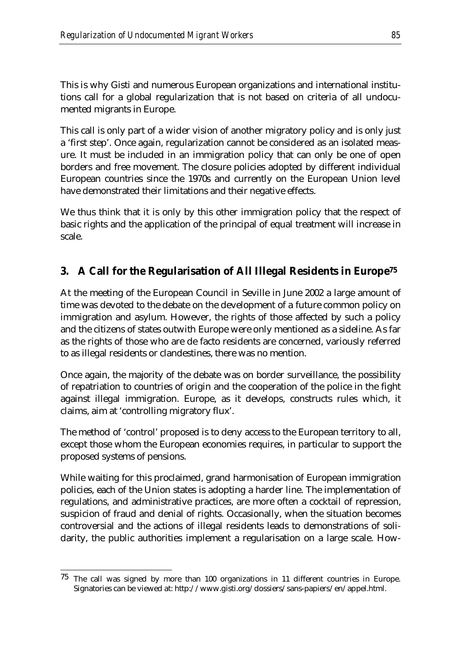This is why Gisti and numerous European organizations and international institutions call for a global regularization that is not based on criteria of all undocumented migrants in Europe.

This call is only part of a wider vision of another migratory policy and is only just a 'first step'. Once again, regularization cannot be considered as an isolated measure. It must be included in an immigration policy that can only be one of open borders and free movement. The closure policies adopted by different individual European countries since the 1970s and currently on the European Union level have demonstrated their limitations and their negative effects.

We thus think that it is only by this other immigration policy that the respect of basic rights and the application of the principal of equal treatment will increase in scale.

## **3. A Call for the Regularisation of All Illegal Residents in Europe75**

At the meeting of the European Council in Seville in June 2002 a large amount of time was devoted to the debate on the development of a future common policy on immigration and asylum. However, the rights of those affected by such a policy and the citizens of states outwith Europe were only mentioned as a sideline. As far as the rights of those who are de facto residents are concerned, variously referred to as illegal residents or clandestines, there was no mention.

Once again, the majority of the debate was on border surveillance, the possibility of repatriation to countries of origin and the cooperation of the police in the fight against illegal immigration. Europe, as it develops, constructs rules which, it claims, aim at 'controlling migratory flux'.

The method of 'control' proposed is to deny access to the European territory to all, except those whom the European economies requires, in particular to support the proposed systems of pensions.

While waiting for this proclaimed, grand harmonisation of European immigration policies, each of the Union states is adopting a harder line. The implementation of regulations, and administrative practices, are more often a cocktail of repression, suspicion of fraud and denial of rights. Occasionally, when the situation becomes controversial and the actions of illegal residents leads to demonstrations of solidarity, the public authorities implement a regularisation on a large scale. How-

<sup>&</sup>lt;u>.</u>  $75$  The call was signed by more than 100 organizations in 11 different countries in Europe. Signatories can be viewed at: http://www.gisti.org/dossiers/sans-papiers/en/appel.html.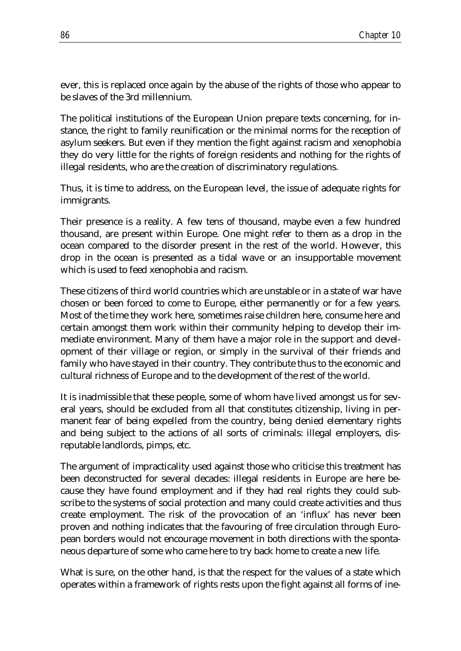ever, this is replaced once again by the abuse of the rights of those who appear to be slaves of the 3rd millennium.

The political institutions of the European Union prepare texts concerning, for instance, the right to family reunification or the minimal norms for the reception of asylum seekers. But even if they mention the fight against racism and xenophobia they do very little for the rights of foreign residents and nothing for the rights of illegal residents, who are the creation of discriminatory regulations.

Thus, it is time to address, on the European level, the issue of adequate rights for immigrants.

Their presence is a reality. A few tens of thousand, maybe even a few hundred thousand, are present within Europe. One might refer to them as a drop in the ocean compared to the disorder present in the rest of the world. However, this drop in the ocean is presented as a tidal wave or an insupportable movement which is used to feed xenophobia and racism.

These citizens of third world countries which are unstable or in a state of war have chosen or been forced to come to Europe, either permanently or for a few years. Most of the time they work here, sometimes raise children here, consume here and certain amongst them work within their community helping to develop their immediate environment. Many of them have a major role in the support and development of their village or region, or simply in the survival of their friends and family who have stayed in their country. They contribute thus to the economic and cultural richness of Europe and to the development of the rest of the world.

It is inadmissible that these people, some of whom have lived amongst us for several years, should be excluded from all that constitutes citizenship, living in permanent fear of being expelled from the country, being denied elementary rights and being subject to the actions of all sorts of criminals: illegal employers, disreputable landlords, pimps, etc.

The argument of impracticality used against those who criticise this treatment has been deconstructed for several decades: illegal residents in Europe are here because they have found employment and if they had real rights they could subscribe to the systems of social protection and many could create activities and thus create employment. The risk of the provocation of an 'influx' has never been proven and nothing indicates that the favouring of free circulation through European borders would not encourage movement in both directions with the spontaneous departure of some who came here to try back home to create a new life.

What is sure, on the other hand, is that the respect for the values of a state which operates within a framework of rights rests upon the fight against all forms of ine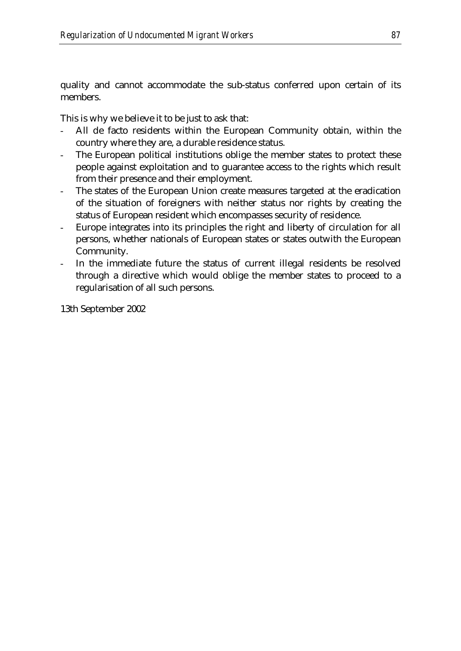quality and cannot accommodate the sub-status conferred upon certain of its members.

This is why we believe it to be just to ask that:

- All de facto residents within the European Community obtain, within the country where they are, a durable residence status.
- The European political institutions oblige the member states to protect these people against exploitation and to guarantee access to the rights which result from their presence and their employment.
- The states of the European Union create measures targeted at the eradication of the situation of foreigners with neither status nor rights by creating the status of European resident which encompasses security of residence.
- Europe integrates into its principles the right and liberty of circulation for all persons, whether nationals of European states or states outwith the European Community.
- In the immediate future the status of current illegal residents be resolved through a directive which would oblige the member states to proceed to a regularisation of all such persons.

13th September 2002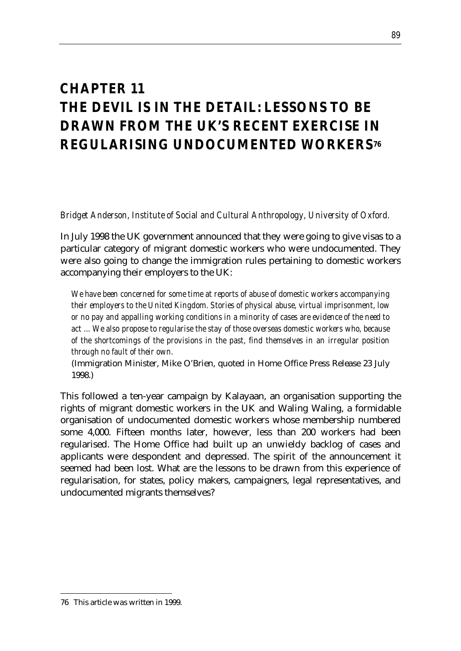# *CHAPTER 11 THE DEVIL IS IN THE DETAIL: LESSONS TO BE DRAWN FROM THE UK'S RECENT EXERCISE IN REGULARISING UNDOCUMENTED WORKERS76*

*Bridget Anderson, Institute of Social and Cultural Anthropology, University of Oxford.*

In July 1998 the UK government announced that they were going to give visas to a particular category of migrant domestic workers who were undocumented. They were also going to change the immigration rules pertaining to domestic workers accompanying their employers to the UK:

*We have been concerned for some time at reports of abuse of domestic workers accompanying their employers to the United Kingdom. Stories of physical abuse, virtual imprisonment, low or no pay and appalling working conditions in a minority of cases are evidence of the need to act ... We also propose to regularise the stay of those overseas domestic workers who, because of the shortcomings of the provisions in the past, find themselves in an irregular position through no fault of their own.* 

(Immigration Minister, Mike O'Brien, quoted in Home Office Press Release 23 July 1998.)

This followed a ten-year campaign by Kalayaan, an organisation supporting the rights of migrant domestic workers in the UK and Waling Waling, a formidable organisation of undocumented domestic workers whose membership numbered some 4,000. Fifteen months later, however, less than 200 workers had been regularised. The Home Office had built up an unwieldy backlog of cases and applicants were despondent and depressed. The spirit of the announcement it seemed had been lost. What are the lessons to be drawn from this experience of regularisation, for states, policy makers, campaigners, legal representatives, and undocumented migrants themselves?

<sup>76</sup> This article was written in 1999.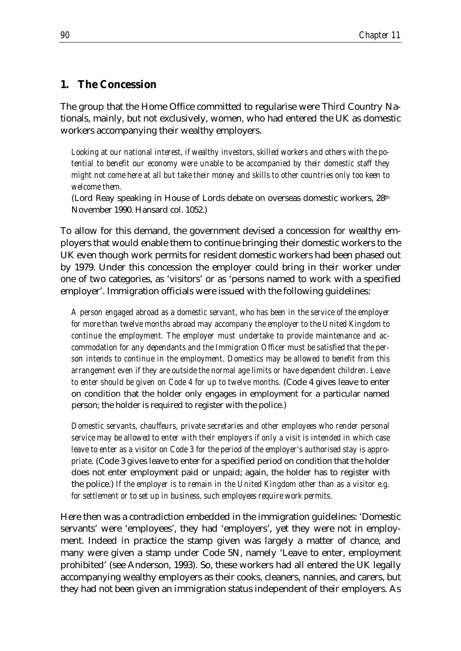#### **1. The Concession**

The group that the Home Office committed to regularise were Third Country Nationals, mainly, but not exclusively, women, who had entered the UK as domestic workers accompanying their wealthy employers.

*Looking at our national interest, if wealthy investors, skilled workers and others with the potential to benefit our economy were unable to be accompanied by their domestic staff they might not come here at all but take their money and skills to other countries only too keen to welcome them.* 

(Lord Reay speaking in House of Lords debate on overseas domestic workers, 28th November 1990. Hansard col. 1052.)

To allow for this demand, the government devised a concession for wealthy employers that would enable them to continue bringing their domestic workers to the UK even though work permits for resident domestic workers had been phased out by 1979. Under this concession the employer could bring in their worker under one of two categories, as 'visitors' or as 'persons named to work with a specified employer'. Immigration officials were issued with the following guidelines:

*A person engaged abroad as a domestic servant, who has been in the service of the employer for more than twelve months abroad may accompany the employer to the United Kingdom to continue the employment. The employer must undertake to provide maintenance and accommodation for any dependants and the Immigration Officer must be satisfied that the person intends to continue in the employment. Domestics may be allowed to benefit from this arrangement even if they are outside the normal age limits or have dependent children. Leave to enter should be given on Code 4 for up to twelve months. (Code 4 gives leave to enter* on condition that the holder only engages in employment for a particular named person; the holder is required to register with the police.)

*Domestic servants, chauffeurs, private secretaries and other employees who render personal service may be allowed to enter with their employers if only a visit is intended in which case leave to enter as a visitor on Code 3 for the period of the employer's authorised stay is appropriate*. (Code 3 gives leave to enter for a specified period on condition that the holder does not enter employment paid or unpaid; again, the holder has to register with the police.) *If the employer is to remain in the United Kingdom other than as a visitor e.g. for settlement or to set up in business, such employees require work permits.*

Here then was a contradiction embedded in the immigration guidelines: 'Domestic servants' were 'employees', they had 'employers', yet they were not in employment. Indeed in practice the stamp given was largely a matter of chance, and many were given a stamp under Code 5N, namely 'Leave to enter, employment prohibited' (see Anderson, 1993). So, these workers had all entered the UK legally accompanying wealthy employers as their cooks, cleaners, nannies, and carers, but they had not been given an immigration status independent of their employers. As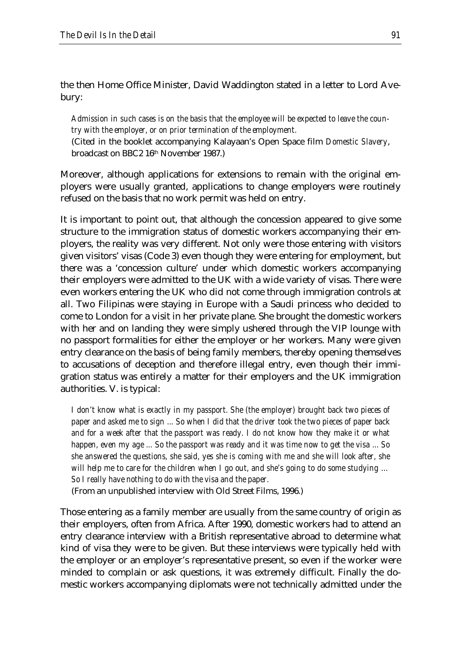the then Home Office Minister, David Waddington stated in a letter to Lord Avebury:

*Admission in such cases is on the basis that the employee will be expected to leave the country with the employer, or on prior termination of the employment.*

(Cited in the booklet accompanying Kalayaan's Open Space film *Domestic Slavery*, broadcast on BBC2 16th November 1987.)

Moreover, although applications for extensions to remain with the original employers were usually granted, applications to change employers were routinely refused on the basis that no work permit was held on entry.

It is important to point out, that although the concession appeared to give some structure to the immigration status of domestic workers accompanying their employers, the reality was very different. Not only were those entering with visitors given visitors' visas (Code 3) even though they were entering for employment, but there was a 'concession culture' under which domestic workers accompanying their employers were admitted to the UK with a wide variety of visas. There were even workers entering the UK who did not come through immigration controls at all. Two Filipinas were staying in Europe with a Saudi princess who decided to come to London for a visit in her private plane. She brought the domestic workers with her and on landing they were simply ushered through the VIP lounge with no passport formalities for either the employer or her workers. Many were given entry clearance on the basis of being family members, thereby opening themselves to accusations of deception and therefore illegal entry, even though their immigration status was entirely a matter for their employers and the UK immigration authorities. V. is typical:

*I don't know what is exactly in my passport. She (the employer) brought back two pieces of paper and asked me to sign ... So when I did that the driver took the two pieces of paper back*  and for a week after that the passport was ready. I do not know how they make it or what *happen, even my age ... So the passport was ready and it was time now to get the visa ... So she answered the questions, she said, yes she is coming with me and she will look after, she will help me to care for the children when I go out, and she's going to do some studying … So I really have nothing to do with the visa and the paper.* (From an unpublished interview with Old Street Films, 1996.)

Those entering as a family member are usually from the same country of origin as their employers, often from Africa. After 1990, domestic workers had to attend an entry clearance interview with a British representative abroad to determine what kind of visa they were to be given. But these interviews were typically held with the employer or an employer's representative present, so even if the worker were minded to complain or ask questions, it was extremely difficult. Finally the domestic workers accompanying diplomats were not technically admitted under the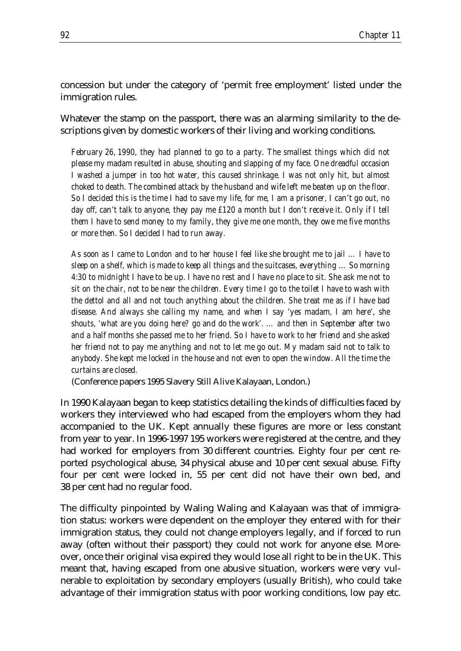concession but under the category of 'permit free employment' listed under the immigration rules.

Whatever the stamp on the passport, there was an alarming similarity to the descriptions given by domestic workers of their living and working conditions.

*February 26, 1990, they had planned to go to a party. The smallest things which did not please my madam resulted in abuse, shouting and slapping of my face. One dreadful occasion I washed a jumper in too hot water, this caused shrinkage. I was not only hit, but almost choked to death. The combined attack by the husband and wife left me beaten up on the floor. So I decided this is the time I had to save my life, for me, I am a prisoner, I can't go out, no*  day off, can't talk to anyone, they pay me £120 a month but I don't receive it. Only if I tell *them I have to send money to my family, they give me one month, they owe me five months or more then. So I decided I had to run away.*

As soon as I came to London and to her house I feel like she brought me to jail ... I have to *sleep on a shelf, which is made to keep all things and the suitcases, everything … So morning 4:30 to midnight I have to be up. I have no rest and I have no place to sit. She ask me not to sit on the chair, not to be near the children. Every time I go to the toilet I have to wash with the dettol and all and not touch anything about the children. She treat me as if I have bad disease. And always she calling my name, and when I say 'yes madam, I am here', she shouts, 'what are you doing here? go and do the work'. … and then in September after two and a half months she passed me to her friend. So I have to work to her friend and she asked her friend not to pay me anything and not to let me go out. My madam said not to talk to*  anybody. She kept me locked in the house and not even to open the window. All the time the *curtains are closed.*

(Conference papers 1995 Slavery Still Alive Kalayaan, London.)

In 1990 Kalayaan began to keep statistics detailing the kinds of difficulties faced by workers they interviewed who had escaped from the employers whom they had accompanied to the UK. Kept annually these figures are more or less constant from year to year. In 1996-1997 195 workers were registered at the centre, and they had worked for employers from 30 different countries. Eighty four per cent reported psychological abuse, 34 physical abuse and 10 per cent sexual abuse. Fifty four per cent were locked in, 55 per cent did not have their own bed, and 38 per cent had no regular food.

The difficulty pinpointed by Waling Waling and Kalayaan was that of immigration status: workers were dependent on the employer they entered with for their immigration status, they could not change employers legally, and if forced to run away (often without their passport) they could not work for anyone else. Moreover, once their original visa expired they would lose all right to be in the UK. This meant that, having escaped from one abusive situation, workers were very vulnerable to exploitation by secondary employers (usually British), who could take advantage of their immigration status with poor working conditions, low pay etc.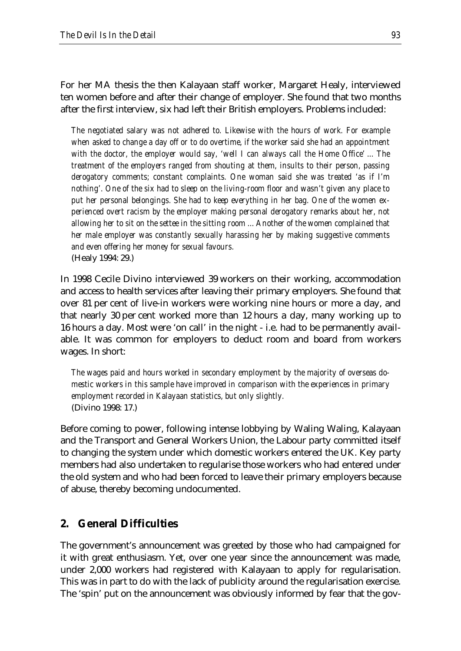For her MA thesis the then Kalayaan staff worker, Margaret Healy, interviewed ten women before and after their change of employer. She found that two months after the first interview, six had left their British employers. Problems included:

*The negotiated salary was not adhered to. Likewise with the hours of work. For example when asked to change a day off or to do overtime, if the worker said she had an appointment with the doctor, the employer would say, 'well I can always call the Home Office' ... The treatment of the employers ranged from shouting at them, insults to their person, passing derogatory comments; constant complaints. One woman said she was treated 'as if I'm nothing'. One of the six had to sleep on the living-room floor and wasn't given any place to put her personal belongings. She had to keep everything in her bag. One of the women experienced overt racism by the employer making personal derogatory remarks about her, not allowing her to sit on the settee in the sitting room ... Another of the women complained that her male employer was constantly sexually harassing her by making suggestive comments and even offering her money for sexual favours.* (Healy 1994: 29.)

In 1998 Cecile Divino interviewed 39 workers on their working, accommodation and access to health services after leaving their primary employers. She found that over 81 per cent of live-in workers were working nine hours or more a day, and that nearly 30 per cent worked more than 12 hours a day, many working up to 16 hours a day. Most were 'on call' in the night - i.e. had to be permanently available. It was common for employers to deduct room and board from workers wages. In short:

*The wages paid and hours worked in secondary employment by the majority of overseas domestic workers in this sample have improved in comparison with the experiences in primary employment recorded in Kalayaan statistics, but only slightly.*  (Divino 1998: 17.)

Before coming to power, following intense lobbying by Waling Waling, Kalayaan and the Transport and General Workers Union, the Labour party committed itself to changing the system under which domestic workers entered the UK. Key party members had also undertaken to regularise those workers who had entered under the old system and who had been forced to leave their primary employers because of abuse, thereby becoming undocumented.

## **2. General Difficulties**

The government's announcement was greeted by those who had campaigned for it with great enthusiasm. Yet, over one year since the announcement was made, under 2,000 workers had registered with Kalayaan to apply for regularisation. This was in part to do with the lack of publicity around the regularisation exercise. The 'spin' put on the announcement was obviously informed by fear that the gov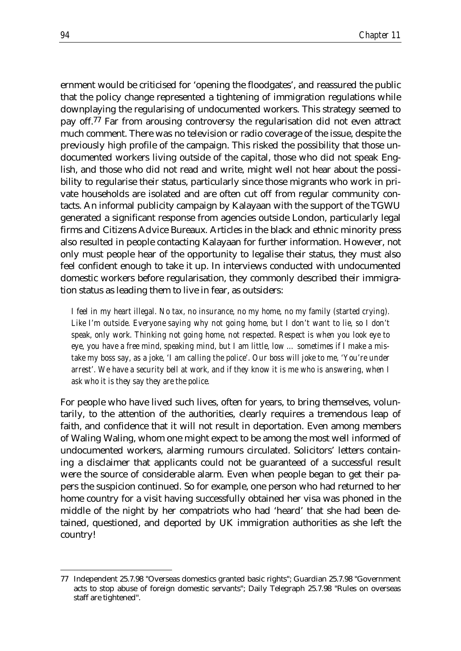ernment would be criticised for 'opening the floodgates', and reassured the public that the policy change represented a tightening of immigration regulations while downplaying the regularising of undocumented workers. This strategy seemed to pay off.77 Far from arousing controversy the regularisation did not even attract much comment. There was no television or radio coverage of the issue, despite the previously high profile of the campaign. This risked the possibility that those undocumented workers living outside of the capital, those who did not speak English, and those who did not read and write, might well not hear about the possibility to regularise their status, particularly since those migrants who work in private households are isolated and are often cut off from regular community contacts. An informal publicity campaign by Kalayaan with the support of the TGWU generated a significant response from agencies outside London, particularly legal firms and Citizens Advice Bureaux. Articles in the black and ethnic minority press also resulted in people contacting Kalayaan for further information. However, not only must people hear of the opportunity to legalise their status, they must also feel confident enough to take it up. In interviews conducted with undocumented domestic workers before regularisation, they commonly described their immigration status as leading them to live in fear, as outsiders:

*I feel in my heart illegal. No tax, no insurance, no my home, no my family (started crying).*  Like I'm outside. Everyone saying why not going home, but I don't want to lie, so I don't *speak, only work. Thinking not going home, not respected. Respect is when you look eye to eye, you have a free mind, speaking mind, but I am little, low … sometimes if I make a mistake my boss say, as a joke, 'I am calling the police'. Our boss will joke to me, 'You're under arrest'. We have a security bell at work, and if they know it is me who is answering, when I ask who it is they say they are the police.*

For people who have lived such lives, often for years, to bring themselves, voluntarily, to the attention of the authorities, clearly requires a tremendous leap of faith, and confidence that it will not result in deportation. Even among members of Waling Waling, whom one might expect to be among the most well informed of undocumented workers, alarming rumours circulated. Solicitors' letters containing a disclaimer that applicants could not be guaranteed of a successful result were the source of considerable alarm. Even when people began to get their papers the suspicion continued. So for example, one person who had returned to her home country for a visit having successfully obtained her visa was phoned in the middle of the night by her compatriots who had 'heard' that she had been detained, questioned, and deported by UK immigration authorities as she left the country!

<sup>77</sup> Independent 25.7.98 "Overseas domestics granted basic rights"; Guardian 25.7.98 "Government acts to stop abuse of foreign domestic servants"; Daily Telegraph 25.7.98 "Rules on overseas staff are tightened".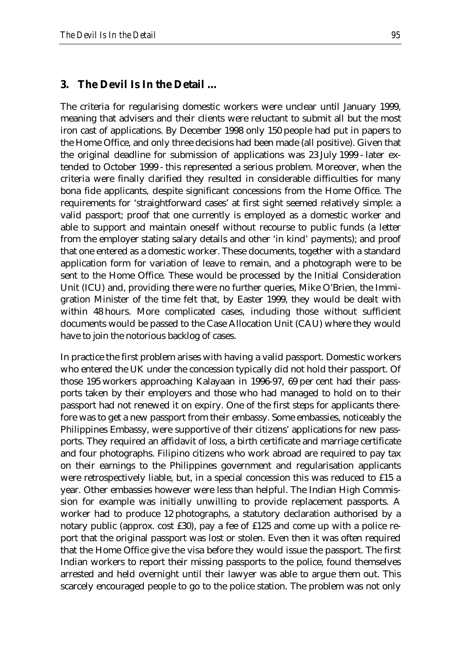#### **3. The Devil Is In the Detail …**

The criteria for regularising domestic workers were unclear until January 1999, meaning that advisers and their clients were reluctant to submit all but the most iron cast of applications. By December 1998 only 150 people had put in papers to the Home Office, and only three decisions had been made (all positive). Given that the original deadline for submission of applications was 23 July 1999 - later extended to October 1999 - this represented a serious problem. Moreover, when the criteria were finally clarified they resulted in considerable difficulties for many bona fide applicants, despite significant concessions from the Home Office. The requirements for 'straightforward cases' at first sight seemed relatively simple: a valid passport; proof that one currently is employed as a domestic worker and able to support and maintain oneself without recourse to public funds (a letter from the employer stating salary details and other 'in kind' payments); and proof that one entered as a domestic worker. These documents, together with a standard application form for variation of leave to remain, and a photograph were to be sent to the Home Office. These would be processed by the Initial Consideration Unit (ICU) and, providing there were no further queries, Mike O'Brien, the Immigration Minister of the time felt that, by Easter 1999, they would be dealt with within 48 hours. More complicated cases, including those without sufficient documents would be passed to the Case Allocation Unit (CAU) where they would have to join the notorious backlog of cases.

In practice the first problem arises with having a valid passport. Domestic workers who entered the UK under the concession typically did not hold their passport. Of those 195 workers approaching Kalayaan in 1996-97, 69 per cent had their passports taken by their employers and those who had managed to hold on to their passport had not renewed it on expiry. One of the first steps for applicants therefore was to get a new passport from their embassy. Some embassies, noticeably the Philippines Embassy, were supportive of their citizens' applications for new passports. They required an affidavit of loss, a birth certificate and marriage certificate and four photographs. Filipino citizens who work abroad are required to pay tax on their earnings to the Philippines government and regularisation applicants were retrospectively liable, but, in a special concession this was reduced to £15 a year. Other embassies however were less than helpful. The Indian High Commission for example was initially unwilling to provide replacement passports. A worker had to produce 12 photographs, a statutory declaration authorised by a notary public (approx. cost £30), pay a fee of £125 and come up with a police report that the original passport was lost or stolen. Even then it was often required that the Home Office give the visa before they would issue the passport. The first Indian workers to report their missing passports to the police, found themselves arrested and held overnight until their lawyer was able to argue them out. This scarcely encouraged people to go to the police station. The problem was not only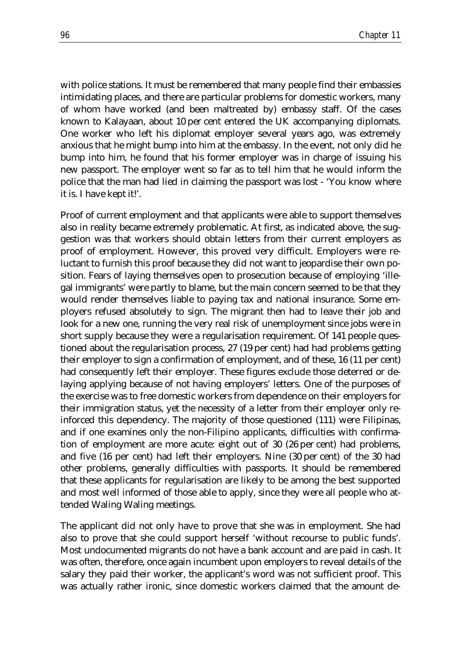with police stations. It must be remembered that many people find their embassies intimidating places, and there are particular problems for domestic workers, many of whom have worked (and been maltreated by) embassy staff. Of the cases known to Kalayaan, about 10 per cent entered the UK accompanying diplomats. One worker who left his diplomat employer several years ago, was extremely anxious that he might bump into him at the embassy. In the event, not only did he bump into him, he found that his former employer was in charge of issuing his new passport. The employer went so far as to tell him that he would inform the police that the man had lied in claiming the passport was lost - 'You know where it is. I have kept it!'.

Proof of current employment and that applicants were able to support themselves also in reality became extremely problematic. At first, as indicated above, the suggestion was that workers should obtain letters from their current employers as proof of employment. However, this proved very difficult. Employers were reluctant to furnish this proof because they did not want to jeopardise their own position. Fears of laying themselves open to prosecution because of employing 'illegal immigrants' were partly to blame, but the main concern seemed to be that they would render themselves liable to paying tax and national insurance. Some employers refused absolutely to sign. The migrant then had to leave their job and look for a new one, running the very real risk of unemployment since jobs were in short supply because they were a regularisation requirement. Of 141 people questioned about the regularisation process, 27 (19 per cent) had had problems getting their employer to sign a confirmation of employment, and of these, 16 (11 per cent) had consequently left their employer. These figures exclude those deterred or delaying applying because of not having employers' letters. One of the purposes of the exercise was to free domestic workers from dependence on their employers for their immigration status, yet the necessity of a letter from their employer only reinforced this dependency. The majority of those questioned (111) were Filipinas, and if one examines only the non-Filipino applicants, difficulties with confirmation of employment are more acute: eight out of 30 (26 per cent) had problems, and five (16 per cent) had left their employers. Nine (30 per cent) of the 30 had other problems, generally difficulties with passports. It should be remembered that these applicants for regularisation are likely to be among the best supported and most well informed of those able to apply, since they were all people who attended Waling Waling meetings.

The applicant did not only have to prove that she was in employment. She had also to prove that she could support herself 'without recourse to public funds'. Most undocumented migrants do not have a bank account and are paid in cash. It was often, therefore, once again incumbent upon employers to reveal details of the salary they paid their worker, the applicant's word was not sufficient proof. This was actually rather ironic, since domestic workers claimed that the amount de-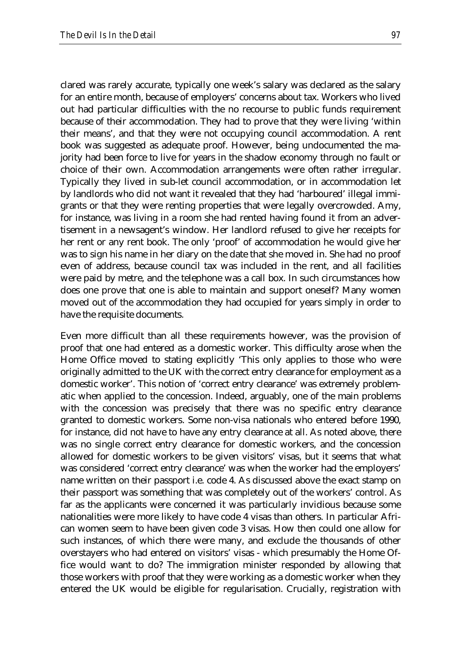clared was rarely accurate, typically one week's salary was declared as the salary for an entire month, because of employers' concerns about tax. Workers who lived out had particular difficulties with the no recourse to public funds requirement because of their accommodation. They had to prove that they were living 'within their means', and that they were not occupying council accommodation. A rent book was suggested as adequate proof. However, being undocumented the majority had been force to live for years in the shadow economy through no fault or choice of their own. Accommodation arrangements were often rather irregular. Typically they lived in sub-let council accommodation, or in accommodation let by landlords who did not want it revealed that they had 'harboured' illegal immigrants or that they were renting properties that were legally overcrowded. Amy, for instance, was living in a room she had rented having found it from an advertisement in a newsagent's window. Her landlord refused to give her receipts for her rent or any rent book. The only 'proof' of accommodation he would give her was to sign his name in her diary on the date that she moved in. She had no proof even of address, because council tax was included in the rent, and all facilities were paid by metre, and the telephone was a call box. In such circumstances how does one prove that one is able to maintain and support oneself? Many women moved out of the accommodation they had occupied for years simply in order to have the requisite documents.

Even more difficult than all these requirements however, was the provision of proof that one had entered as a domestic worker. This difficulty arose when the Home Office moved to stating explicitly 'This only applies to those who were originally admitted to the UK with the correct entry clearance for employment as a domestic worker'. This notion of 'correct entry clearance' was extremely problematic when applied to the concession. Indeed, arguably, one of the main problems with the concession was precisely that there was no specific entry clearance granted to domestic workers. Some non-visa nationals who entered before 1990, for instance, did not have to have any entry clearance at all. As noted above, there was no single correct entry clearance for domestic workers, and the concession allowed for domestic workers to be given visitors' visas, but it seems that what was considered 'correct entry clearance' was when the worker had the employers' name written on their passport i.e. code 4. As discussed above the exact stamp on their passport was something that was completely out of the workers' control. As far as the applicants were concerned it was particularly invidious because some nationalities were more likely to have code 4 visas than others. In particular African women seem to have been given code 3 visas. How then could one allow for such instances, of which there were many, and exclude the thousands of other overstayers who had entered on visitors' visas - which presumably the Home Office would want to do? The immigration minister responded by allowing that those workers with proof that they were working as a domestic worker when they entered the UK would be eligible for regularisation. Crucially, registration with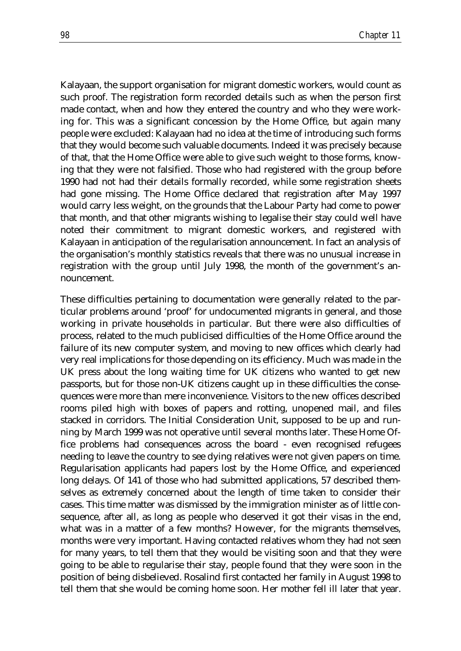Kalayaan, the support organisation for migrant domestic workers, would count as such proof. The registration form recorded details such as when the person first made contact, when and how they entered the country and who they were working for. This was a significant concession by the Home Office, but again many people were excluded: Kalayaan had no idea at the time of introducing such forms that they would become such valuable documents. Indeed it was precisely because of that, that the Home Office were able to give such weight to those forms, knowing that they were not falsified. Those who had registered with the group before 1990 had not had their details formally recorded, while some registration sheets had gone missing. The Home Office declared that registration after May 1997 would carry less weight, on the grounds that the Labour Party had come to power that month, and that other migrants wishing to legalise their stay could well have noted their commitment to migrant domestic workers, and registered with Kalayaan in anticipation of the regularisation announcement. In fact an analysis of the organisation's monthly statistics reveals that there was no unusual increase in registration with the group until July 1998, the month of the government's announcement.

These difficulties pertaining to documentation were generally related to the particular problems around 'proof' for undocumented migrants in general, and those working in private households in particular. But there were also difficulties of process, related to the much publicised difficulties of the Home Office around the failure of its new computer system, and moving to new offices which clearly had very real implications for those depending on its efficiency. Much was made in the UK press about the long waiting time for UK citizens who wanted to get new passports, but for those non-UK citizens caught up in these difficulties the consequences were more than mere inconvenience. Visitors to the new offices described rooms piled high with boxes of papers and rotting, unopened mail, and files stacked in corridors. The Initial Consideration Unit, supposed to be up and running by March 1999 was not operative until several months later. These Home Office problems had consequences across the board - even recognised refugees needing to leave the country to see dying relatives were not given papers on time. Regularisation applicants had papers lost by the Home Office, and experienced long delays. Of 141 of those who had submitted applications, 57 described themselves as extremely concerned about the length of time taken to consider their cases. This time matter was dismissed by the immigration minister as of little consequence, after all, as long as people who deserved it got their visas in the end, what was in a matter of a few months? However, for the migrants themselves, months were very important. Having contacted relatives whom they had not seen for many years, to tell them that they would be visiting soon and that they were going to be able to regularise their stay, people found that they were soon in the position of being disbelieved. Rosalind first contacted her family in August 1998 to tell them that she would be coming home soon. Her mother fell ill later that year.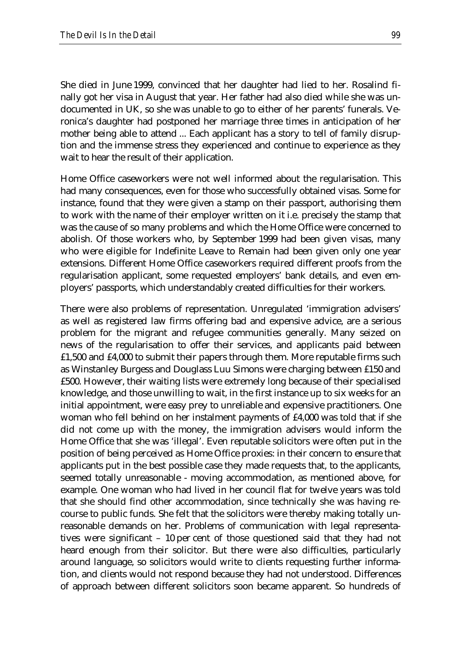She died in June 1999, convinced that her daughter had lied to her. Rosalind finally got her visa in August that year. Her father had also died while she was undocumented in UK, so she was unable to go to either of her parents' funerals. Veronica's daughter had postponed her marriage three times in anticipation of her mother being able to attend ... Each applicant has a story to tell of family disruption and the immense stress they experienced and continue to experience as they wait to hear the result of their application.

Home Office caseworkers were not well informed about the regularisation. This had many consequences, even for those who successfully obtained visas. Some for instance, found that they were given a stamp on their passport, authorising them to work with the name of their employer written on it i.e. precisely the stamp that was the cause of so many problems and which the Home Office were concerned to abolish. Of those workers who, by September 1999 had been given visas, many who were eligible for Indefinite Leave to Remain had been given only one year extensions. Different Home Office caseworkers required different proofs from the regularisation applicant, some requested employers' bank details, and even employers' passports, which understandably created difficulties for their workers.

There were also problems of representation. Unregulated 'immigration advisers' as well as registered law firms offering bad and expensive advice, are a serious problem for the migrant and refugee communities generally. Many seized on news of the regularisation to offer their services, and applicants paid between £1,500 and £4,000 to submit their papers through them. More reputable firms such as Winstanley Burgess and Douglass Luu Simons were charging between £150 and £500. However, their waiting lists were extremely long because of their specialised knowledge, and those unwilling to wait, in the first instance up to six weeks for an initial appointment, were easy prey to unreliable and expensive practitioners. One woman who fell behind on her instalment payments of £4,000 was told that if she did not come up with the money, the immigration advisers would inform the Home Office that she was 'illegal'. Even reputable solicitors were often put in the position of being perceived as Home Office proxies: in their concern to ensure that applicants put in the best possible case they made requests that, to the applicants, seemed totally unreasonable - moving accommodation, as mentioned above, for example. One woman who had lived in her council flat for twelve years was told that she should find other accommodation, since technically she was having recourse to public funds. She felt that the solicitors were thereby making totally unreasonable demands on her. Problems of communication with legal representatives were significant – 10 per cent of those questioned said that they had not heard enough from their solicitor. But there were also difficulties, particularly around language, so solicitors would write to clients requesting further information, and clients would not respond because they had not understood. Differences of approach between different solicitors soon became apparent. So hundreds of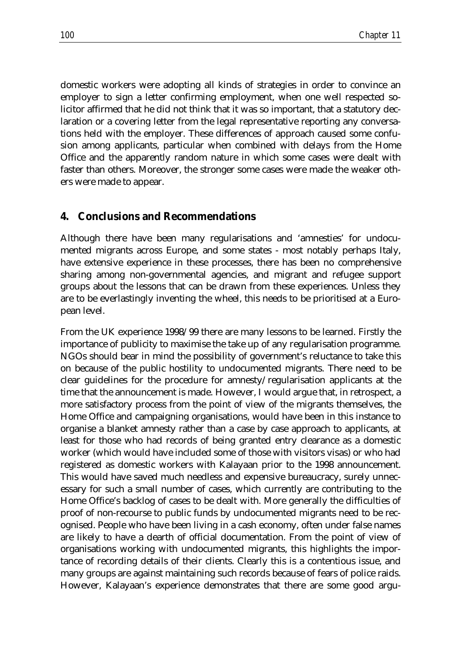domestic workers were adopting all kinds of strategies in order to convince an employer to sign a letter confirming employment, when one well respected solicitor affirmed that he did not think that it was so important, that a statutory declaration or a covering letter from the legal representative reporting any conversations held with the employer. These differences of approach caused some confusion among applicants, particular when combined with delays from the Home Office and the apparently random nature in which some cases were dealt with faster than others. Moreover, the stronger some cases were made the weaker others were made to appear.

#### **4. Conclusions and Recommendations**

Although there have been many regularisations and 'amnesties' for undocumented migrants across Europe, and some states - most notably perhaps Italy, have extensive experience in these processes, there has been no comprehensive sharing among non-governmental agencies, and migrant and refugee support groups about the lessons that can be drawn from these experiences. Unless they are to be everlastingly inventing the wheel, this needs to be prioritised at a European level.

From the UK experience 1998/99 there are many lessons to be learned. Firstly the importance of publicity to maximise the take up of any regularisation programme. NGOs should bear in mind the possibility of government's reluctance to take this on because of the public hostility to undocumented migrants. There need to be clear guidelines for the procedure for amnesty/regularisation applicants at the time that the announcement is made. However, I would argue that, in retrospect, a more satisfactory process from the point of view of the migrants themselves, the Home Office and campaigning organisations, would have been in this instance to organise a blanket amnesty rather than a case by case approach to applicants, at least for those who had records of being granted entry clearance as a domestic worker (which would have included some of those with visitors visas) or who had registered as domestic workers with Kalayaan prior to the 1998 announcement. This would have saved much needless and expensive bureaucracy, surely unnecessary for such a small number of cases, which currently are contributing to the Home Office's backlog of cases to be dealt with. More generally the difficulties of proof of non-recourse to public funds by undocumented migrants need to be recognised. People who have been living in a cash economy, often under false names are likely to have a dearth of official documentation. From the point of view of organisations working with undocumented migrants, this highlights the importance of recording details of their clients. Clearly this is a contentious issue, and many groups are against maintaining such records because of fears of police raids. However, Kalayaan's experience demonstrates that there are some good argu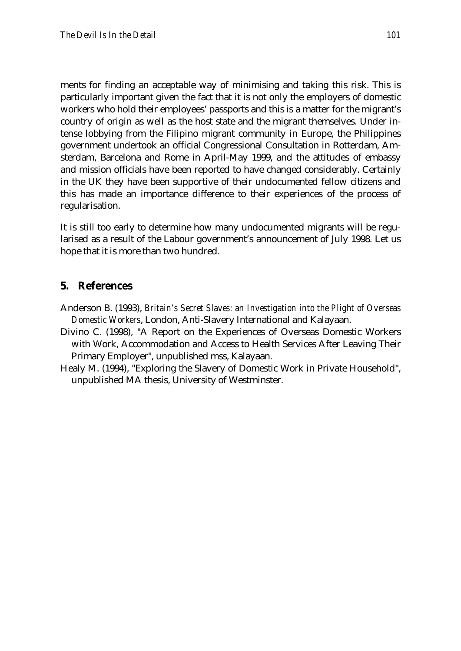ments for finding an acceptable way of minimising and taking this risk. This is particularly important given the fact that it is not only the employers of domestic workers who hold their employees' passports and this is a matter for the migrant's country of origin as well as the host state and the migrant themselves. Under intense lobbying from the Filipino migrant community in Europe, the Philippines government undertook an official Congressional Consultation in Rotterdam, Amsterdam, Barcelona and Rome in April-May 1999, and the attitudes of embassy and mission officials have been reported to have changed considerably. Certainly in the UK they have been supportive of their undocumented fellow citizens and this has made an importance difference to their experiences of the process of regularisation.

It is still too early to determine how many undocumented migrants will be regularised as a result of the Labour government's announcement of July 1998. Let us hope that it is more than two hundred.

#### **5. References**

- Anderson B. (1993), *Britain's Secret Slaves: an Investigation into the Plight of Overseas Domestic Workers*, London, Anti-Slavery International and Kalayaan.
- Divino C. (1998), "A Report on the Experiences of Overseas Domestic Workers with Work, Accommodation and Access to Health Services After Leaving Their Primary Employer", unpublished mss, Kalayaan.
- Healy M. (1994), "Exploring the Slavery of Domestic Work in Private Household", unpublished MA thesis, University of Westminster.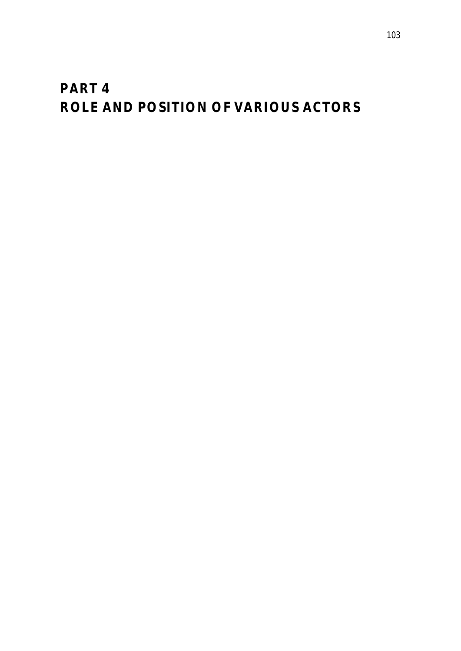# *PART 4 ROLE AND POSITION OF VARIOUS ACTORS*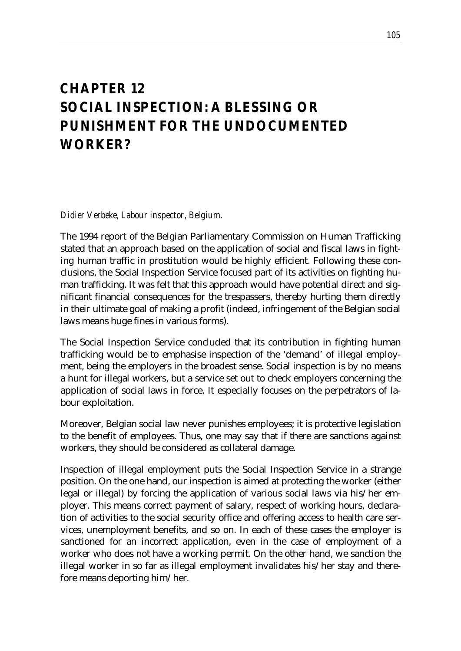## *CHAPTER 12 SOCIAL INSPECTION: A BLESSING OR PUNISHMENT FOR THE UNDOCUMENTED WORKER?*

*Didier Verbeke, Labour inspector, Belgium.*

The 1994 report of the Belgian Parliamentary Commission on Human Trafficking stated that an approach based on the application of social and fiscal laws in fighting human traffic in prostitution would be highly efficient. Following these conclusions, the Social Inspection Service focused part of its activities on fighting human trafficking. It was felt that this approach would have potential direct and significant financial consequences for the trespassers, thereby hurting them directly in their ultimate goal of making a profit (indeed, infringement of the Belgian social laws means huge fines in various forms).

The Social Inspection Service concluded that its contribution in fighting human trafficking would be to emphasise inspection of the 'demand' of illegal employment, being the employers in the broadest sense. Social inspection is by no means a hunt for illegal workers, but a service set out to check employers concerning the application of social laws in force. It especially focuses on the perpetrators of labour exploitation.

Moreover, Belgian social law never punishes employees; it is protective legislation to the benefit of employees. Thus, one may say that if there are sanctions against workers, they should be considered as collateral damage.

Inspection of illegal employment puts the Social Inspection Service in a strange position. On the one hand, our inspection is aimed at protecting the worker (either legal or illegal) by forcing the application of various social laws via his/her employer. This means correct payment of salary, respect of working hours, declaration of activities to the social security office and offering access to health care services, unemployment benefits, and so on. In each of these cases the employer is sanctioned for an incorrect application, even in the case of employment of a worker who does not have a working permit. On the other hand, we sanction the illegal worker in so far as illegal employment invalidates his/her stay and therefore means deporting him/her.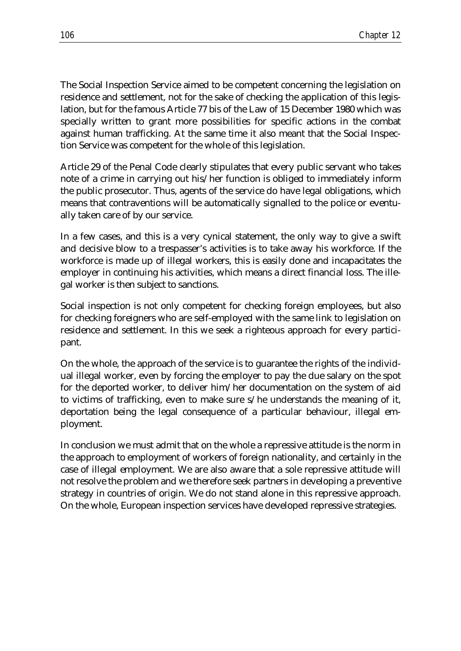The Social Inspection Service aimed to be competent concerning the legislation on residence and settlement, not for the sake of checking the application of this legislation, but for the famous Article 77 bis of the Law of 15 December 1980 which was specially written to grant more possibilities for specific actions in the combat against human trafficking. At the same time it also meant that the Social Inspection Service was competent for the whole of this legislation.

Article 29 of the Penal Code clearly stipulates that every public servant who takes note of a crime in carrying out his/her function is obliged to immediately inform the public prosecutor. Thus, agents of the service do have legal obligations, which means that contraventions will be automatically signalled to the police or eventually taken care of by our service.

In a few cases, and this is a very cynical statement, the only way to give a swift and decisive blow to a trespasser's activities is to take away his workforce. If the workforce is made up of illegal workers, this is easily done and incapacitates the employer in continuing his activities, which means a direct financial loss. The illegal worker is then subject to sanctions.

Social inspection is not only competent for checking foreign employees, but also for checking foreigners who are self-employed with the same link to legislation on residence and settlement. In this we seek a righteous approach for every participant.

On the whole, the approach of the service is to guarantee the rights of the individual illegal worker, even by forcing the employer to pay the due salary on the spot for the deported worker, to deliver him/her documentation on the system of aid to victims of trafficking, even to make sure s/he understands the meaning of it, deportation being the legal consequence of a particular behaviour, illegal employment.

In conclusion we must admit that on the whole a repressive attitude is the norm in the approach to employment of workers of foreign nationality, and certainly in the case of illegal employment. We are also aware that a sole repressive attitude will not resolve the problem and we therefore seek partners in developing a preventive strategy in countries of origin. We do not stand alone in this repressive approach. On the whole, European inspection services have developed repressive strategies.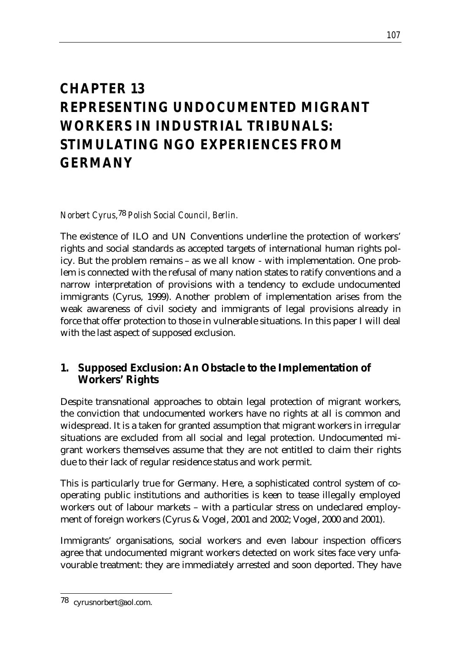# *CHAPTER 13 REPRESENTING UNDOCUMENTED MIGRANT WORKERS IN INDUSTRIAL TRIBUNALS: STIMULATING NGO EXPERIENCES FROM GERMANY*

*Norbert Cyrus,*78 *Polish Social Council, Berlin.*

The existence of ILO and UN Conventions underline the protection of workers' rights and social standards as accepted targets of international human rights policy. But the problem remains – as we all know - with implementation. One problem is connected with the refusal of many nation states to ratify conventions and a narrow interpretation of provisions with a tendency to exclude undocumented immigrants (Cyrus, 1999). Another problem of implementation arises from the weak awareness of civil society and immigrants of legal provisions already in force that offer protection to those in vulnerable situations. In this paper I will deal with the last aspect of supposed exclusion.

### **1. Supposed Exclusion: An Obstacle to the Implementation of Workers' Rights**

Despite transnational approaches to obtain legal protection of migrant workers, the conviction that undocumented workers have no rights at all is common and widespread. It is a taken for granted assumption that migrant workers in irregular situations are excluded from all social and legal protection. Undocumented migrant workers themselves assume that they are not entitled to claim their rights due to their lack of regular residence status and work permit.

This is particularly true for Germany. Here, a sophisticated control system of cooperating public institutions and authorities is keen to tease illegally employed workers out of labour markets – with a particular stress on undeclared employment of foreign workers (Cyrus & Vogel, 2001 and 2002; Vogel, 2000 and 2001).

Immigrants' organisations, social workers and even labour inspection officers agree that undocumented migrant workers detected on work sites face very unfavourable treatment: they are immediately arrested and soon deported. They have

<sup>&</sup>lt;u>.</u> 78 cyrusnorbert@aol.com.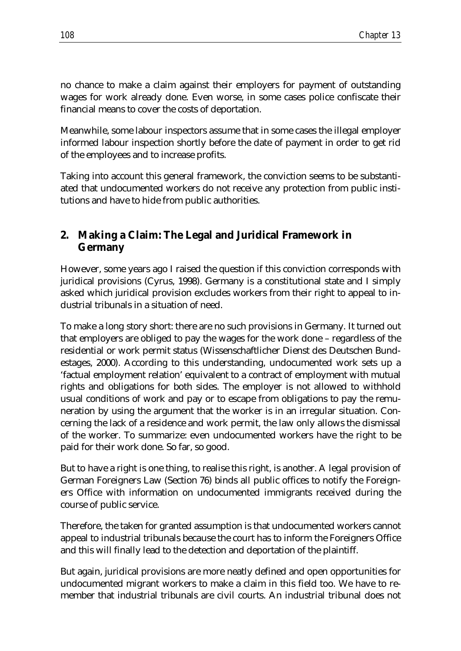no chance to make a claim against their employers for payment of outstanding wages for work already done. Even worse, in some cases police confiscate their financial means to cover the costs of deportation.

Meanwhile, some labour inspectors assume that in some cases the illegal employer informed labour inspection shortly before the date of payment in order to get rid of the employees and to increase profits.

Taking into account this general framework, the conviction seems to be substantiated that undocumented workers do not receive any protection from public institutions and have to hide from public authorities.

### **2. Making a Claim: The Legal and Juridical Framework in Germany**

However, some years ago I raised the question if this conviction corresponds with juridical provisions (Cyrus, 1998). Germany is a constitutional state and I simply asked which juridical provision excludes workers from their right to appeal to industrial tribunals in a situation of need.

To make a long story short: there are no such provisions in Germany. It turned out that employers are obliged to pay the wages for the work done – regardless of the residential or work permit status (Wissenschaftlicher Dienst des Deutschen Bundestages, 2000). According to this understanding, undocumented work sets up a 'factual employment relation' equivalent to a contract of employment with mutual rights and obligations for both sides. The employer is not allowed to withhold usual conditions of work and pay or to escape from obligations to pay the remuneration by using the argument that the worker is in an irregular situation. Concerning the lack of a residence and work permit, the law only allows the dismissal of the worker. To summarize: even undocumented workers have the right to be paid for their work done. So far, so good.

But to have a right is one thing, to realise this right, is another. A legal provision of German Foreigners Law (Section 76) binds all public offices to notify the Foreigners Office with information on undocumented immigrants received during the course of public service.

Therefore, the taken for granted assumption is that undocumented workers cannot appeal to industrial tribunals because the court has to inform the Foreigners Office and this will finally lead to the detection and deportation of the plaintiff.

But again, juridical provisions are more neatly defined and open opportunities for undocumented migrant workers to make a claim in this field too. We have to remember that industrial tribunals are civil courts. An industrial tribunal does not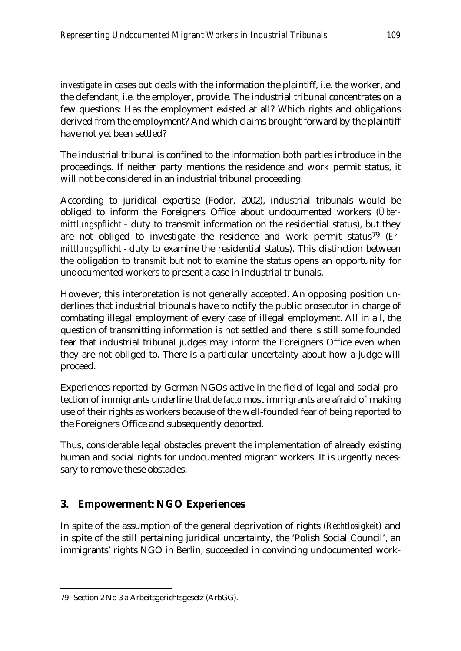*investigate* in cases but deals with the information the plaintiff, i.e. the worker, and the defendant, i.e. the employer, provide. The industrial tribunal concentrates on a few questions: Has the employment existed at all? Which rights and obligations derived from the employment? And which claims brought forward by the plaintiff have not yet been settled?

The industrial tribunal is confined to the information both parties introduce in the proceedings. If neither party mentions the residence and work permit status, it will not be considered in an industrial tribunal proceeding.

According to juridical expertise (Fodor, 2002), industrial tribunals would be obliged to inform the Foreigners Office about undocumented workers (*Übermittlungspflicht –* duty to transmit information on the residential status), but they are not obliged to investigate the residence and work permit status79 (*Ermittlungspflicht -* duty to examine the residential status). This distinction between the obligation to *transmit* but not to *examine* the status opens an opportunity for undocumented workers to present a case in industrial tribunals.

However, this interpretation is not generally accepted. An opposing position underlines that industrial tribunals have to notify the public prosecutor in charge of combating illegal employment of every case of illegal employment. All in all, the question of transmitting information is not settled and there is still some founded fear that industrial tribunal judges may inform the Foreigners Office even when they are not obliged to. There is a particular uncertainty about how a judge will proceed.

Experiences reported by German NGOs active in the field of legal and social protection of immigrants underline that *de facto* most immigrants are afraid of making use of their rights as workers because of the well-founded fear of being reported to the Foreigners Office and subsequently deported.

Thus, considerable legal obstacles prevent the implementation of already existing human and social rights for undocumented migrant workers. It is urgently necessary to remove these obstacles.

### **3. Empowerment: NGO Experiences**

In spite of the assumption of the general deprivation of rights *(Rechtlosigkeit)* and in spite of the still pertaining juridical uncertainty, the 'Polish Social Council', an immigrants' rights NGO in Berlin, succeeded in convincing undocumented work-

<sup>&</sup>lt;u>.</u> 79 Section 2 No 3 a Arbeitsgerichtsgesetz (ArbGG).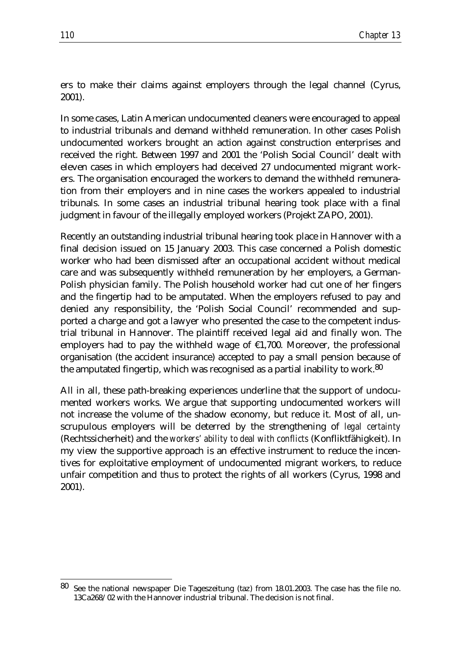ers to make their claims against employers through the legal channel (Cyrus, 2001).

In some cases, Latin American undocumented cleaners were encouraged to appeal to industrial tribunals and demand withheld remuneration. In other cases Polish undocumented workers brought an action against construction enterprises and received the right. Between 1997 and 2001 the 'Polish Social Council' dealt with eleven cases in which employers had deceived 27 undocumented migrant workers. The organisation encouraged the workers to demand the withheld remuneration from their employers and in nine cases the workers appealed to industrial tribunals. In some cases an industrial tribunal hearing took place with a final judgment in favour of the illegally employed workers (Projekt ZAPO, 2001).

Recently an outstanding industrial tribunal hearing took place in Hannover with a final decision issued on 15 January 2003. This case concerned a Polish domestic worker who had been dismissed after an occupational accident without medical care and was subsequently withheld remuneration by her employers, a German-Polish physician family. The Polish household worker had cut one of her fingers and the fingertip had to be amputated. When the employers refused to pay and denied any responsibility, the 'Polish Social Council' recommended and supported a charge and got a lawyer who presented the case to the competent industrial tribunal in Hannover. The plaintiff received legal aid and finally won. The employers had to pay the withheld wage of  $£1,700$ . Moreover, the professional organisation (the accident insurance) accepted to pay a small pension because of the amputated fingertip, which was recognised as a partial inability to work.<sup>80</sup>

All in all, these path-breaking experiences underline that the support of undocumented workers works. We argue that supporting undocumented workers will not increase the volume of the shadow economy, but reduce it. Most of all, unscrupulous employers will be deterred by the strengthening of *legal certainty* (Rechtssicherheit) and the *workers' ability to deal with conflicts* (Konfliktfähigkeit). In my view the supportive approach is an effective instrument to reduce the incentives for exploitative employment of undocumented migrant workers, to reduce unfair competition and thus to protect the rights of all workers (Cyrus, 1998 and 2001).

<u>.</u>

<sup>80</sup> See the national newspaper Die Tageszeitung (taz) from 18.01.2003. The case has the file no. 13Ca268/02 with the Hannover industrial tribunal. The decision is not final.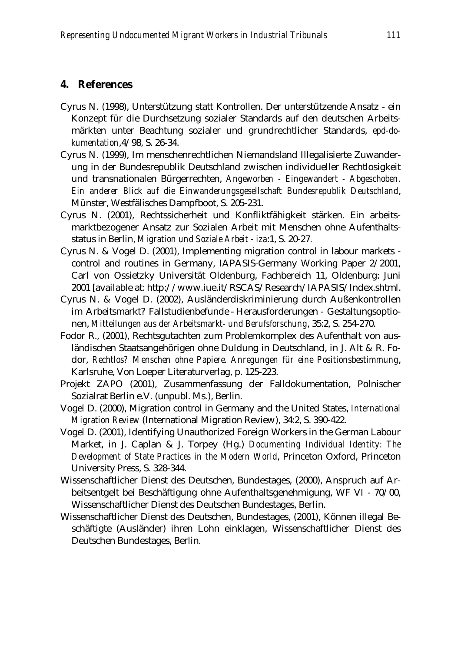#### **4. References**

- Cyrus N. (1998), Unterstützung statt Kontrollen. Der unterstützende Ansatz ein Konzept für die Durchsetzung sozialer Standards auf den deutschen Arbeitsmärkten unter Beachtung sozialer und grundrechtlicher Standards, *epd-dokumentation*,4/98, S. 26-34.
- Cyrus N. (1999), Im menschenrechtlichen Niemandsland Illegalisierte Zuwanderung in der Bundesrepublik Deutschland zwischen individueller Rechtlosigkeit und transnationalen Bürgerrechten, *Angeworben - Eingewandert - Abgeschoben. Ein anderer Blick auf die Einwanderungsgesellschaft Bundesrepublik Deutschland*, Münster, Westfälisches Dampfboot, S. 205-231.
- Cyrus N. (2001), Rechtssicherheit und Konfliktfähigkeit stärken. Ein arbeitsmarktbezogener Ansatz zur Sozialen Arbeit mit Menschen ohne Aufenthaltsstatus in Berlin, *Migration und Soziale Arbeit - iza*:1, S. 20-27.
- Cyrus N. & Vogel D. (2001), Implementing migration control in labour markets control and routines in Germany, IAPASIS-Germany Working Paper 2/2001, Carl von Ossietzky Universität Oldenburg, Fachbereich 11, Oldenburg: Juni 2001 [available at: http://www.iue.it/RSCAS/Research/IAPASIS/Index.shtml.
- Cyrus N. & Vogel D. (2002), Ausländerdiskriminierung durch Außenkontrollen im Arbeitsmarkt? Fallstudienbefunde - Herausforderungen - Gestaltungsoptionen, *Mitteilungen aus der Arbeitsmarkt- und Berufsforschung*, 35:2, S. 254-270.
- Fodor R., (2001), Rechtsgutachten zum Problemkomplex des Aufenthalt von ausländischen Staatsangehörigen ohne Duldung in Deutschland, in J. Alt & R. Fodor, *Rechtlos? Menschen ohne Papiere. Anregungen für eine Positionsbestimmung*, Karlsruhe, Von Loeper Literaturverlag, p. 125-223.
- Projekt ZAPO (2001), Zusammenfassung der Falldokumentation, Polnischer Sozialrat Berlin e.V. (unpubl. Ms.), Berlin.
- Vogel D. (2000), Migration control in Germany and the United States, *International Migration Review* (International Migration Review), 34:2, S. 390-422.
- Vogel D. (2001), Identifying Unauthorized Foreign Workers in the German Labour Market, in J. Caplan & J. Torpey (Hg.) *Documenting Individual Identity: The Development of State Practices in the Modern World*, Princeton Oxford, Princeton University Press, S. 328-344.
- Wissenschaftlicher Dienst des Deutschen, Bundestages, (2000), Anspruch auf Arbeitsentgelt bei Beschäftigung ohne Aufenthaltsgenehmigung, WF VI - 70/00, Wissenschaftlicher Dienst des Deutschen Bundestages, Berlin.
- Wissenschaftlicher Dienst des Deutschen, Bundestages, (2001), Können illegal Beschäftigte (Ausländer) ihren Lohn einklagen, Wissenschaftlicher Dienst des Deutschen Bundestages, Berlin.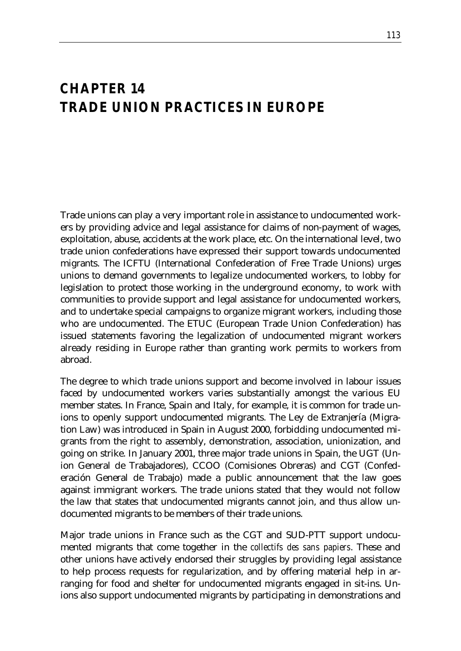### *CHAPTER 14 TRADE UNION PRACTICES IN EUROPE*

Trade unions can play a very important role in assistance to undocumented workers by providing advice and legal assistance for claims of non-payment of wages, exploitation, abuse, accidents at the work place, etc. On the international level, two trade union confederations have expressed their support towards undocumented migrants. The ICFTU (International Confederation of Free Trade Unions) urges unions to demand governments to legalize undocumented workers, to lobby for legislation to protect those working in the underground economy, to work with communities to provide support and legal assistance for undocumented workers, and to undertake special campaigns to organize migrant workers, including those who are undocumented. The ETUC (European Trade Union Confederation) has issued statements favoring the legalization of undocumented migrant workers already residing in Europe rather than granting work permits to workers from abroad.

The degree to which trade unions support and become involved in labour issues faced by undocumented workers varies substantially amongst the various EU member states. In France, Spain and Italy, for example, it is common for trade unions to openly support undocumented migrants. The Ley de Extranjería (Migration Law) was introduced in Spain in August 2000, forbidding undocumented migrants from the right to assembly, demonstration, association, unionization, and going on strike. In January 2001, three major trade unions in Spain, the UGT (Union General de Trabajadores), CCOO (Comisiones Obreras) and CGT (Confederación General de Trabajo) made a public announcement that the law goes against immigrant workers. The trade unions stated that they would not follow the law that states that undocumented migrants cannot join, and thus allow undocumented migrants to be members of their trade unions.

Major trade unions in France such as the CGT and SUD-PTT support undocumented migrants that come together in the *collectifs des sans papiers*. These and other unions have actively endorsed their struggles by providing legal assistance to help process requests for regularization, and by offering material help in arranging for food and shelter for undocumented migrants engaged in sit-ins. Unions also support undocumented migrants by participating in demonstrations and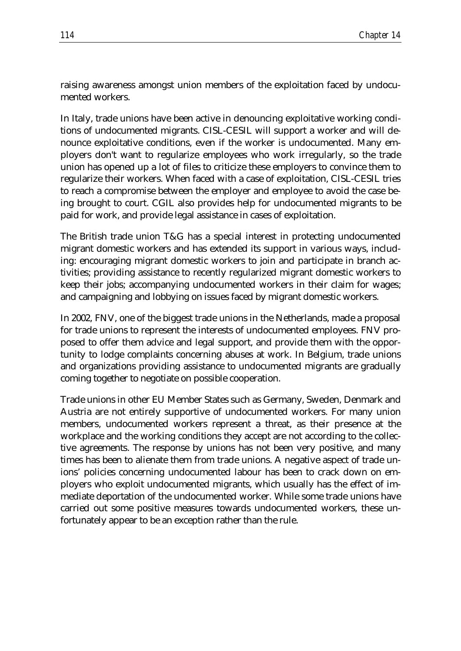raising awareness amongst union members of the exploitation faced by undocumented workers.

In Italy, trade unions have been active in denouncing exploitative working conditions of undocumented migrants. CISL-CESIL will support a worker and will denounce exploitative conditions, even if the worker is undocumented. Many employers don't want to regularize employees who work irregularly, so the trade union has opened up a lot of files to criticize these employers to convince them to regularize their workers. When faced with a case of exploitation, CISL-CESIL tries to reach a compromise between the employer and employee to avoid the case being brought to court. CGIL also provides help for undocumented migrants to be paid for work, and provide legal assistance in cases of exploitation.

The British trade union T&G has a special interest in protecting undocumented migrant domestic workers and has extended its support in various ways, including: encouraging migrant domestic workers to join and participate in branch activities; providing assistance to recently regularized migrant domestic workers to keep their jobs; accompanying undocumented workers in their claim for wages; and campaigning and lobbying on issues faced by migrant domestic workers.

In 2002, FNV, one of the biggest trade unions in the Netherlands, made a proposal for trade unions to represent the interests of undocumented employees. FNV proposed to offer them advice and legal support, and provide them with the opportunity to lodge complaints concerning abuses at work. In Belgium, trade unions and organizations providing assistance to undocumented migrants are gradually coming together to negotiate on possible cooperation.

Trade unions in other EU Member States such as Germany, Sweden, Denmark and Austria are not entirely supportive of undocumented workers. For many union members, undocumented workers represent a threat, as their presence at the workplace and the working conditions they accept are not according to the collective agreements. The response by unions has not been very positive, and many times has been to alienate them from trade unions. A negative aspect of trade unions' policies concerning undocumented labour has been to crack down on employers who exploit undocumented migrants, which usually has the effect of immediate deportation of the undocumented worker. While some trade unions have carried out some positive measures towards undocumented workers, these unfortunately appear to be an exception rather than the rule.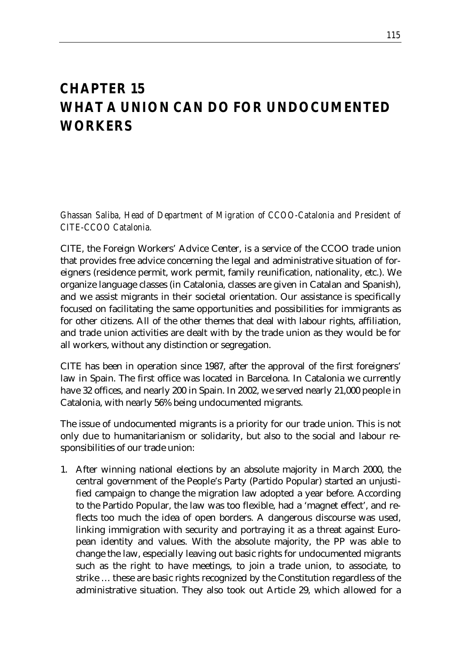## *CHAPTER 15 WHAT A UNION CAN DO FOR UNDOCUMENTED WORKERS*

*Ghassan Saliba, Head of Department of Migration of CCOO-Catalonia and President of CITE-CCOO Catalonia.*

CITE, the Foreign Workers' Advice Center, is a service of the CCOO trade union that provides free advice concerning the legal and administrative situation of foreigners (residence permit, work permit, family reunification, nationality, etc.). We organize language classes (in Catalonia, classes are given in Catalan and Spanish), and we assist migrants in their societal orientation. Our assistance is specifically focused on facilitating the same opportunities and possibilities for immigrants as for other citizens. All of the other themes that deal with labour rights, affiliation, and trade union activities are dealt with by the trade union as they would be for all workers, without any distinction or segregation.

CITE has been in operation since 1987, after the approval of the first foreigners' law in Spain. The first office was located in Barcelona. In Catalonia we currently have 32 offices, and nearly 200 in Spain. In 2002, we served nearly 21,000 people in Catalonia, with nearly 56% being undocumented migrants.

The issue of undocumented migrants is a priority for our trade union. This is not only due to humanitarianism or solidarity, but also to the social and labour responsibilities of our trade union:

1. After winning national elections by an absolute majority in March 2000, the central government of the People's Party (Partido Popular) started an unjustified campaign to change the migration law adopted a year before. According to the Partido Popular, the law was too flexible, had a 'magnet effect', and reflects too much the idea of open borders. A dangerous discourse was used, linking immigration with security and portraying it as a threat against European identity and values. With the absolute majority, the PP was able to change the law, especially leaving out basic rights for undocumented migrants such as the right to have meetings, to join a trade union, to associate, to strike … these are basic rights recognized by the Constitution regardless of the administrative situation. They also took out Article 29, which allowed for a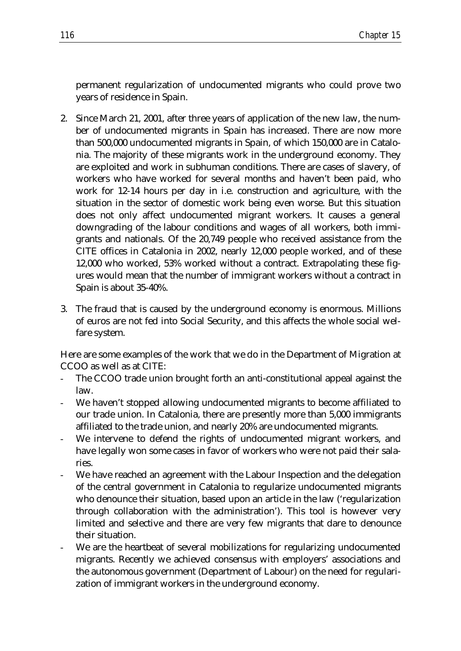permanent regularization of undocumented migrants who could prove two years of residence in Spain.

- 2. Since March 21, 2001, after three years of application of the new law, the number of undocumented migrants in Spain has increased. There are now more than 500,000 undocumented migrants in Spain, of which 150,000 are in Catalonia. The majority of these migrants work in the underground economy. They are exploited and work in subhuman conditions. There are cases of slavery, of workers who have worked for several months and haven't been paid, who work for 12-14 hours per day in i.e. construction and agriculture, with the situation in the sector of domestic work being even worse. But this situation does not only affect undocumented migrant workers. It causes a general downgrading of the labour conditions and wages of all workers, both immigrants and nationals. Of the 20,749 people who received assistance from the CITE offices in Catalonia in 2002, nearly 12,000 people worked, and of these 12,000 who worked, 53% worked without a contract. Extrapolating these figures would mean that the number of immigrant workers without a contract in Spain is about 35-40%.
- 3. The fraud that is caused by the underground economy is enormous. Millions of euros are not fed into Social Security, and this affects the whole social welfare system.

Here are some examples of the work that we do in the Department of Migration at CCOO as well as at CITE:

- The CCOO trade union brought forth an anti-constitutional appeal against the law.
- We haven't stopped allowing undocumented migrants to become affiliated to our trade union. In Catalonia, there are presently more than 5,000 immigrants affiliated to the trade union, and nearly 20% are undocumented migrants.
- We intervene to defend the rights of undocumented migrant workers, and have legally won some cases in favor of workers who were not paid their salaries.
- We have reached an agreement with the Labour Inspection and the delegation of the central government in Catalonia to regularize undocumented migrants who denounce their situation, based upon an article in the law ('regularization through collaboration with the administration'). This tool is however very limited and selective and there are very few migrants that dare to denounce their situation.
- We are the heartbeat of several mobilizations for regularizing undocumented migrants. Recently we achieved consensus with employers' associations and the autonomous government (Department of Labour) on the need for regularization of immigrant workers in the underground economy.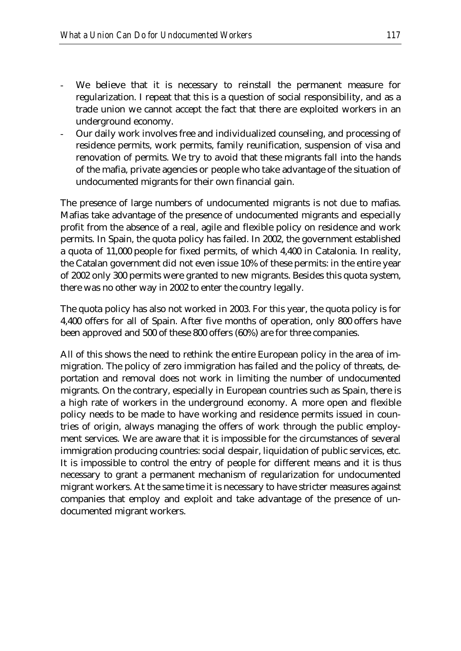- We believe that it is necessary to reinstall the permanent measure for regularization. I repeat that this is a question of social responsibility, and as a trade union we cannot accept the fact that there are exploited workers in an underground economy.
- Our daily work involves free and individualized counseling, and processing of residence permits, work permits, family reunification, suspension of visa and renovation of permits. We try to avoid that these migrants fall into the hands of the mafia, private agencies or people who take advantage of the situation of undocumented migrants for their own financial gain.

The presence of large numbers of undocumented migrants is not due to mafias. Mafias take advantage of the presence of undocumented migrants and especially profit from the absence of a real, agile and flexible policy on residence and work permits. In Spain, the quota policy has failed. In 2002, the government established a quota of 11,000 people for fixed permits, of which 4,400 in Catalonia. In reality, the Catalan government did not even issue 10% of these permits: in the entire year of 2002 only 300 permits were granted to new migrants. Besides this quota system, there was no other way in 2002 to enter the country legally.

The quota policy has also not worked in 2003. For this year, the quota policy is for 4,400 offers for all of Spain. After five months of operation, only 800 offers have been approved and 500 of these 800 offers (60%) are for three companies.

All of this shows the need to rethink the entire European policy in the area of immigration. The policy of zero immigration has failed and the policy of threats, deportation and removal does not work in limiting the number of undocumented migrants. On the contrary, especially in European countries such as Spain, there is a high rate of workers in the underground economy. A more open and flexible policy needs to be made to have working and residence permits issued in countries of origin, always managing the offers of work through the public employment services. We are aware that it is impossible for the circumstances of several immigration producing countries: social despair, liquidation of public services, etc. It is impossible to control the entry of people for different means and it is thus necessary to grant a permanent mechanism of regularization for undocumented migrant workers. At the same time it is necessary to have stricter measures against companies that employ and exploit and take advantage of the presence of undocumented migrant workers.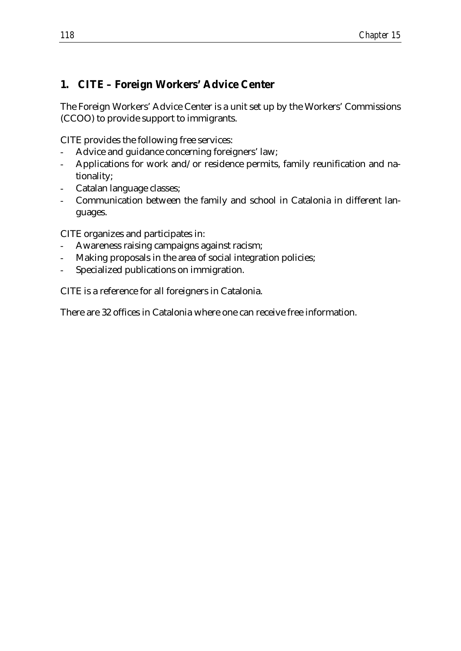### **1. CITE – Foreign Workers' Advice Center**

The Foreign Workers' Advice Center is a unit set up by the Workers' Commissions (CCOO) to provide support to immigrants.

CITE provides the following free services:

- Advice and guidance concerning foreigners' law;
- Applications for work and/or residence permits, family reunification and nationality;
- Catalan language classes;
- Communication between the family and school in Catalonia in different languages.

CITE organizes and participates in:

- Awareness raising campaigns against racism;
- Making proposals in the area of social integration policies;
- Specialized publications on immigration.

CITE is a reference for all foreigners in Catalonia.

There are 32 offices in Catalonia where one can receive free information.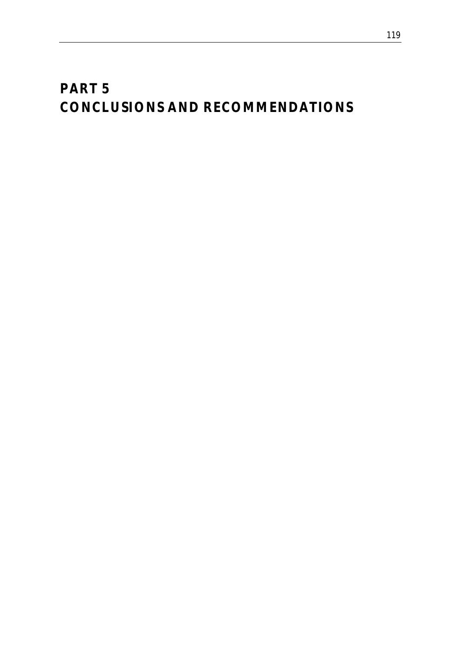# *PART 5 CONCLUSIONS AND RECOMMENDATIONS*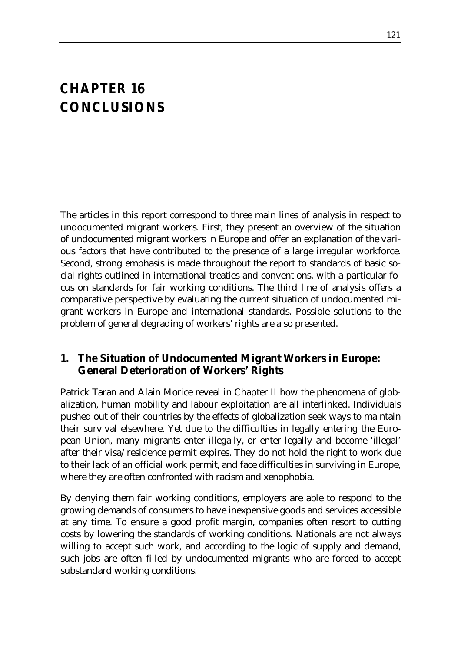## *CHAPTER 16 CONCLUSIONS*

The articles in this report correspond to three main lines of analysis in respect to undocumented migrant workers. First, they present an overview of the situation of undocumented migrant workers in Europe and offer an explanation of the various factors that have contributed to the presence of a large irregular workforce. Second, strong emphasis is made throughout the report to standards of basic social rights outlined in international treaties and conventions, with a particular focus on standards for fair working conditions. The third line of analysis offers a comparative perspective by evaluating the current situation of undocumented migrant workers in Europe and international standards. Possible solutions to the problem of general degrading of workers' rights are also presented.

### **1. The Situation of Undocumented Migrant Workers in Europe: General Deterioration of Workers' Rights**

Patrick Taran and Alain Morice reveal in Chapter II how the phenomena of globalization, human mobility and labour exploitation are all interlinked. Individuals pushed out of their countries by the effects of globalization seek ways to maintain their survival elsewhere. Yet due to the difficulties in legally entering the European Union, many migrants enter illegally, or enter legally and become 'illegal' after their visa/residence permit expires. They do not hold the right to work due to their lack of an official work permit, and face difficulties in surviving in Europe, where they are often confronted with racism and xenophobia.

By denying them fair working conditions, employers are able to respond to the growing demands of consumers to have inexpensive goods and services accessible at any time. To ensure a good profit margin, companies often resort to cutting costs by lowering the standards of working conditions. Nationals are not always willing to accept such work, and according to the logic of supply and demand, such jobs are often filled by undocumented migrants who are forced to accept substandard working conditions.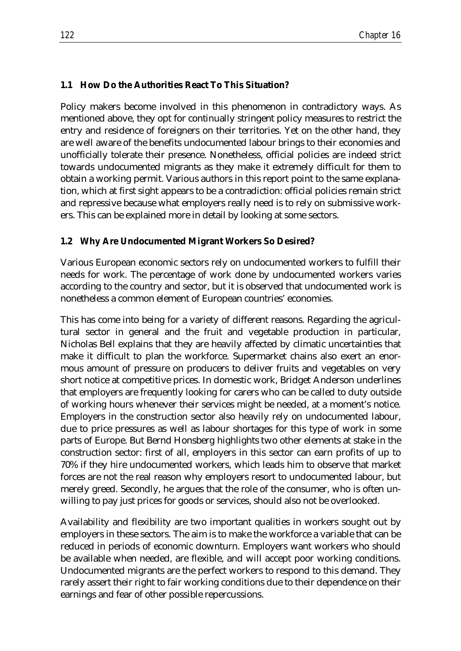#### **1.1 How Do the Authorities React To This Situation?**

Policy makers become involved in this phenomenon in contradictory ways. As mentioned above, they opt for continually stringent policy measures to restrict the entry and residence of foreigners on their territories. Yet on the other hand, they are well aware of the benefits undocumented labour brings to their economies and unofficially tolerate their presence. Nonetheless, official policies are indeed strict towards undocumented migrants as they make it extremely difficult for them to obtain a working permit. Various authors in this report point to the same explanation, which at first sight appears to be a contradiction: official policies remain strict and repressive because what employers really need is to rely on submissive workers. This can be explained more in detail by looking at some sectors.

#### **1.2 Why Are Undocumented Migrant Workers So Desired?**

Various European economic sectors rely on undocumented workers to fulfill their needs for work. The percentage of work done by undocumented workers varies according to the country and sector, but it is observed that undocumented work is nonetheless a common element of European countries' economies.

This has come into being for a variety of different reasons. Regarding the agricultural sector in general and the fruit and vegetable production in particular, Nicholas Bell explains that they are heavily affected by climatic uncertainties that make it difficult to plan the workforce. Supermarket chains also exert an enormous amount of pressure on producers to deliver fruits and vegetables on very short notice at competitive prices. In domestic work, Bridget Anderson underlines that employers are frequently looking for carers who can be called to duty outside of working hours whenever their services might be needed, at a moment's notice. Employers in the construction sector also heavily rely on undocumented labour, due to price pressures as well as labour shortages for this type of work in some parts of Europe. But Bernd Honsberg highlights two other elements at stake in the construction sector: first of all, employers in this sector can earn profits of up to 70% if they hire undocumented workers, which leads him to observe that market forces are not the real reason why employers resort to undocumented labour, but merely greed. Secondly, he argues that the role of the consumer, who is often unwilling to pay just prices for goods or services, should also not be overlooked.

Availability and flexibility are two important qualities in workers sought out by employers in these sectors. The aim is to make the workforce a variable that can be reduced in periods of economic downturn. Employers want workers who should be available when needed, are flexible, and will accept poor working conditions. Undocumented migrants are the perfect workers to respond to this demand. They rarely assert their right to fair working conditions due to their dependence on their earnings and fear of other possible repercussions.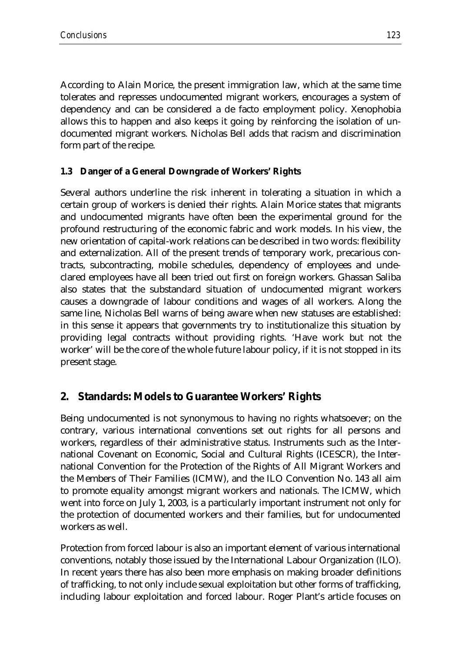According to Alain Morice, the present immigration law, which at the same time tolerates and represses undocumented migrant workers, encourages a system of dependency and can be considered a de facto employment policy. Xenophobia allows this to happen and also keeps it going by reinforcing the isolation of undocumented migrant workers. Nicholas Bell adds that racism and discrimination form part of the recipe.

### **1.3 Danger of a General Downgrade of Workers' Rights**

Several authors underline the risk inherent in tolerating a situation in which a certain group of workers is denied their rights. Alain Morice states that migrants and undocumented migrants have often been the experimental ground for the profound restructuring of the economic fabric and work models. In his view, the new orientation of capital-work relations can be described in two words: flexibility and externalization. All of the present trends of temporary work, precarious contracts, subcontracting, mobile schedules, dependency of employees and undeclared employees have all been tried out first on foreign workers. Ghassan Saliba also states that the substandard situation of undocumented migrant workers causes a downgrade of labour conditions and wages of all workers. Along the same line, Nicholas Bell warns of being aware when new statuses are established: in this sense it appears that governments try to institutionalize this situation by providing legal contracts without providing rights. 'Have work but not the worker' will be the core of the whole future labour policy, if it is not stopped in its present stage.

### **2. Standards: Models to Guarantee Workers' Rights**

Being undocumented is not synonymous to having no rights whatsoever; on the contrary, various international conventions set out rights for all persons and workers, regardless of their administrative status. Instruments such as the International Covenant on Economic, Social and Cultural Rights (ICESCR), the International Convention for the Protection of the Rights of All Migrant Workers and the Members of Their Families (ICMW), and the ILO Convention No. 143 all aim to promote equality amongst migrant workers and nationals. The ICMW, which went into force on July 1, 2003, is a particularly important instrument not only for the protection of documented workers and their families, but for undocumented workers as well.

Protection from forced labour is also an important element of various international conventions, notably those issued by the International Labour Organization (ILO). In recent years there has also been more emphasis on making broader definitions of trafficking, to not only include sexual exploitation but other forms of trafficking, including labour exploitation and forced labour. Roger Plant's article focuses on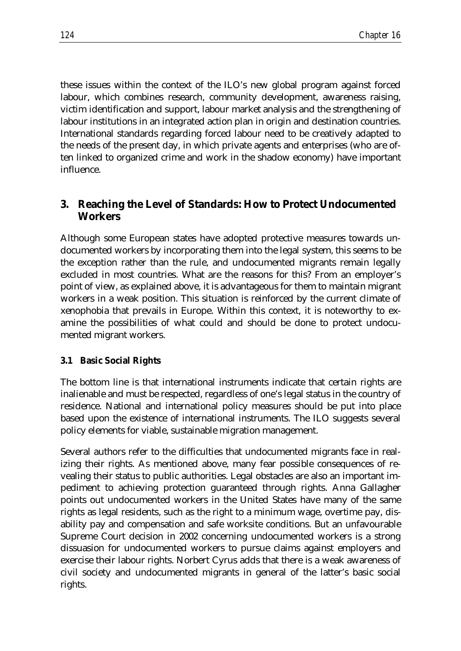these issues within the context of the ILO's new global program against forced labour, which combines research, community development, awareness raising, victim identification and support, labour market analysis and the strengthening of labour institutions in an integrated action plan in origin and destination countries. International standards regarding forced labour need to be creatively adapted to the needs of the present day, in which private agents and enterprises (who are often linked to organized crime and work in the shadow economy) have important influence.

### **3. Reaching the Level of Standards: How to Protect Undocumented Workers**

Although some European states have adopted protective measures towards undocumented workers by incorporating them into the legal system, this seems to be the exception rather than the rule, and undocumented migrants remain legally excluded in most countries. What are the reasons for this? From an employer's point of view, as explained above, it is advantageous for them to maintain migrant workers in a weak position. This situation is reinforced by the current climate of xenophobia that prevails in Europe. Within this context, it is noteworthy to examine the possibilities of what could and should be done to protect undocumented migrant workers.

#### **3.1 Basic Social Rights**

The bottom line is that international instruments indicate that certain rights are inalienable and must be respected, regardless of one's legal status in the country of residence. National and international policy measures should be put into place based upon the existence of international instruments. The ILO suggests several policy elements for viable, sustainable migration management.

Several authors refer to the difficulties that undocumented migrants face in realizing their rights. As mentioned above, many fear possible consequences of revealing their status to public authorities. Legal obstacles are also an important impediment to achieving protection guaranteed through rights. Anna Gallagher points out undocumented workers in the United States have many of the same rights as legal residents, such as the right to a minimum wage, overtime pay, disability pay and compensation and safe worksite conditions. But an unfavourable Supreme Court decision in 2002 concerning undocumented workers is a strong dissuasion for undocumented workers to pursue claims against employers and exercise their labour rights. Norbert Cyrus adds that there is a weak awareness of civil society and undocumented migrants in general of the latter's basic social rights.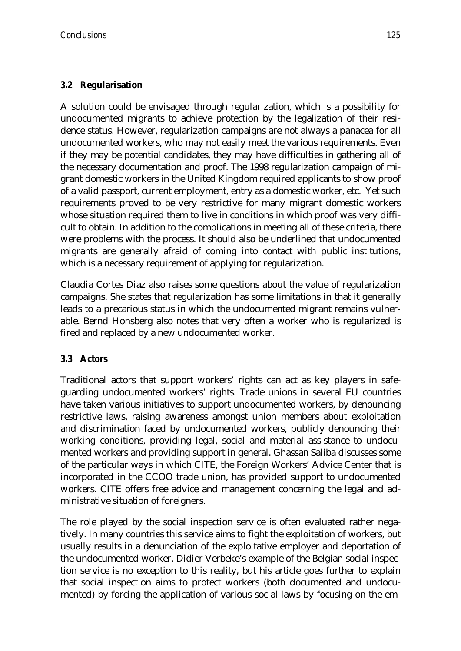#### **3.2 Regularisation**

A solution could be envisaged through regularization, which is a possibility for undocumented migrants to achieve protection by the legalization of their residence status. However, regularization campaigns are not always a panacea for all undocumented workers, who may not easily meet the various requirements. Even if they may be potential candidates, they may have difficulties in gathering all of the necessary documentation and proof. The 1998 regularization campaign of migrant domestic workers in the United Kingdom required applicants to show proof of a valid passport, current employment, entry as a domestic worker, etc. Yet such requirements proved to be very restrictive for many migrant domestic workers whose situation required them to live in conditions in which proof was very difficult to obtain. In addition to the complications in meeting all of these criteria, there were problems with the process. It should also be underlined that undocumented migrants are generally afraid of coming into contact with public institutions, which is a necessary requirement of applying for regularization.

Claudia Cortes Diaz also raises some questions about the value of regularization campaigns. She states that regularization has some limitations in that it generally leads to a precarious status in which the undocumented migrant remains vulnerable. Bernd Honsberg also notes that very often a worker who is regularized is fired and replaced by a new undocumented worker.

#### **3.3 Actors**

Traditional actors that support workers' rights can act as key players in safeguarding undocumented workers' rights. Trade unions in several EU countries have taken various initiatives to support undocumented workers, by denouncing restrictive laws, raising awareness amongst union members about exploitation and discrimination faced by undocumented workers, publicly denouncing their working conditions, providing legal, social and material assistance to undocumented workers and providing support in general. Ghassan Saliba discusses some of the particular ways in which CITE, the Foreign Workers' Advice Center that is incorporated in the CCOO trade union, has provided support to undocumented workers. CITE offers free advice and management concerning the legal and administrative situation of foreigners.

The role played by the social inspection service is often evaluated rather negatively. In many countries this service aims to fight the exploitation of workers, but usually results in a denunciation of the exploitative employer and deportation of the undocumented worker. Didier Verbeke's example of the Belgian social inspection service is no exception to this reality, but his article goes further to explain that social inspection aims to protect workers (both documented and undocumented) by forcing the application of various social laws by focusing on the em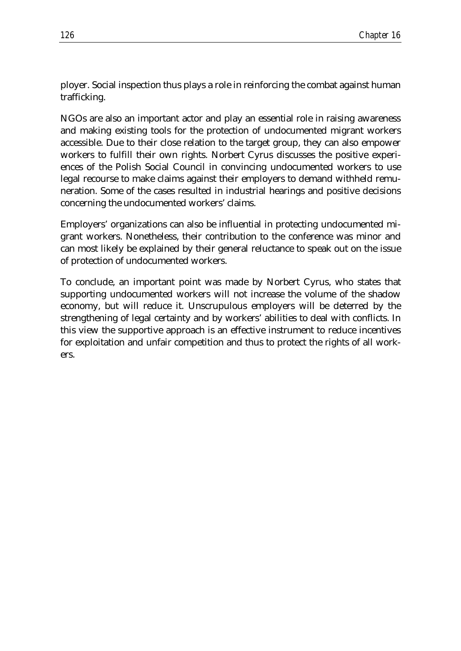ployer. Social inspection thus plays a role in reinforcing the combat against human trafficking.

NGOs are also an important actor and play an essential role in raising awareness and making existing tools for the protection of undocumented migrant workers accessible. Due to their close relation to the target group, they can also empower workers to fulfill their own rights. Norbert Cyrus discusses the positive experiences of the Polish Social Council in convincing undocumented workers to use legal recourse to make claims against their employers to demand withheld remuneration. Some of the cases resulted in industrial hearings and positive decisions concerning the undocumented workers' claims.

Employers' organizations can also be influential in protecting undocumented migrant workers. Nonetheless, their contribution to the conference was minor and can most likely be explained by their general reluctance to speak out on the issue of protection of undocumented workers.

To conclude, an important point was made by Norbert Cyrus, who states that supporting undocumented workers will not increase the volume of the shadow economy, but will reduce it. Unscrupulous employers will be deterred by the strengthening of legal certainty and by workers' abilities to deal with conflicts. In this view the supportive approach is an effective instrument to reduce incentives for exploitation and unfair competition and thus to protect the rights of all workers.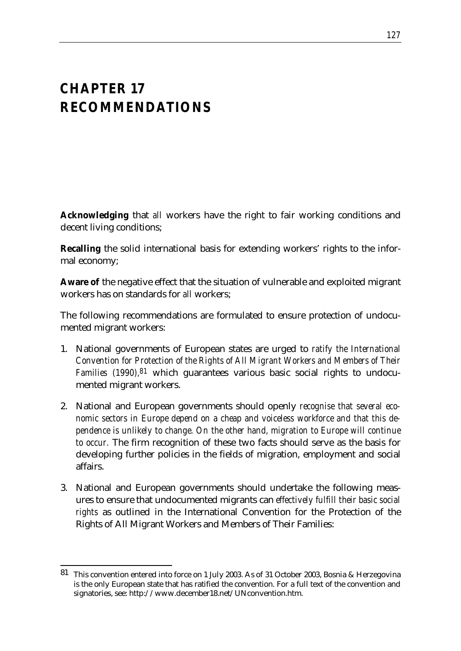## *CHAPTER 17 RECOMMENDATIONS*

**Acknowledging** that *all* workers have the right to fair working conditions and decent living conditions;

**Recalling** the solid international basis for extending workers' rights to the informal economy;

**Aware of** the negative effect that the situation of vulnerable and exploited migrant workers has on standards for *all* workers;

The following recommendations are formulated to ensure protection of undocumented migrant workers:

- 1. National governments of European states are urged to *ratify the International Convention for Protection of the Rights of All Migrant Workers and Members of Their Families (1990),81* which guarantees various basic social rights to undocumented migrant workers.
- 2. National and European governments should openly *recognise that several economic sectors in Europe depend on a cheap and voiceless workforce and that this dependence is unlikely to change. On the other hand, migration to Europe will continue to occur.* The firm recognition of these two facts should serve as the basis for developing further policies in the fields of migration, employment and social affairs.
- 3. National and European governments should undertake the following measures to ensure that undocumented migrants can *effectively fulfill their basic social rights* as outlined in the International Convention for the Protection of the Rights of All Migrant Workers and Members of Their Families:

<sup>&</sup>lt;u>.</u> 81 This convention entered into force on 1 July 2003. As of 31 October 2003, Bosnia & Herzegovina is the only European state that has ratified the convention. For a full text of the convention and signatories, see: http://www.december18.net/UNconvention.htm.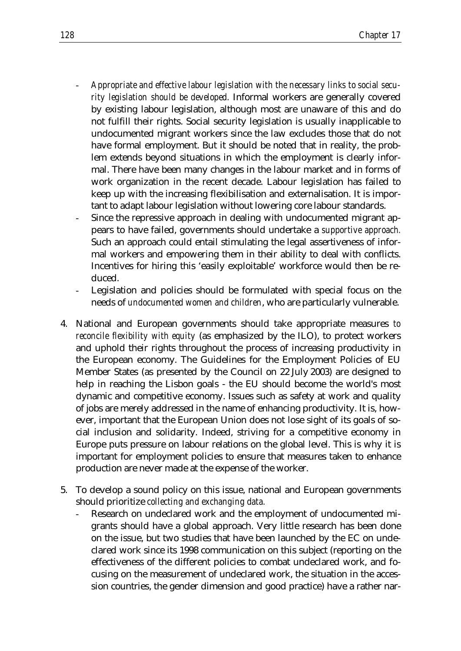- *Appropriate and effective labour legislation with the necessary links to social security legislation should be developed.* Informal workers are generally covered by existing labour legislation, although most are unaware of this and do not fulfill their rights. Social security legislation is usually inapplicable to undocumented migrant workers since the law excludes those that do not have formal employment. But it should be noted that in reality, the problem extends beyond situations in which the employment is clearly informal. There have been many changes in the labour market and in forms of work organization in the recent decade. Labour legislation has failed to keep up with the increasing flexibilisation and externalisation. It is important to adapt labour legislation without lowering core labour standards.
- Since the repressive approach in dealing with undocumented migrant appears to have failed, governments should undertake a *supportive approach.* Such an approach could entail stimulating the legal assertiveness of informal workers and empowering them in their ability to deal with conflicts. Incentives for hiring this 'easily exploitable' workforce would then be reduced.
- Legislation and policies should be formulated with special focus on the needs of *undocumented women and children*, who are particularly vulnerable.
- 4. National and European governments should take appropriate measures *to reconcile flexibility with equity* (as emphasized by the ILO), to protect workers and uphold their rights throughout the process of increasing productivity in the European economy. The Guidelines for the Employment Policies of EU Member States (as presented by the Council on 22 July 2003) are designed to help in reaching the Lisbon goals - the EU should become the world's most dynamic and competitive economy. Issues such as safety at work and quality of jobs are merely addressed in the name of enhancing productivity. It is, however, important that the European Union does not lose sight of its goals of social inclusion and solidarity. Indeed, striving for a competitive economy in Europe puts pressure on labour relations on the global level. This is why it is important for employment policies to ensure that measures taken to enhance production are never made at the expense of the worker.
- 5. To develop a sound policy on this issue, national and European governments should prioritize *collecting and exchanging data.*
	- Research on undeclared work and the employment of undocumented migrants should have a global approach. Very little research has been done on the issue, but two studies that have been launched by the EC on undeclared work since its 1998 communication on this subject (reporting on the effectiveness of the different policies to combat undeclared work, and focusing on the measurement of undeclared work, the situation in the accession countries, the gender dimension and good practice) have a rather nar-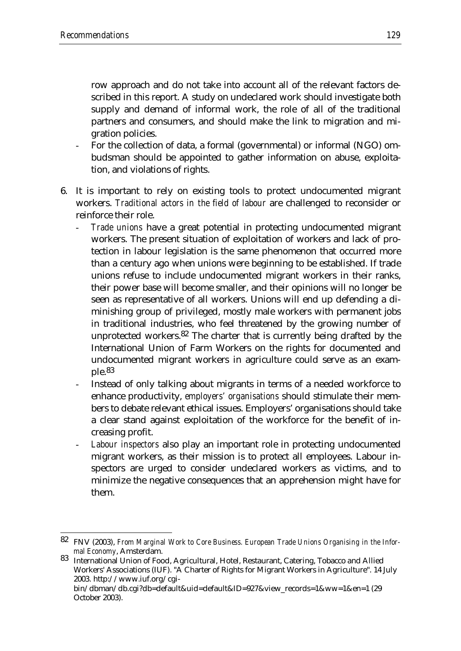<u>.</u>

row approach and do not take into account all of the relevant factors described in this report. A study on undeclared work should investigate both supply and demand of informal work, the role of all of the traditional partners and consumers, and should make the link to migration and migration policies.

- For the collection of data, a formal (governmental) or informal (NGO) ombudsman should be appointed to gather information on abuse, exploitation, and violations of rights.
- 6. It is important to rely on existing tools to protect undocumented migrant workers. *Traditional actors in the field of labour* are challenged to reconsider or reinforce their role.
	- *Trade unions* have a great potential in protecting undocumented migrant workers. The present situation of exploitation of workers and lack of protection in labour legislation is the same phenomenon that occurred more than a century ago when unions were beginning to be established. If trade unions refuse to include undocumented migrant workers in their ranks, their power base will become smaller, and their opinions will no longer be seen as representative of all workers. Unions will end up defending a diminishing group of privileged, mostly male workers with permanent jobs in traditional industries, who feel threatened by the growing number of unprotected workers.82 The charter that is currently being drafted by the International Union of Farm Workers on the rights for documented and undocumented migrant workers in agriculture could serve as an example.83
	- Instead of only talking about migrants in terms of a needed workforce to enhance productivity, *employers' organisations* should stimulate their members to debate relevant ethical issues. Employers' organisations should take a clear stand against exploitation of the workforce for the benefit of increasing profit.
	- *Labour inspectors* also play an important role in protecting undocumented migrant workers, as their mission is to protect all employees. Labour inspectors are urged to consider undeclared workers as victims, and to minimize the negative consequences that an apprehension might have for them.

<sup>82</sup> FNV (2003), *From Marginal Work to Core Business. European Trade Unions Organising in the Informal Economy*, Amsterdam.

<sup>83</sup> International Union of Food, Agricultural, Hotel, Restaurant, Catering, Tobacco and Allied Workers' Associations (IUF). "A Charter of Rights for Migrant Workers in Agriculture". 14 July 2003. http://www.iuf.org/cgibin/dbman/db.cgi?db=default&uid=default&ID=927&view\_records=1&ww=1&en=1 (29

October 2003).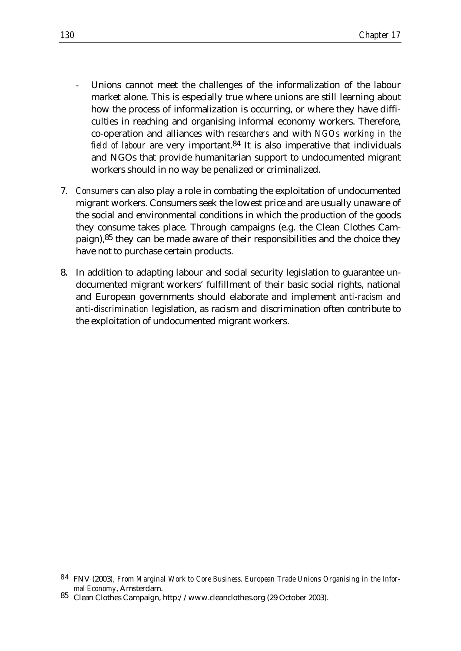- Unions cannot meet the challenges of the informalization of the labour market alone. This is especially true where unions are still learning about how the process of informalization is occurring, or where they have difficulties in reaching and organising informal economy workers. Therefore, co-operation and alliances with *researchers* and with *NGOs working in the field of labour* are very important.84 It is also imperative that individuals and NGOs that provide humanitarian support to undocumented migrant workers should in no way be penalized or criminalized.
- 7. *Consumers* can also play a role in combating the exploitation of undocumented migrant workers. Consumers seek the lowest price and are usually unaware of the social and environmental conditions in which the production of the goods they consume takes place. Through campaigns (e.g. the Clean Clothes Campaign),85 they can be made aware of their responsibilities and the choice they have not to purchase certain products.
- 8. In addition to adapting labour and social security legislation to guarantee undocumented migrant workers' fulfillment of their basic social rights, national and European governments should elaborate and implement *anti-racism and anti-discrimination* legislation, as racism and discrimination often contribute to the exploitation of undocumented migrant workers.

<u>.</u>

<sup>84</sup> FNV (2003*), From Marginal Work to Core Business. European Trade Unions Organising in the Informal Economy*, Amsterdam.

<sup>85</sup> Clean Clothes Campaign, http://www.cleanclothes.org (29 October 2003).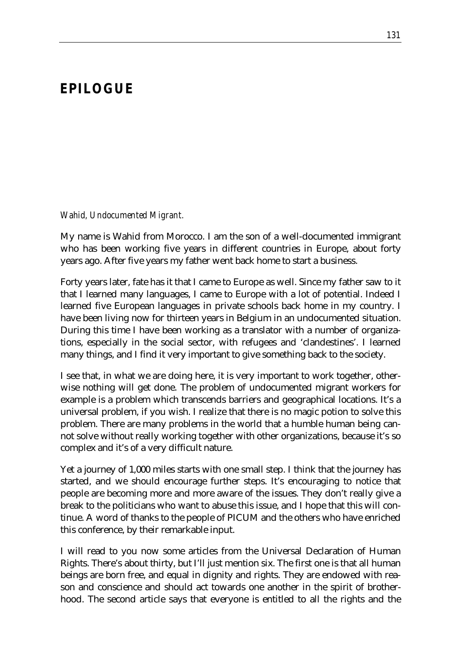### *EPILOGUE*

*Wahid, Undocumented Migrant.*

My name is Wahid from Morocco. I am the son of a well-documented immigrant who has been working five years in different countries in Europe, about forty years ago. After five years my father went back home to start a business.

Forty years later, fate has it that I came to Europe as well. Since my father saw to it that I learned many languages, I came to Europe with a lot of potential. Indeed I learned five European languages in private schools back home in my country. I have been living now for thirteen years in Belgium in an undocumented situation. During this time I have been working as a translator with a number of organizations, especially in the social sector, with refugees and 'clandestines'. I learned many things, and I find it very important to give something back to the society.

I see that, in what we are doing here, it is very important to work together, otherwise nothing will get done. The problem of undocumented migrant workers for example is a problem which transcends barriers and geographical locations. It's a universal problem, if you wish. I realize that there is no magic potion to solve this problem. There are many problems in the world that a humble human being cannot solve without really working together with other organizations, because it's so complex and it's of a very difficult nature.

Yet a journey of 1,000 miles starts with one small step. I think that the journey has started, and we should encourage further steps. It's encouraging to notice that people are becoming more and more aware of the issues. They don't really give a break to the politicians who want to abuse this issue, and I hope that this will continue. A word of thanks to the people of PICUM and the others who have enriched this conference, by their remarkable input.

I will read to you now some articles from the Universal Declaration of Human Rights. There's about thirty, but I'll just mention six. The first one is that all human beings are born free, and equal in dignity and rights. They are endowed with reason and conscience and should act towards one another in the spirit of brotherhood. The second article says that everyone is entitled to all the rights and the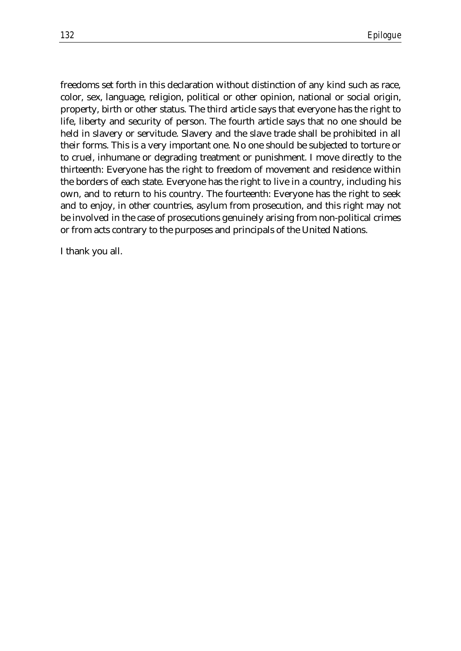freedoms set forth in this declaration without distinction of any kind such as race, color, sex, language, religion, political or other opinion, national or social origin, property, birth or other status. The third article says that everyone has the right to life, liberty and security of person. The fourth article says that no one should be held in slavery or servitude. Slavery and the slave trade shall be prohibited in all their forms. This is a very important one. No one should be subjected to torture or to cruel, inhumane or degrading treatment or punishment. I move directly to the thirteenth: Everyone has the right to freedom of movement and residence within the borders of each state. Everyone has the right to live in a country, including his own, and to return to his country. The fourteenth: Everyone has the right to seek and to enjoy, in other countries, asylum from prosecution, and this right may not be involved in the case of prosecutions genuinely arising from non-political crimes or from acts contrary to the purposes and principals of the United Nations.

I thank you all.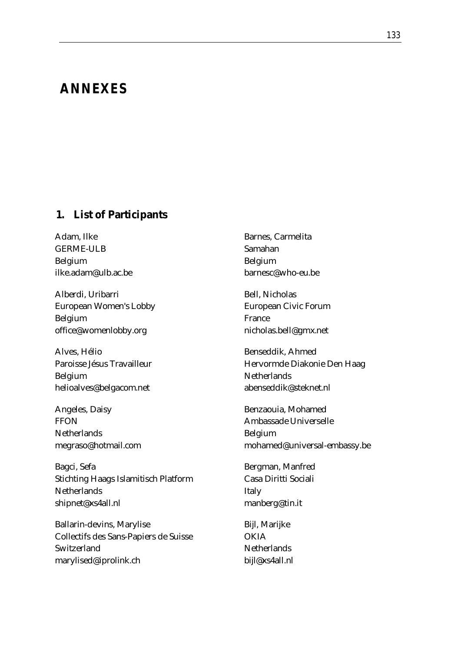# *ANNEXES*

#### **1. List of Participants**

Adam, Ilke GERME-ULB Belgium ilke.adam@ulb.ac.be

Alberdi, Uribarri European Women's Lobby Belgium office@womenlobby.org

Alves, Hélio Paroisse Jésus Travailleur Belgium helioalves@belgacom.net

Angeles, Daisy **FFON Netherlands** megraso@hotmail.com

Bagci, Sefa Stichting Haags Islamitisch Platform **Netherlands** shipnet@xs4all.nl

Ballarin-devins, Marylise Collectifs des Sans-Papiers de Suisse Switzerland marylised@iprolink.ch

Barnes, Carmelita Samahan Belgium barnesc@who-eu.be

Bell, Nicholas European Civic Forum France nicholas.bell@gmx.net

Benseddik, Ahmed Hervormde Diakonie Den Haag **Netherlands** abenseddik@steknet.nl

Benzaouia, Mohamed Ambassade Universelle Belgium mohamed@universal-embassy.be

Bergman, Manfred Casa Diritti Sociali Italy manberg@tin.it

Bijl, Marijke **OKIA Netherlands** bijl@xs4all.nl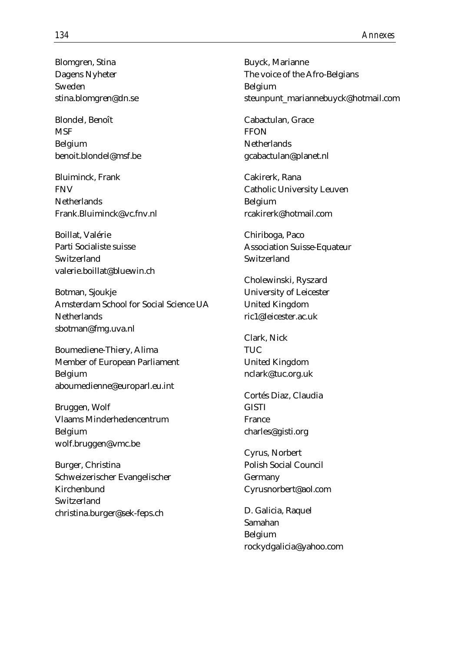Blomgren, Stina Dagens Nyheter Sweden stina.blomgren@dn.se

Blondel, Benoît **MSF** Belgium benoit.blondel@msf.be

Bluiminck, Frank FNV **Netherlands** Frank.Bluiminck@vc.fnv.nl

Boillat, Valérie Parti Socialiste suisse Switzerland valerie.boillat@bluewin.ch

Botman, Sjoukje Amsterdam School for Social Science UA **Netherlands** sbotman@fmg.uva.nl

Boumediene-Thiery, Alima Member of European Parliament Belgium aboumedienne@europarl.eu.int

Bruggen, Wolf Vlaams Minderhedencentrum Belgium wolf.bruggen@vmc.be

Burger, Christina Schweizerischer Evangelischer Kirchenbund Switzerland christina.burger@sek-feps.ch

Buyck, Marianne The voice of the Afro-Belgians Belgium steunpunt\_mariannebuyck@hotmail.com

Cabactulan, Grace **FFON Netherlands** gcabactulan@planet.nl

Cakirerk, Rana Catholic University Leuven Belgium rcakirerk@hotmail.com

Chiriboga, Paco Association Suisse-Equateur Switzerland

Cholewinski, Ryszard University of Leicester United Kingdom ric1@leicester.ac.uk

Clark, Nick TUC United Kingdom nclark@tuc.org.uk

Cortés Diaz, Claudia **GISTI** France charles@gisti.org

Cyrus, Norbert Polish Social Council Germany Cyrusnorbert@aol.com

D. Galicia, Raquel Samahan Belgium rockydgalicia@yahoo.com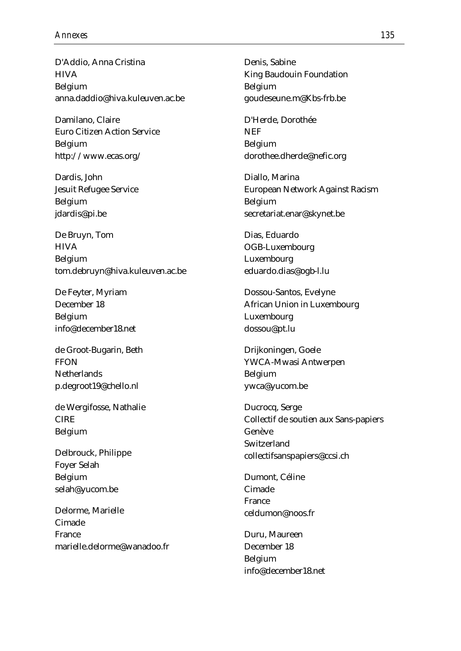D'Addio, Anna Cristina **HIVA** Belgium anna.daddio@hiva.kuleuven.ac.be

Damilano, Claire Euro Citizen Action Service Belgium http://www.ecas.org/

Dardis, John Jesuit Refugee Service Belgium jdardis@pi.be

De Bruyn, Tom **HIVA** Belgium tom.debruyn@hiva.kuleuven.ac.be

De Feyter, Myriam December 18 Belgium info@december18.net

de Groot-Bugarin, Beth **FFON Netherlands** p.degroot19@chello.nl

de Wergifosse, Nathalie CIRE Belgium

Delbrouck, Philippe Foyer Selah Belgium selah@yucom.be

Delorme, Marielle Cimade France marielle.delorme@wanadoo.fr Denis, Sabine King Baudouin Foundation Belgium goudeseune.m@Kbs-frb.be

D'Herde, Dorothée **NEF** Belgium dorothee.dherde@nefic.org

Diallo, Marina European Network Against Racism Belgium secretariat.enar@skynet.be

Dias, Eduardo OGB-Luxembourg Luxembourg eduardo.dias@ogb-l.lu

Dossou-Santos, Evelyne African Union in Luxembourg Luxembourg dossou@pt.lu

Drijkoningen, Goele YWCA-Mwasi Antwerpen Belgium ywca@yucom.be

Ducrocq, Serge Collectif de soutien aux Sans-papiers Genève Switzerland collectifsanspapiers@ccsi.ch

Dumont, Céline Cimade France celdumon@noos.fr

Duru, Maureen December 18 Belgium info@december18.net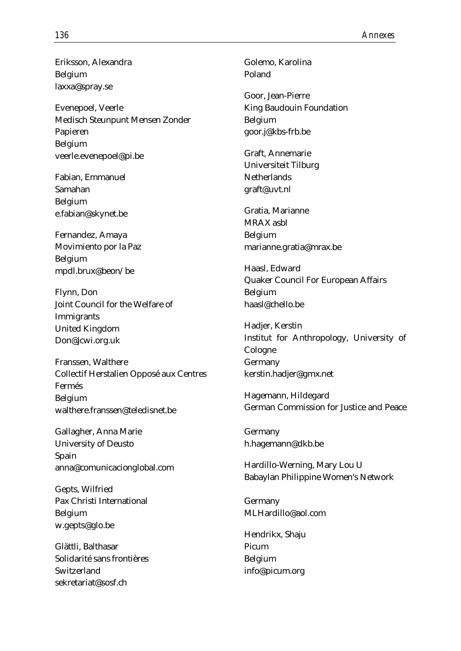Eriksson, Alexandra Belgium laxxa@spray.se

Evenepoel, Veerle Medisch Steunpunt Mensen Zonder Papieren Belgium veerle.evenepoel@pi.be

Fabian, Emmanuel Samahan Belgium e.fabian@skynet.be

Fernandez, Amaya Movimiento por la Paz Belgium mpdl.brux@beon/be

Flynn, Don Joint Council for the Welfare of Immigrants United Kingdom Don@jcwi.org.uk

Franssen, Walthere Collectif Herstalien Opposé aux Centres Fermés Belgium walthere.franssen@teledisnet.be

Gallagher, Anna Marie University of Deusto Spain anna@comunicacionglobal.com

Gepts, Wilfried Pax Christi International Belgium w.gepts@glo.be

Glättli, Balthasar Solidarité sans frontières Switzerland sekretariat@sosf.ch

Golemo, Karolina Poland

Goor, Jean-Pierre King Baudouin Foundation Belgium goor.j@kbs-frb.be

Graft, Annemarie Universiteit Tilburg **Netherlands** graft@uvt.nl

Gratia, Marianne MRAX asbl Belgium marianne.gratia@mrax.be

Haasl, Edward Quaker Council For European Affairs Belgium haasl@chello.be

Hadjer, Kerstin Institut for Anthropology, University of Cologne Germany kerstin.hadjer@gmx.net

Hagemann, Hildegard German Commission for Justice and Peace

Germany h.hagemann@dkb.be

Hardillo-Werning, Mary Lou U Babaylan Philippine Women's Network

Germany MLHardillo@aol.com

Hendrikx, Shaju Picum Belgium info@picum.org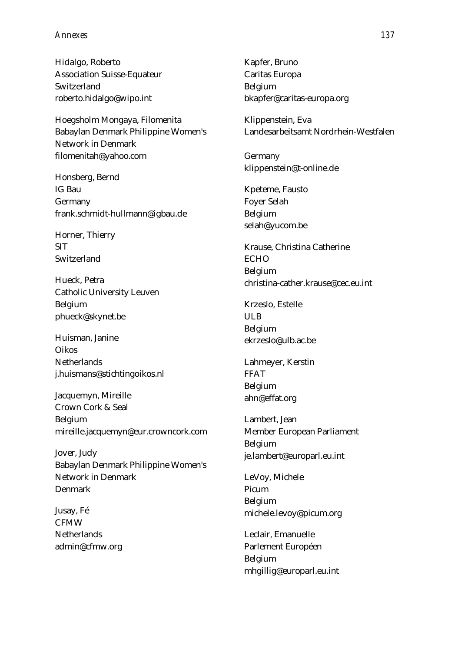Hidalgo, Roberto Association Suisse-Equateur Switzerland roberto.hidalgo@wipo.int

Hoegsholm Mongaya, Filomenita Babaylan Denmark Philippine Women's Network in Denmark filomenitah@yahoo.com

Honsberg, Bernd IG Bau Germany frank.schmidt-hullmann@igbau.de

Horner, Thierry SIT Switzerland

Hueck, Petra Catholic University Leuven Belgium phueck@skynet.be

Huisman, Janine Oikos **Netherlands** j.huismans@stichtingoikos.nl

Jacquemyn, Mireille Crown Cork & Seal Belgium mireille.jacquemyn@eur.crowncork.com

Jover, Judy Babaylan Denmark Philippine Women's Network in Denmark Denmark

Jusay, Fé CFMW **Netherlands** admin@cfmw.org Kapfer, Bruno Caritas Europa Belgium bkapfer@caritas-europa.org

Klippenstein, Eva Landesarbeitsamt Nordrhein-Westfalen

Germany klippenstein@t-online.de

Kpeteme, Fausto Foyer Selah Belgium selah@yucom.be

Krause, Christina Catherine **ECHO** Belgium christina-cather.krause@cec.eu.int

Krzeslo, Estelle ULB Belgium ekrzeslo@ulb.ac.be

Lahmeyer, Kerstin FFAT Belgium ahn@effat.org

Lambert, Jean Member European Parliament Belgium je.lambert@europarl.eu.int

LeVoy, Michele Picum Belgium michele.levoy@picum.org

Leclair, Emanuelle Parlement Européen Belgium mhgillig@europarl.eu.int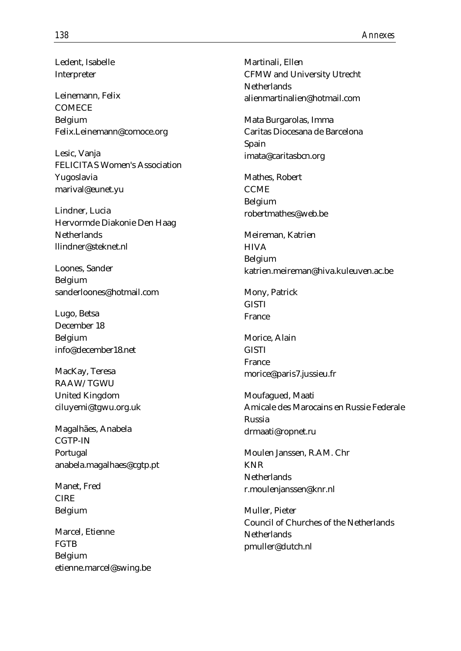Ledent, Isabelle Interpreter

Leinemann, Felix **COMECE** Belgium Felix.Leinemann@comoce.org

Lesic, Vanja FELICITAS Women's Association Yugoslavia marival@eunet.yu

Lindner, Lucia Hervormde Diakonie Den Haag **Netherlands** llindner@steknet.nl

Loones, Sander Belgium sanderloones@hotmail.com

Lugo, Betsa December 18 Belgium info@december18.net

MacKay, Teresa RAAW/TGWU United Kingdom ciluyemi@tgwu.org.uk

Magalhães, Anabela CGTP-IN Portugal anabela.magalhaes@cgtp.pt

Manet, Fred CIRE Belgium

Marcel, Etienne **FGTB** Belgium etienne.marcel@swing.be Martinali, Ellen CFMW and University Utrecht **Netherlands** alienmartinalien@hotmail.com

Mata Burgarolas, Imma Caritas Diocesana de Barcelona Spain imata@caritasbcn.org

Mathes, Robert **CCME** Belgium robertmathes@web.be

Meireman, Katrien **HIVA** Belgium katrien.meireman@hiva.kuleuven.ac.be

Mony, Patrick **GISTI** France

Morice, Alain GISTI France morice@paris7.jussieu.fr

Moufagued, Maati Amicale des Marocains en Russie Federale Russia drmaati@ropnet.ru

Moulen Janssen, R.AM. Chr KNR **Netherlands** r.moulenjanssen@knr.nl

Muller, Pieter Council of Churches of the Netherlands **Netherlands** pmuller@dutch.nl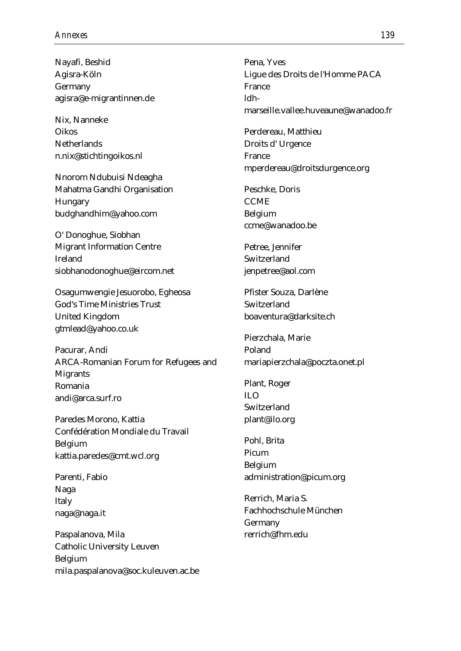Nayafi, Beshid Agisra-Köln Germany agisra@e-migrantinnen.de

Nix, Nanneke Oikos **Netherlands** n.nix@stichtingoikos.nl

Nnorom Ndubuisi Ndeagha Mahatma Gandhi Organisation Hungary budghandhim@yahoo.com

O' Donoghue, Siobhan Migrant Information Centre Ireland siobhanodonoghue@eircom.net

Osagumwengie Jesuorobo, Egheosa God's Time Ministries Trust United Kingdom gtmlead@yahoo.co.uk

Pacurar, Andi ARCA-Romanian Forum for Refugees and Migrants Romania andi@arca.surf.ro

Paredes Morono, Kattia Confédération Mondiale du Travail Belgium kattia.paredes@cmt.wcl.org

Parenti, Fabio Naga Italy naga@naga.it

Paspalanova, Mila Catholic University Leuven Belgium mila.paspalanova@soc.kuleuven.ac.be

Pena, Yves Ligue des Droits de l'Homme PACA France ldhmarseille.vallee.huveaune@wanadoo.fr

Perdereau, Matthieu Droits d' Urgence France mperdereau@droitsdurgence.org

Peschke, Doris **CCME** Belgium ccme@wanadoo.be

Petree, Jennifer Switzerland jenpetree@aol.com

Pfister Souza, Darlène Switzerland boaventura@darksite.ch

Pierzchala, Marie Poland mariapierzchala@poczta.onet.pl

Plant, Roger  $\overline{U}$ Switzerland plant@ilo.org

Pohl, Brita Picum Belgium administration@picum.org

Rerrich, Maria S. Fachhochschule München Germany rerrich@fhm.edu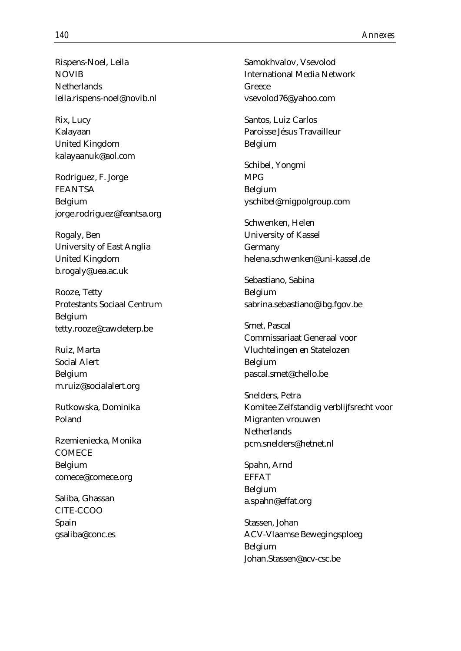Rispens-Noel, Leila **NOVIB Netherlands** leila.rispens-noel@novib.nl

Rix, Lucy Kalayaan United Kingdom kalayaanuk@aol.com

Rodriguez, F. Jorge FEANTSA Belgium jorge.rodriguez@feantsa.org

Rogaly, Ben University of East Anglia United Kingdom b.rogaly@uea.ac.uk

Rooze, Tetty Protestants Sociaal Centrum Belgium tetty.rooze@cawdeterp.be

Ruiz, Marta Social Alert Belgium m.ruiz@socialalert.org

Rutkowska, Dominika Poland

Rzemieniecka, Monika **COMECE** Belgium comece@comece.org

Saliba, Ghassan CITE-CCOO Spain gsaliba@conc.es Samokhvalov, Vsevolod International Media Network Greece vsevolod76@yahoo.com

Santos, Luiz Carlos Paroisse Jésus Travailleur Belgium

Schibel, Yongmi MPG Belgium yschibel@migpolgroup.com

Schwenken, Helen University of Kassel Germany helena.schwenken@uni-kassel.de

Sebastiano, Sabina Belgium sabrina.sebastiano@ibg.fgov.be

Smet, Pascal Commissariaat Generaal voor Vluchtelingen en Statelozen Belgium pascal.smet@chello.be

Snelders, Petra Komitee Zelfstandig verblijfsrecht voor Migranten vrouwen **Netherlands** pcm.snelders@hetnet.nl

Spahn, Arnd EFFAT Belgium a.spahn@effat.org

Stassen, Johan ACV-Vlaamse Bewegingsploeg Belgium Johan.Stassen@acv-csc.be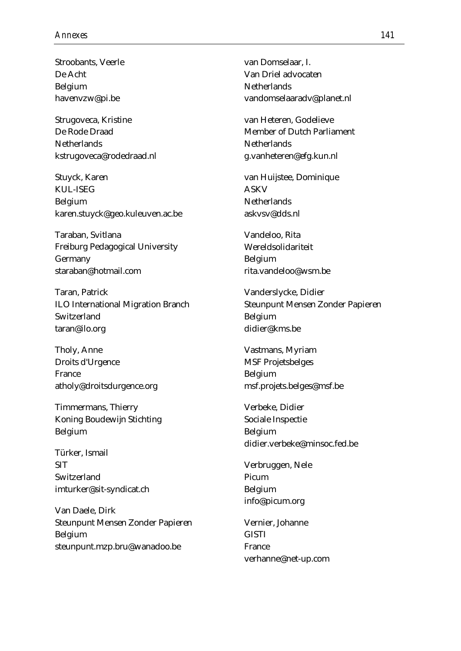Stroobants, Veerle De Acht Belgium havenvzw@pi.be

Strugoveca, Kristine De Rode Draad **Netherlands** kstrugoveca@rodedraad.nl

Stuyck, Karen KUL-ISEG Belgium karen.stuyck@geo.kuleuven.ac.be

Taraban, Svitlana Freiburg Pedagogical University Germany staraban@hotmail.com

Taran, Patrick ILO International Migration Branch Switzerland taran@ilo.org

Tholy, Anne Droits d'Urgence France atholy@droitsdurgence.org

Timmermans, Thierry Koning Boudewijn Stichting Belgium

Türker, Ismail **SIT** Switzerland imturker@sit-syndicat.ch

Van Daele, Dirk Steunpunt Mensen Zonder Papieren Belgium steunpunt.mzp.bru@wanadoo.be

van Domselaar, I. Van Driel advocaten **Netherlands** vandomselaaradv@planet.nl

van Heteren, Godelieve Member of Dutch Parliament **Netherlands** g.vanheteren@efg.kun.nl

van Huijstee, Dominique ASKV **Netherlands** askvsv@dds.nl

Vandeloo, Rita Wereldsolidariteit Belgium rita.vandeloo@wsm.be

Vanderslycke, Didier Steunpunt Mensen Zonder Papieren Belgium didier@kms.be

Vastmans, Myriam MSF Projetsbelges Belgium msf.projets.belges@msf.be

Verbeke, Didier Sociale Inspectie Belgium didier.verbeke@minsoc.fed.be

Verbruggen, Nele Picum Belgium info@picum.org

Vernier, Johanne **GISTI** France verhanne@net-up.com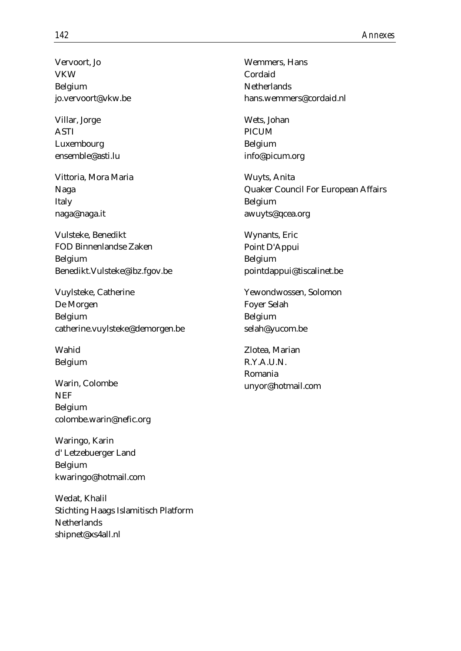Vervoort, Jo VKW Belgium jo.vervoort@vkw.be

Villar, Jorge ASTI Luxembourg ensemble@asti.lu

Vittoria, Mora Maria Naga Italy naga@naga.it

Vulsteke, Benedikt FOD Binnenlandse Zaken Belgium Benedikt.Vulsteke@ibz.fgov.be

Vuylsteke, Catherine De Morgen Belgium catherine.vuylsteke@demorgen.be

Wahid Belgium

Warin, Colombe **NEF** Belgium colombe.warin@nefic.org

Waringo, Karin d' Letzebuerger Land Belgium kwaringo@hotmail.com

Wedat, Khalil Stichting Haags Islamitisch Platform **Netherlands** shipnet@xs4all.nl

Wemmers, Hans Cordaid **Netherlands** hans.wemmers@cordaid.nl

Wets, Johan PICUM Belgium info@picum.org

Wuyts, Anita Quaker Council For European Affairs Belgium awuyts@qcea.org

Wynants, Eric Point D'Appui Belgium pointdappui@tiscalinet.be

Yewondwossen, Solomon Foyer Selah Belgium selah@yucom.be

Zlotea, Marian R.Y.A.U.N. Romania unyor@hotmail.com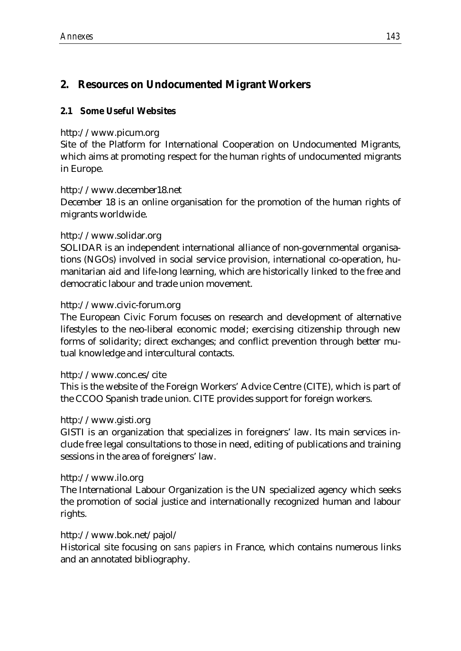# **2. Resources on Undocumented Migrant Workers**

# **2.1 Some Useful Websites**

#### http://www.picum.org

Site of the Platform for International Cooperation on Undocumented Migrants, which aims at promoting respect for the human rights of undocumented migrants in Europe.

#### http://www.december18.net

December 18 is an online organisation for the promotion of the human rights of migrants worldwide.

#### http://www.solidar.org

SOLIDAR is an independent international alliance of non-governmental organisations (NGOs) involved in social service provision, international co-operation, humanitarian aid and life-long learning, which are historically linked to the free and democratic labour and trade union movement.

#### http://www.civic-forum.org

The European Civic Forum focuses on research and development of alternative lifestyles to the neo-liberal economic model; exercising citizenship through new forms of solidarity; direct exchanges; and conflict prevention through better mutual knowledge and intercultural contacts.

#### http://www.conc.es/cite

This is the website of the Foreign Workers' Advice Centre (CITE), which is part of the CCOO Spanish trade union. CITE provides support for foreign workers.

#### http://www.gisti.org

GISTI is an organization that specializes in foreigners' law. Its main services include free legal consultations to those in need, editing of publications and training sessions in the area of foreigners' law.

#### http://www.ilo.org

The International Labour Organization is the UN specialized agency which seeks the promotion of social justice and internationally recognized human and labour rights.

#### http://www.bok.net/pajol/

Historical site focusing on *sans papiers* in France, which contains numerous links and an annotated bibliography.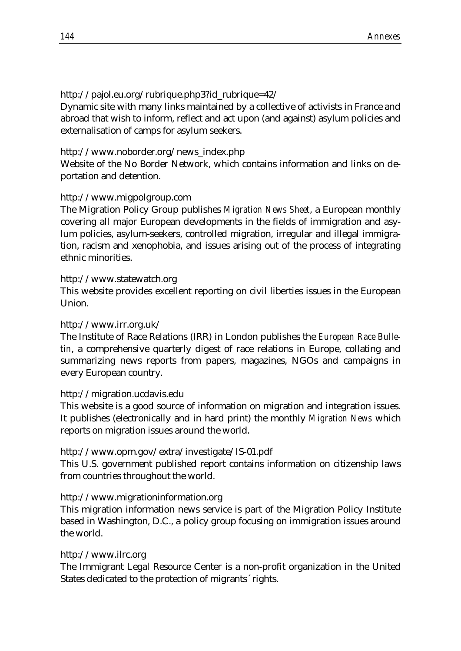http://pajol.eu.org/rubrique.php3?id\_rubrique=42/

Dynamic site with many links maintained by a collective of activists in France and abroad that wish to inform, reflect and act upon (and against) asylum policies and externalisation of camps for asylum seekers.

#### http://www.noborder.org/news\_index.php

Website of the No Border Network, which contains information and links on deportation and detention.

# http://www.migpolgroup.com

The Migration Policy Group publishes *Migration News Sheet*, a European monthly covering all major European developments in the fields of immigration and asylum policies, asylum-seekers, controlled migration, irregular and illegal immigration, racism and xenophobia, and issues arising out of the process of integrating ethnic minorities.

#### http://www.statewatch.org

This website provides excellent reporting on civil liberties issues in the European Union.

#### http://www.irr.org.uk/

The Institute of Race Relations (IRR) in London publishes the *European Race Bulletin*, a comprehensive quarterly digest of race relations in Europe, collating and summarizing news reports from papers, magazines, NGOs and campaigns in every European country.

#### http://migration.ucdavis.edu

This website is a good source of information on migration and integration issues. It publishes (electronically and in hard print) the monthly *Migration News* which reports on migration issues around the world.

# http://www.opm.gov/extra/investigate/IS-01.pdf

This U.S. government published report contains information on citizenship laws from countries throughout the world.

# http://www.migrationinformation.org

This migration information news service is part of the Migration Policy Institute based in Washington, D.C., a policy group focusing on immigration issues around the world.

#### http://www.ilrc.org

The Immigrant Legal Resource Center is a non-profit organization in the United States dedicated to the protection of migrants´ rights.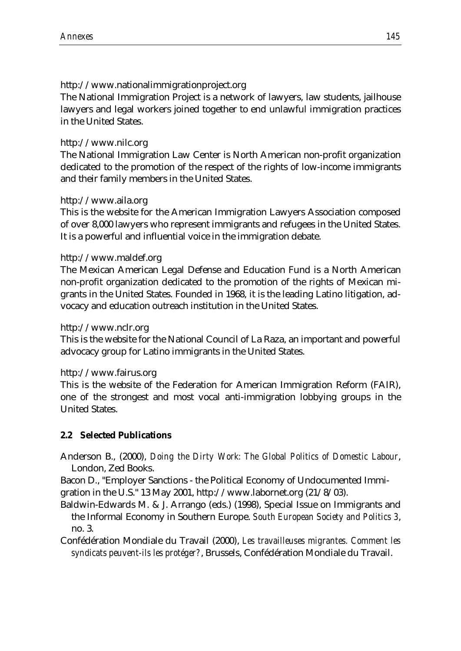#### http://www.nationalimmigrationproject.org

The National Immigration Project is a network of lawyers, law students, jailhouse lawyers and legal workers joined together to end unlawful immigration practices in the United States.

#### http://www.nilc.org

The National Immigration Law Center is North American non-profit organization dedicated to the promotion of the respect of the rights of low-income immigrants and their family members in the United States.

# http://www.aila.org

This is the website for the American Immigration Lawyers Association composed of over 8,000 lawyers who represent immigrants and refugees in the United States. It is a powerful and influential voice in the immigration debate.

#### http://www.maldef.org

The Mexican American Legal Defense and Education Fund is a North American non-profit organization dedicated to the promotion of the rights of Mexican migrants in the United States. Founded in 1968, it is the leading Latino litigation, advocacy and education outreach institution in the United States.

#### http://www.nclr.org

This is the website for the National Council of La Raza, an important and powerful advocacy group for Latino immigrants in the United States.

#### http://www.fairus.org

This is the website of the Federation for American Immigration Reform (FAIR), one of the strongest and most vocal anti-immigration lobbying groups in the United States.

#### **2.2 Selected Publications**

Anderson B., (2000), *Doing the Dirty Work: The Global Politics of Domestic Labour*, London, Zed Books.

Bacon D., "Employer Sanctions - the Political Economy of Undocumented Immigration in the U.S." 13 May 2001, http://www.labornet.org (21/8/03).

Baldwin-Edwards M. & J. Arrango (eds.) (1998), Special Issue on Immigrants and the Informal Economy in Southern Europe. *South European Society and Politics 3*, no. 3.

Confédération Mondiale du Travail (2000), *Les travailleuses migrantes. Comment les syndicats peuvent-ils les protéger?*, Brussels, Confédération Mondiale du Travail.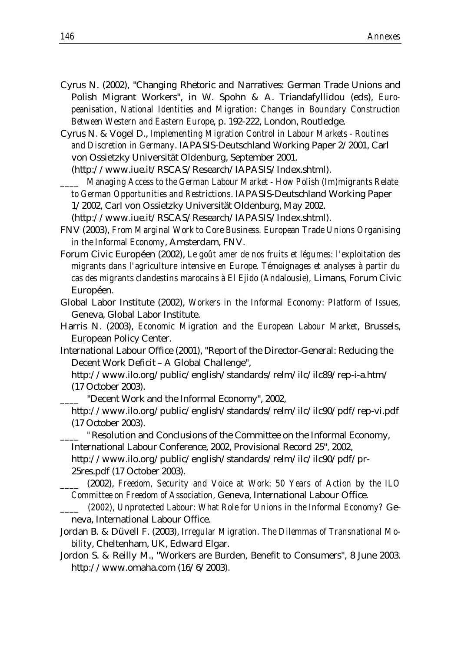- Cyrus N. (2002), "Changing Rhetoric and Narratives: German Trade Unions and Polish Migrant Workers", in W. Spohn & A. Triandafyllidou (eds), *Europeanisation, National Identities and Migration: Changes in Boundary Construction Between Western and Eastern Europe*, p. 192-222, London, Routledge.
- Cyrus N. & Vogel D., *Implementing Migration Control in Labour Markets Routines and Discretion in Germany*. IAPASIS-Deutschland Working Paper 2/2001, Carl von Ossietzky Universität Oldenburg, September 2001.

(http://www.iue.it/RSCAS/Research/IAPASIS/Index.shtml).

*\_\_\_\_ Managing Access to the German Labour Market - How Polish (Im)migrants Relate to German Opportunities and Restrictions*. IAPASIS-Deutschland Working Paper 1/2002, Carl von Ossietzky Universität Oldenburg, May 2002.

(http://www.iue.it/RSCAS/Research/IAPASIS/Index.shtml).

- FNV (2003), *From Marginal Work to Core Business. European Trade Unions Organising in the Informal Economy*, Amsterdam, FNV.
- Forum Civic Européen (2002), *Le goût amer de nos fruits et légumes: l'exploitation des migrants dans l'agriculture intensive en Europe. Témoignages et analyses à partir du cas des migrants clandestins marocains à El Ejido (Andalousie),* Limans, Forum Civic Européen.
- Global Labor Institute (2002), *Workers in the Informal Economy: Platform of Issues,* Geneva, Global Labor Institute.
- Harris N. (2003), *Economic Migration and the European Labour Market*, Brussels, European Policy Center.
- International Labour Office (2001), "Report of the Director-General: Reducing the Decent Work Deficit – A Global Challenge",
	- http://www.ilo.org/public/english/standards/relm/ilc/ilc89/rep-i-a.htm/ (17 October 2003).

*\_\_\_\_* "Decent Work and the Informal Economy", 2002,

http://www.ilo.org/public/english/standards/relm/ilc/ilc90/pdf/rep-vi.pdf (17 October 2003).

*\_\_\_\_ "*Resolution and Conclusions of the Committee on the Informal Economy, International Labour Conference, 2002, Provisional Record 25"*,* 2002,

http://www.ilo.org/public/english/standards/relm/ilc/ilc90/pdf/pr-25res.pdf (17 October 2003).

*\_\_\_\_* (2002), *Freedom, Security and Voice at Work: 50 Years of Action by the ILO Committee on Freedom of Association,* Geneva, International Labour Office.

- *\_\_\_\_ (2002), Unprotected Labour: What Role for Unions in the Informal Economy?* Geneva, International Labour Office.
- Jordan B. & Düvell F. (2003), *Irregular Migration. The Dilemmas of Transnational Mobilit*y, Cheltenham, UK, Edward Elgar.
- Jordon S. & Reilly M., "Workers are Burden, Benefit to Consumers", 8 June 2003. http://www.omaha.com (16/6/2003).